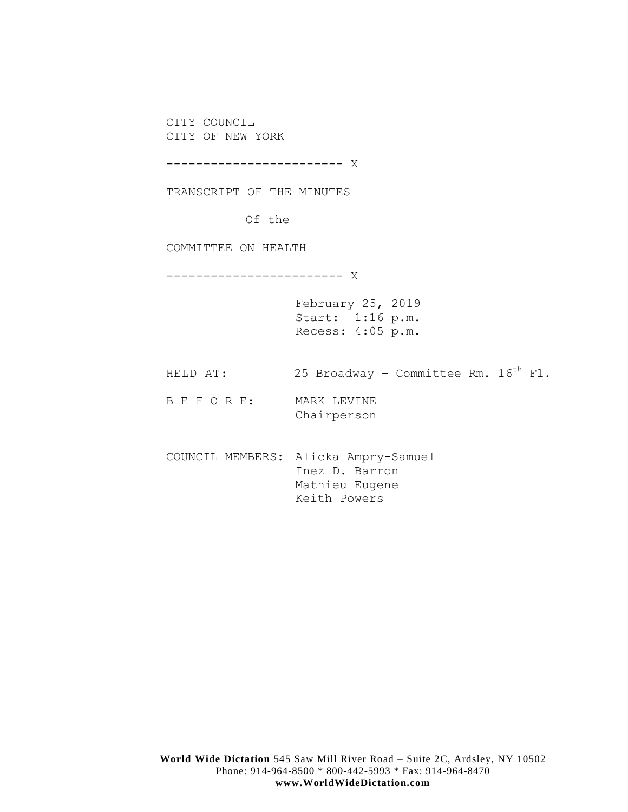CITY COUNCIL CITY OF NEW YORK

------------------------ X

TRANSCRIPT OF THE MINUTES

Of the

COMMITTEE ON HEALTH

------------------------ X

February 25, 2019 Start: 1:16 p.m. Recess: 4:05 p.m.

HELD AT: 25 Broadway - Committee Rm.  $16^{th}$  Fl.

B E F O R E: MARK LEVINE Chairperson

COUNCIL MEMBERS: Alicka Ampry-Samuel Inez D. Barron Mathieu Eugene Keith Powers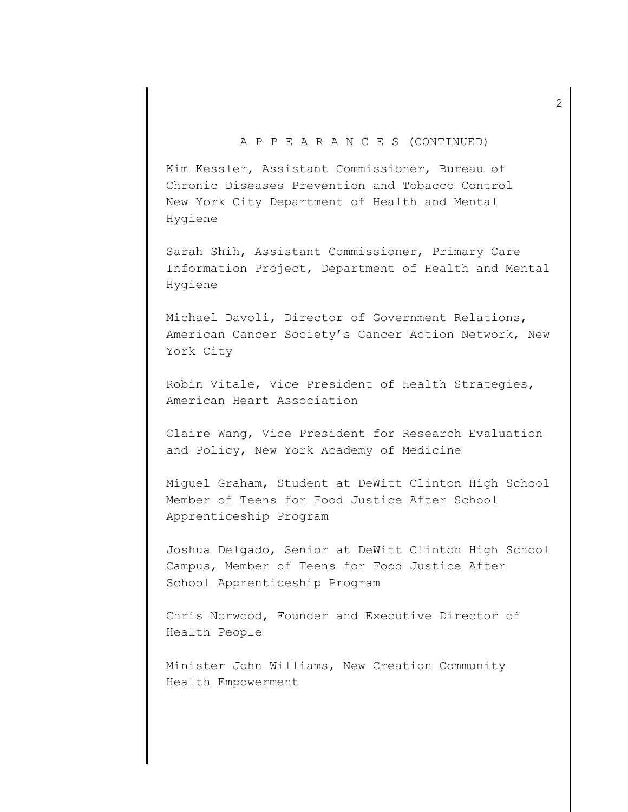# A P P E A R A N C E S (CONTINUED)

Kim Kessler, Assistant Commissioner, Bureau of Chronic Diseases Prevention and Tobacco Control New York City Department of Health and Mental Hygiene

Sarah Shih, Assistant Commissioner, Primary Care Information Project, Department of Health and Mental Hygiene

Michael Davoli, Director of Government Relations, American Cancer Society's Cancer Action Network, New York City

Robin Vitale, Vice President of Health Strategies, American Heart Association

Claire Wang, Vice President for Research Evaluation and Policy, New York Academy of Medicine

Miguel Graham, Student at DeWitt Clinton High School Member of Teens for Food Justice After School Apprenticeship Program

Joshua Delgado, Senior at DeWitt Clinton High School Campus, Member of Teens for Food Justice After School Apprenticeship Program

Chris Norwood, Founder and Executive Director of Health People

Minister John Williams, New Creation Community Health Empowerment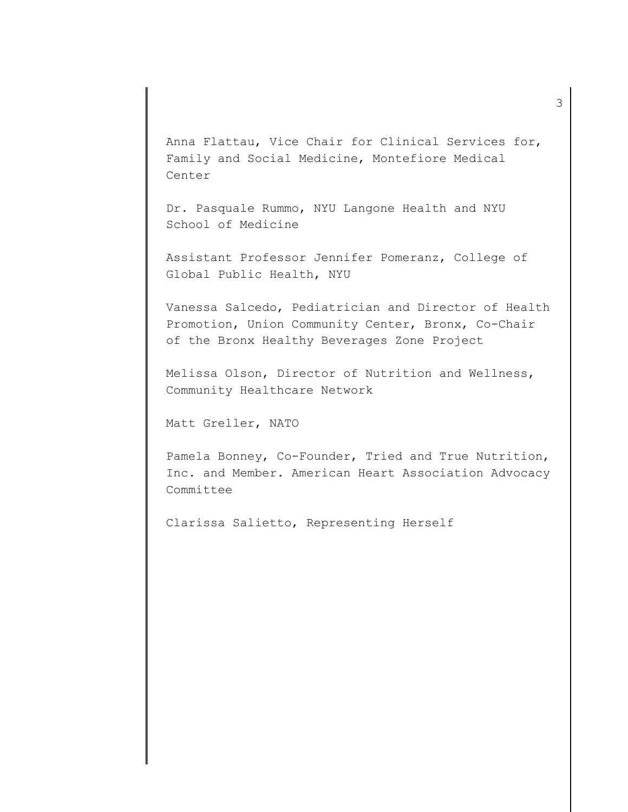Anna Flattau, Vice Chair for Clinical Services for, Family and Social Medicine, Montefiore Medical Center

Dr. Pasquale Rummo, NYU Langone Health and NYU School of Medicine

Assistant Professor Jennifer Pomeranz, College of Global Public Health, NYU

Vanessa Salcedo, Pediatrician and Director of Health Promotion, Union Community Center, Bronx, Co-Chair of the Bronx Healthy Beverages Zone Project

Melissa Olson, Director of Nutrition and Wellness, Community Healthcare Network

Matt Greller, NATO

Pamela Bonney, Co-Founder, Tried and True Nutrition, Inc. and Member. American Heart Association Advocacy Committee

Clarissa Salietto, Representing Herself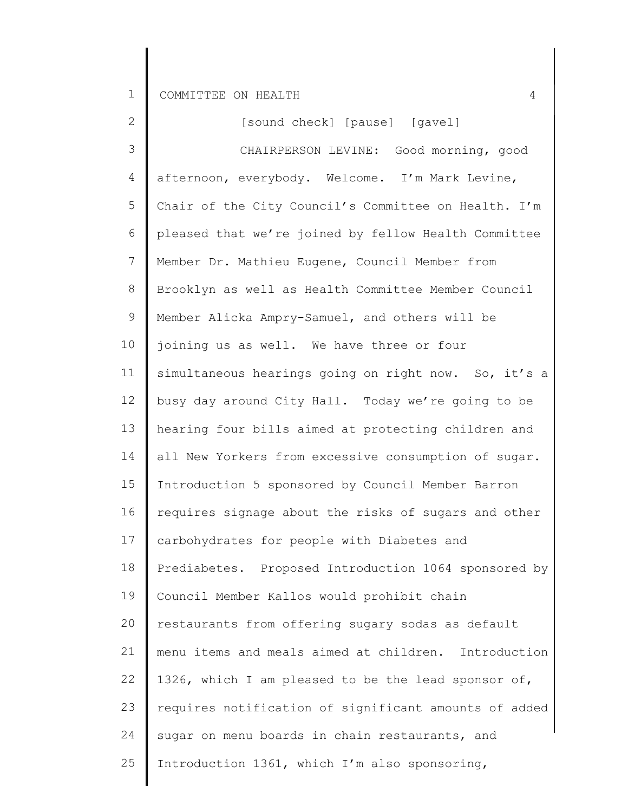| $\overline{2}$ | [sound check] [pause] [gavel]                         |
|----------------|-------------------------------------------------------|
| 3              | CHAIRPERSON LEVINE: Good morning, good                |
| 4              | afternoon, everybody. Welcome. I'm Mark Levine,       |
| 5              | Chair of the City Council's Committee on Health. I'm  |
| 6              | pleased that we're joined by fellow Health Committee  |
| $7\phantom{.}$ | Member Dr. Mathieu Eugene, Council Member from        |
| 8              | Brooklyn as well as Health Committee Member Council   |
| $\mathsf 9$    | Member Alicka Ampry-Samuel, and others will be        |
| 10             | joining us as well. We have three or four             |
| 11             | simultaneous hearings going on right now. So, it's a  |
| 12             | busy day around City Hall. Today we're going to be    |
| 13             | hearing four bills aimed at protecting children and   |
| 14             | all New Yorkers from excessive consumption of sugar.  |
| 15             | Introduction 5 sponsored by Council Member Barron     |
| 16             | requires signage about the risks of sugars and other  |
| 17             | carbohydrates for people with Diabetes and            |
| 18             | Prediabetes. Proposed Introduction 1064 sponsored by  |
| 19             | Council Member Kallos would prohibit chain            |
| 20             | restaurants from offering sugary sodas as default     |
| 21             | menu items and meals aimed at children. Introduction  |
| 22             | 1326, which I am pleased to be the lead sponsor of,   |
| 23             | requires notification of significant amounts of added |
| 24             | sugar on menu boards in chain restaurants, and        |
| 25             | Introduction 1361, which I'm also sponsoring,         |
|                |                                                       |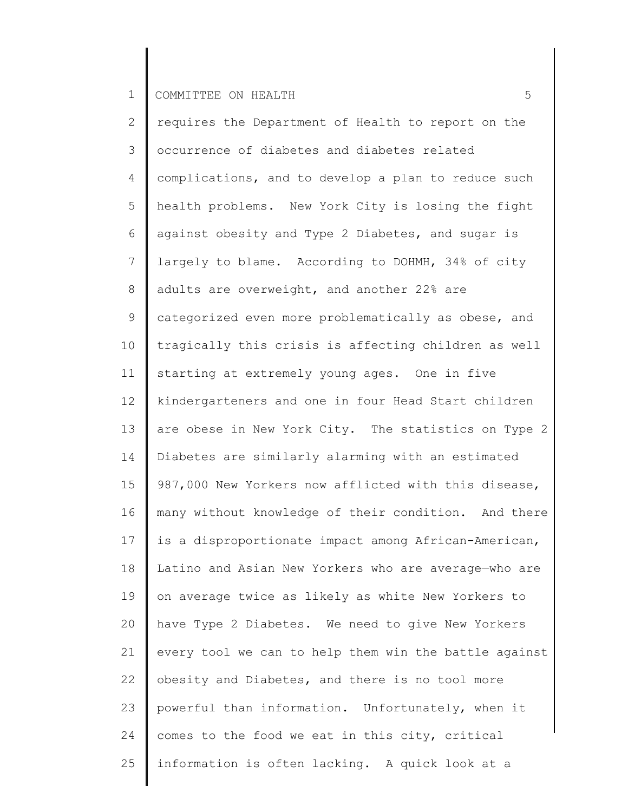2 3 4 5 6 7 8 9 10 11 12 13 14 15 16 17 18 19 20 21 22 23 24 25 requires the Department of Health to report on the occurrence of diabetes and diabetes related complications, and to develop a plan to reduce such health problems. New York City is losing the fight against obesity and Type 2 Diabetes, and sugar is largely to blame. According to DOHMH, 34% of city adults are overweight, and another 22% are categorized even more problematically as obese, and tragically this crisis is affecting children as well starting at extremely young ages. One in five kindergarteners and one in four Head Start children are obese in New York City. The statistics on Type 2 Diabetes are similarly alarming with an estimated 987,000 New Yorkers now afflicted with this disease, many without knowledge of their condition. And there is a disproportionate impact among African-American, Latino and Asian New Yorkers who are average—who are on average twice as likely as white New Yorkers to have Type 2 Diabetes. We need to give New Yorkers every tool we can to help them win the battle against obesity and Diabetes, and there is no tool more powerful than information. Unfortunately, when it comes to the food we eat in this city, critical information is often lacking. A quick look at a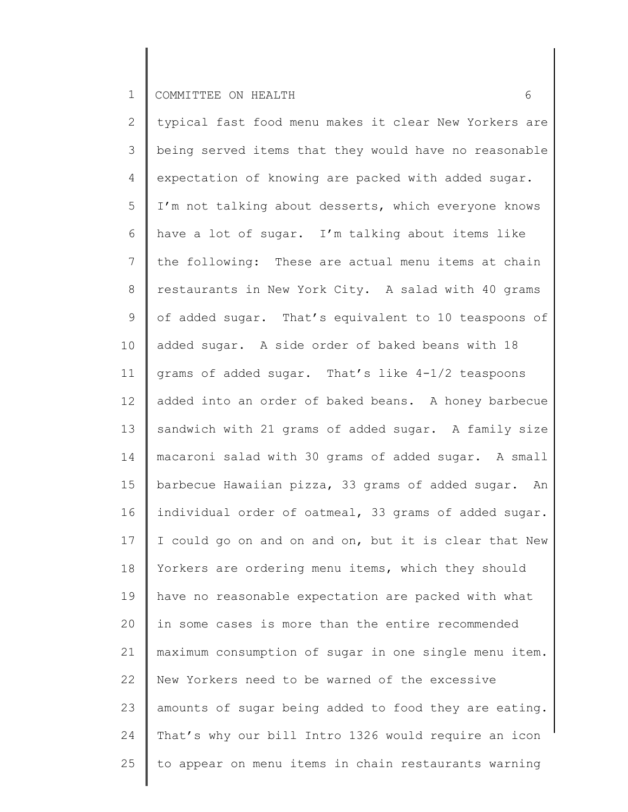2 3 4 5 6 7 8 9 10 11 12 13 14 15 16 17 18 19 20 21 22 23 24 25 typical fast food menu makes it clear New Yorkers are being served items that they would have no reasonable expectation of knowing are packed with added sugar. I'm not talking about desserts, which everyone knows have a lot of sugar. I'm talking about items like the following: These are actual menu items at chain restaurants in New York City. A salad with 40 grams of added sugar. That's equivalent to 10 teaspoons of added sugar. A side order of baked beans with 18 grams of added sugar. That's like 4-1/2 teaspoons added into an order of baked beans. A honey barbecue sandwich with 21 grams of added sugar. A family size macaroni salad with 30 grams of added sugar. A small barbecue Hawaiian pizza, 33 grams of added sugar. An individual order of oatmeal, 33 grams of added sugar. I could go on and on and on, but it is clear that New Yorkers are ordering menu items, which they should have no reasonable expectation are packed with what in some cases is more than the entire recommended maximum consumption of sugar in one single menu item. New Yorkers need to be warned of the excessive amounts of sugar being added to food they are eating. That's why our bill Intro 1326 would require an icon to appear on menu items in chain restaurants warning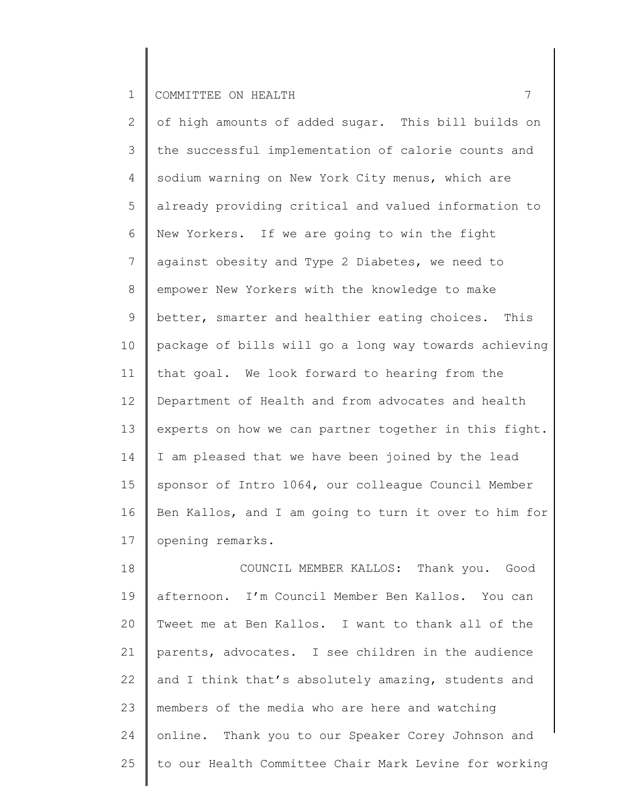2 3 4 5 6 7 8 9 10 11 12 13 14 15 16 17 of high amounts of added sugar. This bill builds on the successful implementation of calorie counts and sodium warning on New York City menus, which are already providing critical and valued information to New Yorkers. If we are going to win the fight against obesity and Type 2 Diabetes, we need to empower New Yorkers with the knowledge to make better, smarter and healthier eating choices. This package of bills will go a long way towards achieving that goal. We look forward to hearing from the Department of Health and from advocates and health experts on how we can partner together in this fight. I am pleased that we have been joined by the lead sponsor of Intro 1064, our colleague Council Member Ben Kallos, and I am going to turn it over to him for opening remarks.

18 19 20 21 22 23 24 25 COUNCIL MEMBER KALLOS: Thank you. Good afternoon. I'm Council Member Ben Kallos. You can Tweet me at Ben Kallos. I want to thank all of the parents, advocates. I see children in the audience and I think that's absolutely amazing, students and members of the media who are here and watching online. Thank you to our Speaker Corey Johnson and to our Health Committee Chair Mark Levine for working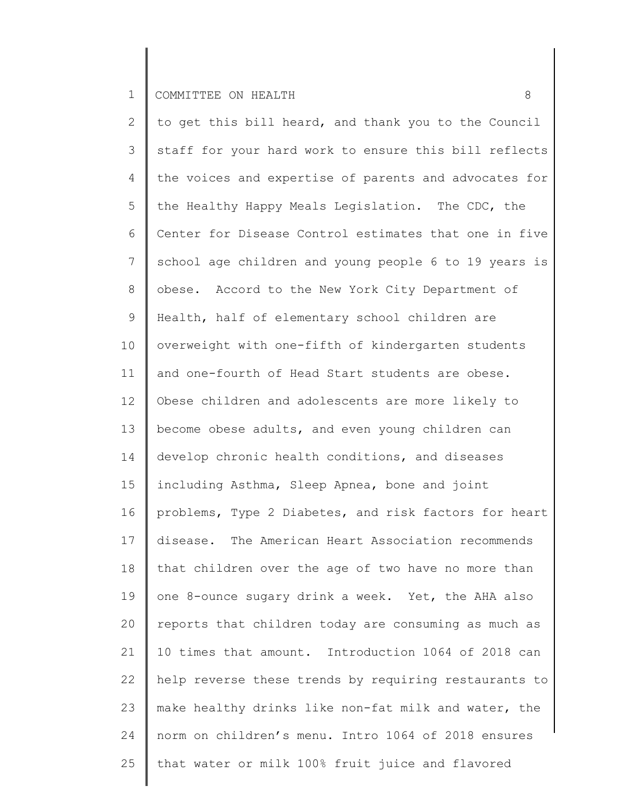2 3 4 5 6 7 8 9 10 11 12 13 14 15 16 17 18 19 20 21 22 23 24 25 to get this bill heard, and thank you to the Council staff for your hard work to ensure this bill reflects the voices and expertise of parents and advocates for the Healthy Happy Meals Legislation. The CDC, the Center for Disease Control estimates that one in five school age children and young people 6 to 19 years is obese. Accord to the New York City Department of Health, half of elementary school children are overweight with one-fifth of kindergarten students and one-fourth of Head Start students are obese. Obese children and adolescents are more likely to become obese adults, and even young children can develop chronic health conditions, and diseases including Asthma, Sleep Apnea, bone and joint problems, Type 2 Diabetes, and risk factors for heart disease. The American Heart Association recommends that children over the age of two have no more than one 8-ounce sugary drink a week. Yet, the AHA also reports that children today are consuming as much as 10 times that amount. Introduction 1064 of 2018 can help reverse these trends by requiring restaurants to make healthy drinks like non-fat milk and water, the norm on children's menu. Intro 1064 of 2018 ensures that water or milk 100% fruit juice and flavored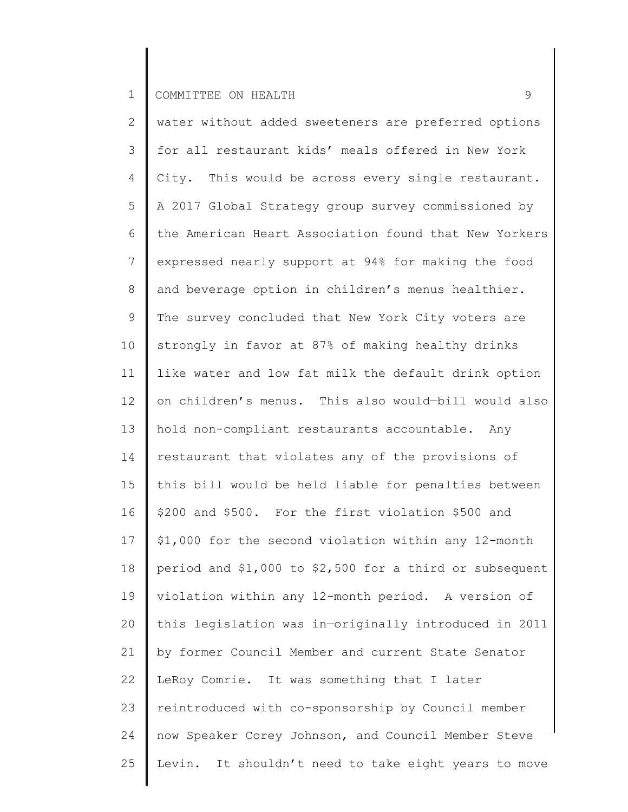2 3 4 5 6 7 8 9 10 11 12 13 14 15 16 17 18 19 20 21 22 23 24 25 water without added sweeteners are preferred options for all restaurant kids' meals offered in New York City. This would be across every single restaurant. A 2017 Global Strategy group survey commissioned by the American Heart Association found that New Yorkers expressed nearly support at 94% for making the food and beverage option in children's menus healthier. The survey concluded that New York City voters are strongly in favor at 87% of making healthy drinks like water and low fat milk the default drink option on children's menus. This also would—bill would also hold non-compliant restaurants accountable. Any restaurant that violates any of the provisions of this bill would be held liable for penalties between \$200 and \$500. For the first violation \$500 and \$1,000 for the second violation within any 12-month period and \$1,000 to \$2,500 for a third or subsequent violation within any 12-month period. A version of this legislation was in—originally introduced in 2011 by former Council Member and current State Senator LeRoy Comrie. It was something that I later reintroduced with co-sponsorship by Council member now Speaker Corey Johnson, and Council Member Steve Levin. It shouldn't need to take eight years to move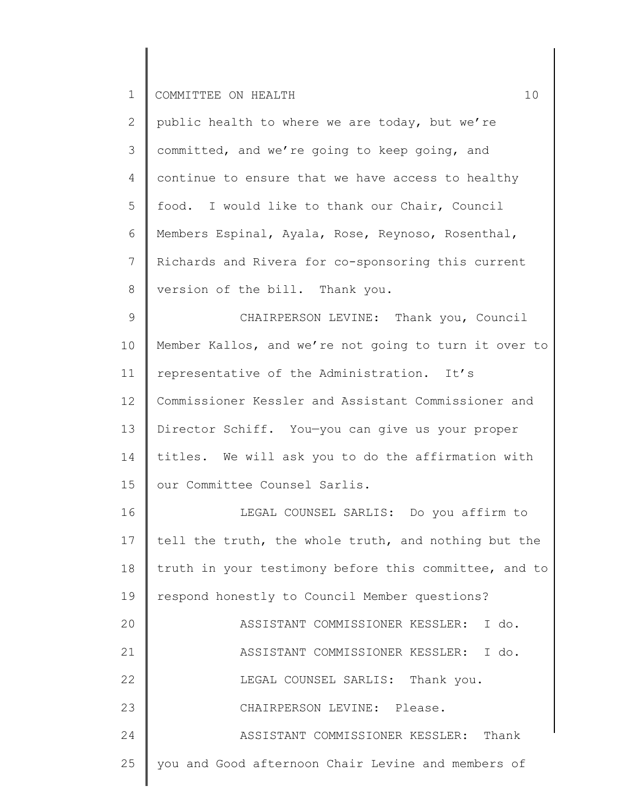| $\mathbf{2}$    | public health to where we are today, but we're        |
|-----------------|-------------------------------------------------------|
| 3               | committed, and we're going to keep going, and         |
| 4               | continue to ensure that we have access to healthy     |
| 5               | food. I would like to thank our Chair, Council        |
| 6               | Members Espinal, Ayala, Rose, Reynoso, Rosenthal,     |
| $7\phantom{.0}$ | Richards and Rivera for co-sponsoring this current    |
| 8               | version of the bill. Thank you.                       |
| 9               | CHAIRPERSON LEVINE: Thank you, Council                |
| 10              | Member Kallos, and we're not going to turn it over to |
| 11              | representative of the Administration. It's            |
| 12              | Commissioner Kessler and Assistant Commissioner and   |
| 13              | Director Schiff. You-you can give us your proper      |
| 14              | titles. We will ask you to do the affirmation with    |
| 15              | our Committee Counsel Sarlis.                         |
| 16              | LEGAL COUNSEL SARLIS: Do you affirm to                |
| 17              | tell the truth, the whole truth, and nothing but the  |
| 18              | truth in your testimony before this committee, and to |
| 19              | respond honestly to Council Member questions?         |
| 20              | ASSISTANT COMMISSIONER KESSLER: I do.                 |
| 21              | ASSISTANT COMMISSIONER KESSLER: I do.                 |
| 22              | LEGAL COUNSEL SARLIS: Thank you.                      |
| 23              | CHAIRPERSON LEVINE: Please.                           |
| 24              | ASSISTANT COMMISSIONER KESSLER: Thank                 |
| 25              | you and Good afternoon Chair Levine and members of    |
|                 |                                                       |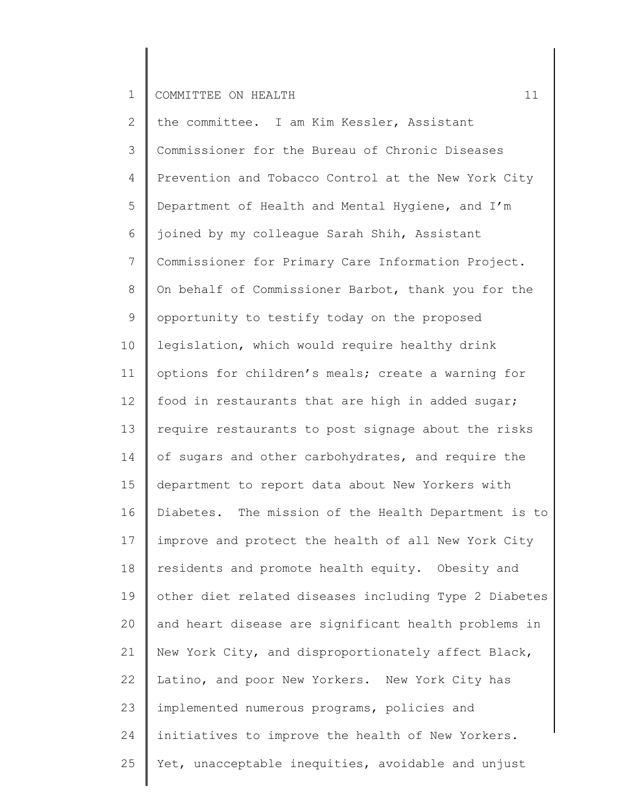2 3 4 5 6 7 8 9 10 11 12 13 14 15 16 17 18 19 20 21 22 23 24 25 the committee. I am Kim Kessler, Assistant Commissioner for the Bureau of Chronic Diseases Prevention and Tobacco Control at the New York City Department of Health and Mental Hygiene, and I'm joined by my colleague Sarah Shih, Assistant Commissioner for Primary Care Information Project. On behalf of Commissioner Barbot, thank you for the opportunity to testify today on the proposed legislation, which would require healthy drink options for children's meals; create a warning for food in restaurants that are high in added sugar; require restaurants to post signage about the risks of sugars and other carbohydrates, and require the department to report data about New Yorkers with Diabetes. The mission of the Health Department is to improve and protect the health of all New York City residents and promote health equity. Obesity and other diet related diseases including Type 2 Diabetes and heart disease are significant health problems in New York City, and disproportionately affect Black, Latino, and poor New Yorkers. New York City has implemented numerous programs, policies and initiatives to improve the health of New Yorkers. Yet, unacceptable inequities, avoidable and unjust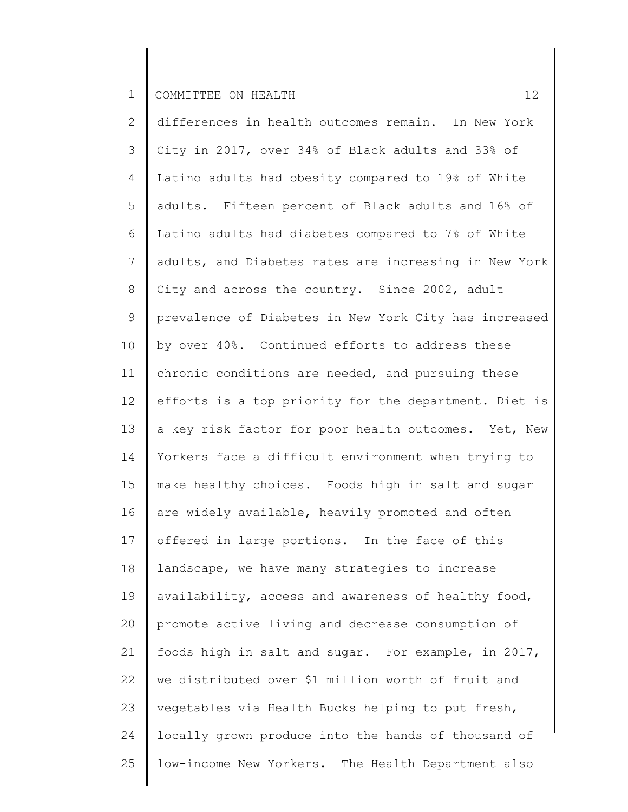2 3 4 5 6 7 8 9 10 11 12 13 14 15 16 17 18 19 20 21 22 23 24 25 differences in health outcomes remain. In New York City in 2017, over 34% of Black adults and 33% of Latino adults had obesity compared to 19% of White adults. Fifteen percent of Black adults and 16% of Latino adults had diabetes compared to 7% of White adults, and Diabetes rates are increasing in New York City and across the country. Since 2002, adult prevalence of Diabetes in New York City has increased by over 40%. Continued efforts to address these chronic conditions are needed, and pursuing these efforts is a top priority for the department. Diet is a key risk factor for poor health outcomes. Yet, New Yorkers face a difficult environment when trying to make healthy choices. Foods high in salt and sugar are widely available, heavily promoted and often offered in large portions. In the face of this landscape, we have many strategies to increase availability, access and awareness of healthy food, promote active living and decrease consumption of foods high in salt and sugar. For example, in 2017, we distributed over \$1 million worth of fruit and vegetables via Health Bucks helping to put fresh, locally grown produce into the hands of thousand of low-income New Yorkers. The Health Department also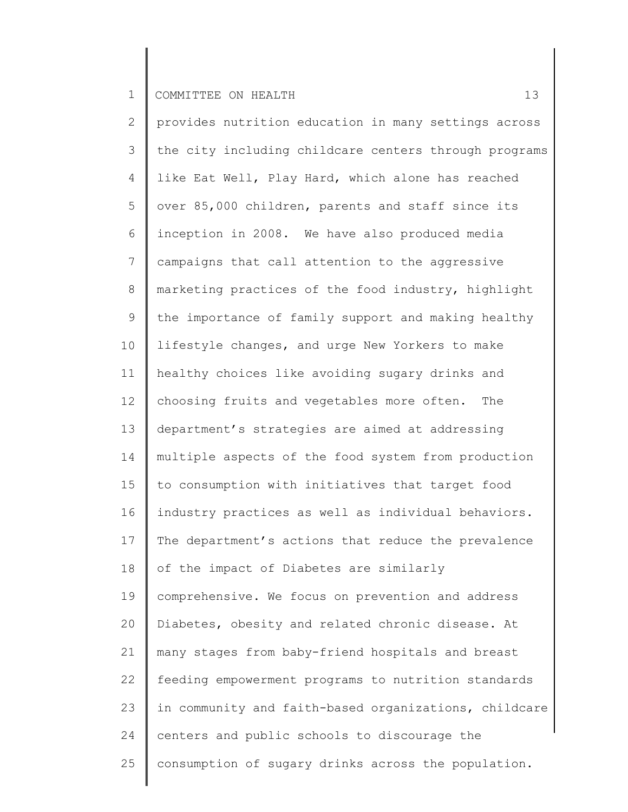| $\overline{2}$ | provides nutrition education in many settings across  |
|----------------|-------------------------------------------------------|
| 3              | the city including childcare centers through programs |
| 4              | like Eat Well, Play Hard, which alone has reached     |
| 5              | over 85,000 children, parents and staff since its     |
| 6              | inception in 2008. We have also produced media        |
| $\overline{7}$ | campaigns that call attention to the aggressive       |
| $8\,$          | marketing practices of the food industry, highlight   |
| $\mathcal{G}$  | the importance of family support and making healthy   |
| 10             | lifestyle changes, and urge New Yorkers to make       |
| 11             | healthy choices like avoiding sugary drinks and       |
| 12             | choosing fruits and vegetables more often.<br>The     |
| 13             | department's strategies are aimed at addressing       |
| 14             | multiple aspects of the food system from production   |
| 15             | to consumption with initiatives that target food      |
| 16             | industry practices as well as individual behaviors.   |
| 17             | The department's actions that reduce the prevalence   |
| 18             | of the impact of Diabetes are similarly               |
| 19             | comprehensive. We focus on prevention and address     |
| 20             | Diabetes, obesity and related chronic disease. At     |
| 21             | many stages from baby-friend hospitals and breast     |
| 22             | feeding empowerment programs to nutrition standards   |
| 23             | in community and faith-based organizations, childcare |
| 24             | centers and public schools to discourage the          |
| 25             | consumption of sugary drinks across the population.   |
|                |                                                       |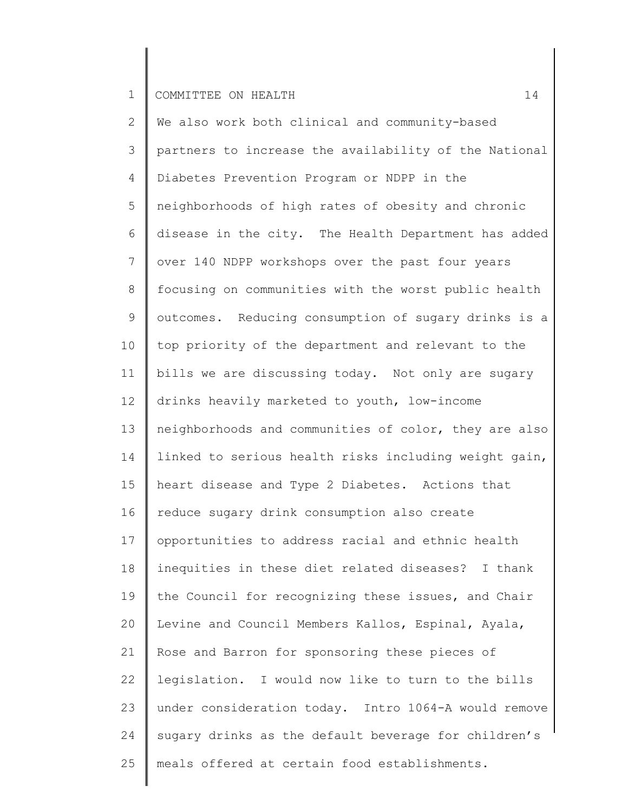| $\mathbf{2}$    | We also work both clinical and community-based        |
|-----------------|-------------------------------------------------------|
| 3               | partners to increase the availability of the National |
| 4               | Diabetes Prevention Program or NDPP in the            |
| 5               | neighborhoods of high rates of obesity and chronic    |
| 6               | disease in the city. The Health Department has added  |
| $\overline{7}$  | over 140 NDPP workshops over the past four years      |
| 8               | focusing on communities with the worst public health  |
| $\mathsf 9$     | outcomes. Reducing consumption of sugary drinks is a  |
| 10 <sub>o</sub> | top priority of the department and relevant to the    |
| 11              | bills we are discussing today. Not only are sugary    |
| 12              | drinks heavily marketed to youth, low-income          |
| 13              | neighborhoods and communities of color, they are also |
| 14              | linked to serious health risks including weight gain, |
| 15              | heart disease and Type 2 Diabetes. Actions that       |
| 16              | reduce sugary drink consumption also create           |
| 17              | opportunities to address racial and ethnic health     |
| 18              | inequities in these diet related diseases?<br>I thank |
| 19              | the Council for recognizing these issues, and Chair   |
| 20              | Levine and Council Members Kallos, Espinal, Ayala,    |
| 21              | Rose and Barron for sponsoring these pieces of        |
| 22              | legislation. I would now like to turn to the bills    |
| 23              | under consideration today. Intro 1064-A would remove  |
| 24              | sugary drinks as the default beverage for children's  |
| 25              | meals offered at certain food establishments.         |
|                 |                                                       |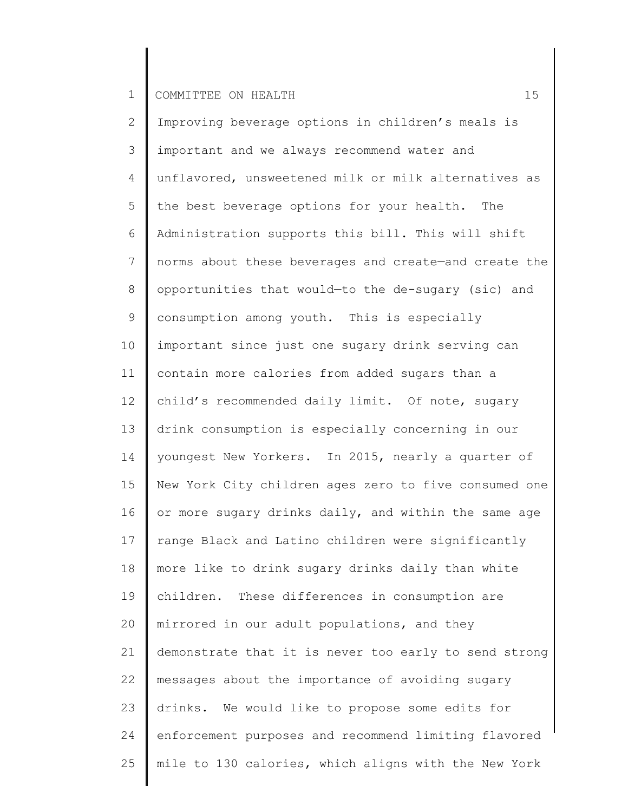2 3 4 5 6 7 8 9 10 11 12 13 14 15 16 17 18 19 20 21 22 23 24 25 Improving beverage options in children's meals is important and we always recommend water and unflavored, unsweetened milk or milk alternatives as the best beverage options for your health. The Administration supports this bill. This will shift norms about these beverages and create—and create the opportunities that would—to the de-sugary (sic) and consumption among youth. This is especially important since just one sugary drink serving can contain more calories from added sugars than a child's recommended daily limit. Of note, sugary drink consumption is especially concerning in our youngest New Yorkers. In 2015, nearly a quarter of New York City children ages zero to five consumed one or more sugary drinks daily, and within the same age range Black and Latino children were significantly more like to drink sugary drinks daily than white children. These differences in consumption are mirrored in our adult populations, and they demonstrate that it is never too early to send strong messages about the importance of avoiding sugary drinks. We would like to propose some edits for enforcement purposes and recommend limiting flavored mile to 130 calories, which aligns with the New York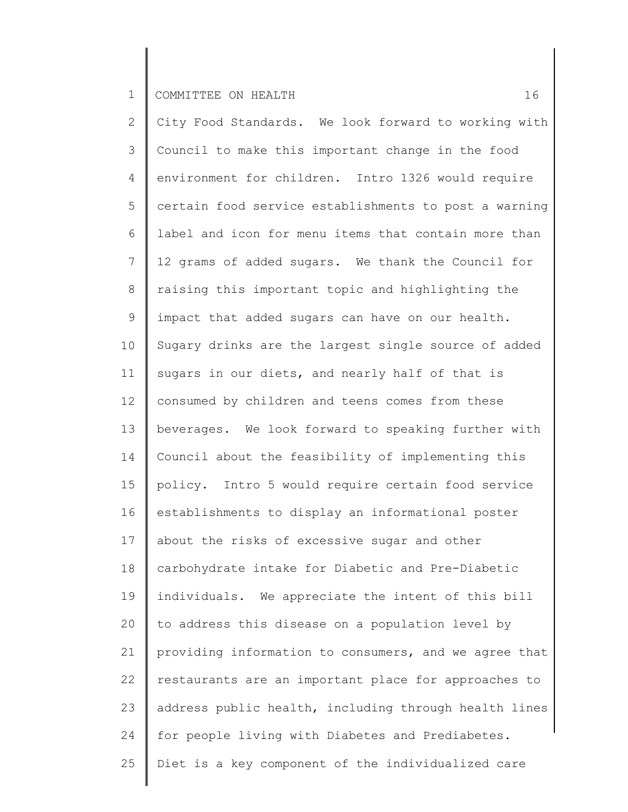2 3 4 5 6 7 8 9 10 11 12 13 14 15 16 17 18 19 20 21 22 23 24 25 City Food Standards. We look forward to working with Council to make this important change in the food environment for children. Intro 1326 would require certain food service establishments to post a warning label and icon for menu items that contain more than 12 grams of added sugars. We thank the Council for raising this important topic and highlighting the impact that added sugars can have on our health. Sugary drinks are the largest single source of added sugars in our diets, and nearly half of that is consumed by children and teens comes from these beverages. We look forward to speaking further with Council about the feasibility of implementing this policy. Intro 5 would require certain food service establishments to display an informational poster about the risks of excessive sugar and other carbohydrate intake for Diabetic and Pre-Diabetic individuals. We appreciate the intent of this bill to address this disease on a population level by providing information to consumers, and we agree that restaurants are an important place for approaches to address public health, including through health lines for people living with Diabetes and Prediabetes. Diet is a key component of the individualized care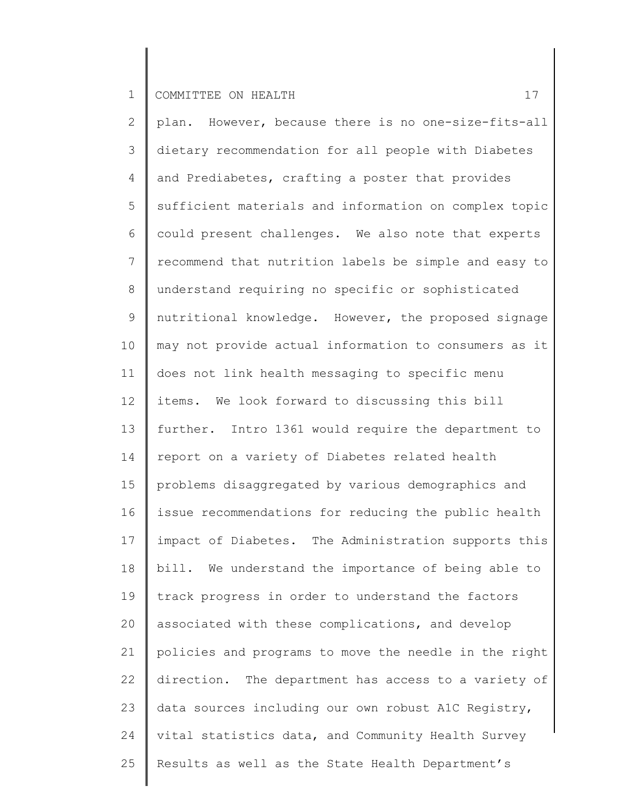2 3 4 5 6 7 8 9 10 11 12 13 14 15 16 17 18 19 20 21 22 23 24 25 plan. However, because there is no one-size-fits-all dietary recommendation for all people with Diabetes and Prediabetes, crafting a poster that provides sufficient materials and information on complex topic could present challenges. We also note that experts recommend that nutrition labels be simple and easy to understand requiring no specific or sophisticated nutritional knowledge. However, the proposed signage may not provide actual information to consumers as it does not link health messaging to specific menu items. We look forward to discussing this bill further. Intro 1361 would require the department to report on a variety of Diabetes related health problems disaggregated by various demographics and issue recommendations for reducing the public health impact of Diabetes. The Administration supports this bill. We understand the importance of being able to track progress in order to understand the factors associated with these complications, and develop policies and programs to move the needle in the right direction. The department has access to a variety of data sources including our own robust A1C Registry, vital statistics data, and Community Health Survey Results as well as the State Health Department's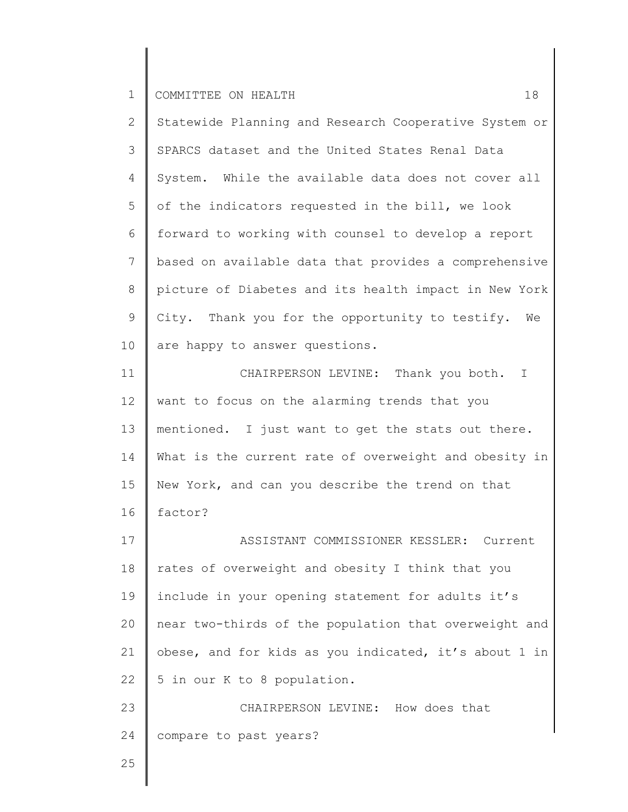| Statewide Planning and Research Cooperative System or |
|-------------------------------------------------------|
| SPARCS dataset and the United States Renal Data       |
| System. While the available data does not cover all   |
| of the indicators requested in the bill, we look      |
| forward to working with counsel to develop a report   |
| based on available data that provides a comprehensive |
| picture of Diabetes and its health impact in New York |
| City. Thank you for the opportunity to testify.<br>We |
| are happy to answer questions.                        |
| CHAIRPERSON LEVINE: Thank you both.<br>T.             |
| want to focus on the alarming trends that you         |
| mentioned. I just want to get the stats out there.    |
|                                                       |
| What is the current rate of overweight and obesity in |
| New York, and can you describe the trend on that      |
| factor?                                               |
| ASSISTANT COMMISSIONER KESSLER: Current               |
| rates of overweight and obesity I think that you      |
| include in your opening statement for adults it's     |
| near two-thirds of the population that overweight and |
| obese, and for kids as you indicated, it's about 1 in |
| 5 in our K to 8 population.                           |
| CHAIRPERSON LEVINE: How does that                     |
| compare to past years?                                |
|                                                       |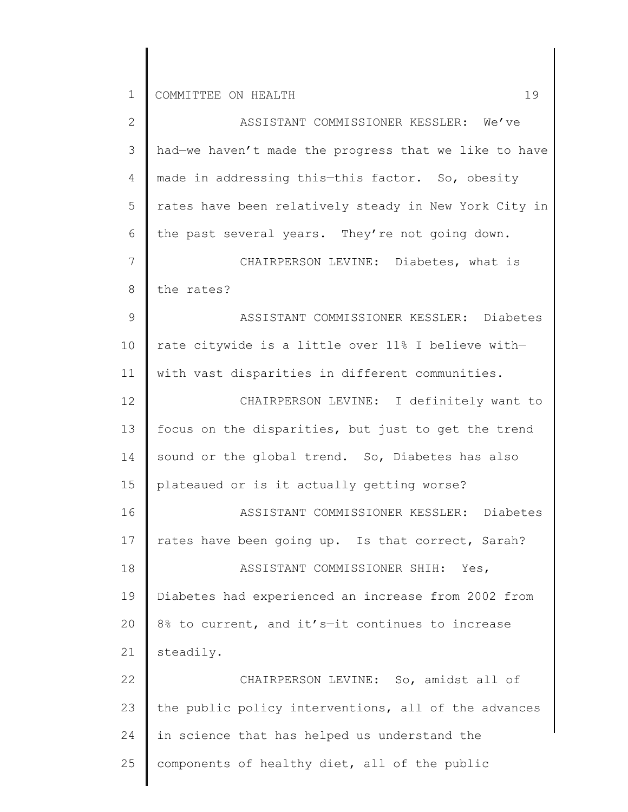2 3 4 5 6 7 8 9 10 11 12 13 14 15 16 17 18 19 20 21 22 23 24 25 ASSISTANT COMMISSIONER KESSLER: We've had—we haven't made the progress that we like to have made in addressing this—this factor. So, obesity rates have been relatively steady in New York City in the past several years. They're not going down. CHAIRPERSON LEVINE: Diabetes, what is the rates? ASSISTANT COMMISSIONER KESSLER: Diabetes rate citywide is a little over 11% I believe with with vast disparities in different communities. CHAIRPERSON LEVINE: I definitely want to focus on the disparities, but just to get the trend sound or the global trend. So, Diabetes has also plateaued or is it actually getting worse? ASSISTANT COMMISSIONER KESSLER: Diabetes rates have been going up. Is that correct, Sarah? ASSISTANT COMMISSIONER SHIH: Yes, Diabetes had experienced an increase from 2002 from 8% to current, and it's—it continues to increase steadily. CHAIRPERSON LEVINE: So, amidst all of the public policy interventions, all of the advances in science that has helped us understand the components of healthy diet, all of the public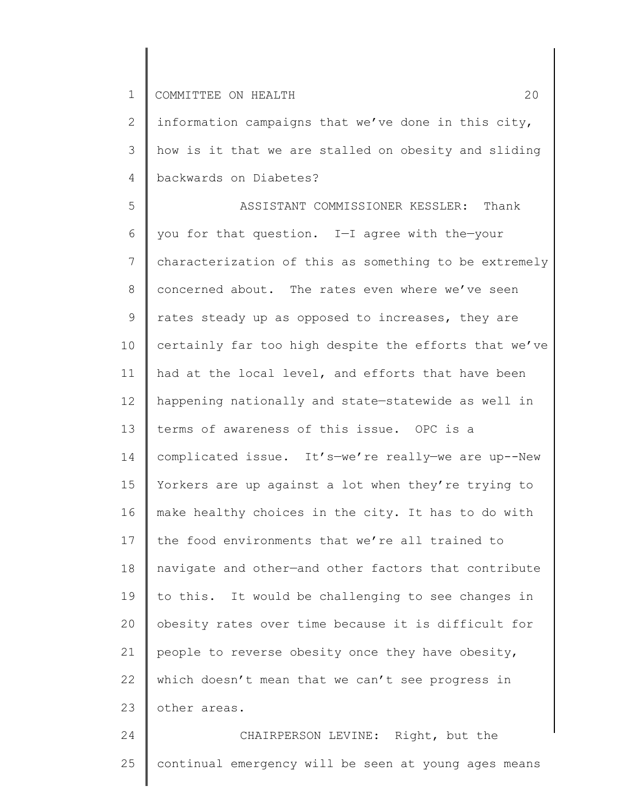2 3 4 information campaigns that we've done in this city, how is it that we are stalled on obesity and sliding backwards on Diabetes?

5 6 7 8 9 10 11 12 13 14 15 16 17 18 19 20 21 22 23 ASSISTANT COMMISSIONER KESSLER: Thank you for that question. I—I agree with the—your characterization of this as something to be extremely concerned about. The rates even where we've seen rates steady up as opposed to increases, they are certainly far too high despite the efforts that we've had at the local level, and efforts that have been happening nationally and state—statewide as well in terms of awareness of this issue. OPC is a complicated issue. It's—we're really—we are up--New Yorkers are up against a lot when they're trying to make healthy choices in the city. It has to do with the food environments that we're all trained to navigate and other—and other factors that contribute to this. It would be challenging to see changes in obesity rates over time because it is difficult for people to reverse obesity once they have obesity, which doesn't mean that we can't see progress in other areas.

24 25 CHAIRPERSON LEVINE: Right, but the continual emergency will be seen at young ages means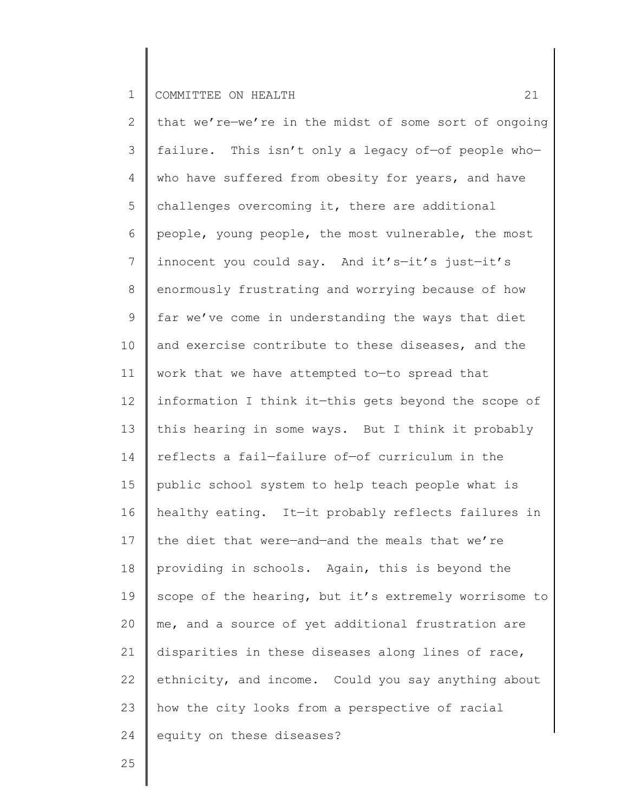2 3 4 5 6 7 8 9 10 11 12 13 14 15 16 17 18 19 20 21 22 23 24 that we're—we're in the midst of some sort of ongoing failure. This isn't only a legacy of—of people who who have suffered from obesity for years, and have challenges overcoming it, there are additional people, young people, the most vulnerable, the most innocent you could say. And it's—it's just—it's enormously frustrating and worrying because of how far we've come in understanding the ways that diet and exercise contribute to these diseases, and the work that we have attempted to—to spread that information I think it—this gets beyond the scope of this hearing in some ways. But I think it probably reflects a fail—failure of—of curriculum in the public school system to help teach people what is healthy eating. It—it probably reflects failures in the diet that were—and—and the meals that we're providing in schools. Again, this is beyond the scope of the hearing, but it's extremely worrisome to me, and a source of yet additional frustration are disparities in these diseases along lines of race, ethnicity, and income. Could you say anything about how the city looks from a perspective of racial equity on these diseases?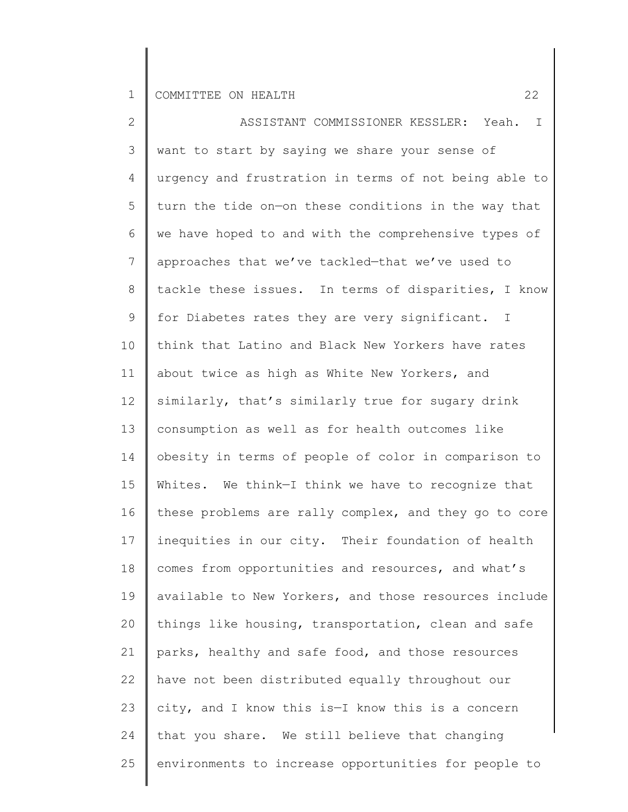2 3 4 5 6 7 8 9 10 11 12 13 14 15 16 17 18 19 20 21 22 23 24 25 ASSISTANT COMMISSIONER KESSLER: Yeah. I want to start by saying we share your sense of urgency and frustration in terms of not being able to turn the tide on—on these conditions in the way that we have hoped to and with the comprehensive types of approaches that we've tackled—that we've used to tackle these issues. In terms of disparities, I know for Diabetes rates they are very significant. I think that Latino and Black New Yorkers have rates about twice as high as White New Yorkers, and similarly, that's similarly true for sugary drink consumption as well as for health outcomes like obesity in terms of people of color in comparison to Whites. We think—I think we have to recognize that these problems are rally complex, and they go to core inequities in our city. Their foundation of health comes from opportunities and resources, and what's available to New Yorkers, and those resources include things like housing, transportation, clean and safe parks, healthy and safe food, and those resources have not been distributed equally throughout our city, and I know this is—I know this is a concern that you share. We still believe that changing environments to increase opportunities for people to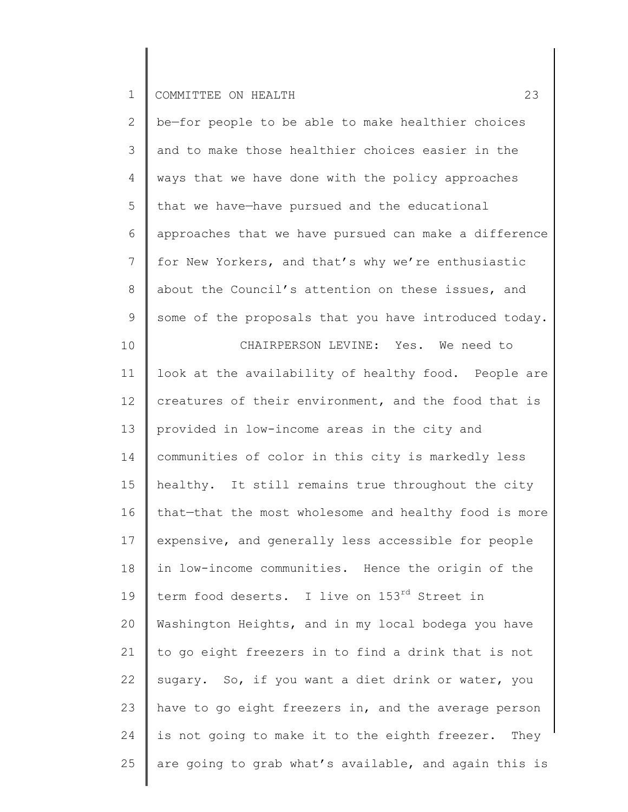| $\overline{2}$ | be-for people to be able to make healthier choices    |
|----------------|-------------------------------------------------------|
| 3              | and to make those healthier choices easier in the     |
| 4              | ways that we have done with the policy approaches     |
| 5              | that we have-have pursued and the educational         |
| 6              | approaches that we have pursued can make a difference |
| 7              | for New Yorkers, and that's why we're enthusiastic    |
| $8\,$          | about the Council's attention on these issues, and    |
| $\mathsf 9$    | some of the proposals that you have introduced today. |
| 10             | CHAIRPERSON LEVINE: Yes. We need to                   |
| 11             | look at the availability of healthy food. People are  |
| 12             | creatures of their environment, and the food that is  |
| 13             | provided in low-income areas in the city and          |
| 14             | communities of color in this city is markedly less    |
| 15             | healthy. It still remains true throughout the city    |
| 16             | that-that the most wholesome and healthy food is more |
| 17             | expensive, and generally less accessible for people   |
| 18             | in low-income communities. Hence the origin of the    |
| 19             | term food deserts. I live on 153rd Street in          |
| 20             | Washington Heights, and in my local bodega you have   |
| 21             | to go eight freezers in to find a drink that is not   |
| 22             | sugary. So, if you want a diet drink or water, you    |
| 23             | have to go eight freezers in, and the average person  |
| 24             | is not going to make it to the eighth freezer. They   |
| 25             | are going to grab what's available, and again this is |
|                |                                                       |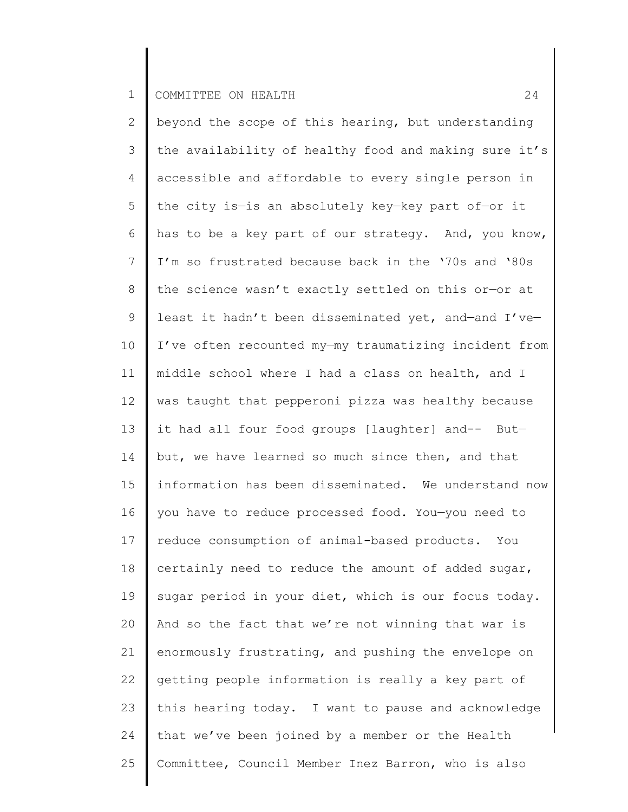2 3 4 5 6 7 8 9 10 11 12 13 14 15 16 17 18 19 20 21 22 23 24 25 beyond the scope of this hearing, but understanding the availability of healthy food and making sure it's accessible and affordable to every single person in the city is—is an absolutely key—key part of—or it has to be a key part of our strategy. And, you know, I'm so frustrated because back in the '70s and '80s the science wasn't exactly settled on this or—or at least it hadn't been disseminated yet, and—and I've— I've often recounted my—my traumatizing incident from middle school where I had a class on health, and I was taught that pepperoni pizza was healthy because it had all four food groups [laughter] and-- But but, we have learned so much since then, and that information has been disseminated. We understand now you have to reduce processed food. You—you need to reduce consumption of animal-based products. You certainly need to reduce the amount of added sugar, sugar period in your diet, which is our focus today. And so the fact that we're not winning that war is enormously frustrating, and pushing the envelope on getting people information is really a key part of this hearing today. I want to pause and acknowledge that we've been joined by a member or the Health Committee, Council Member Inez Barron, who is also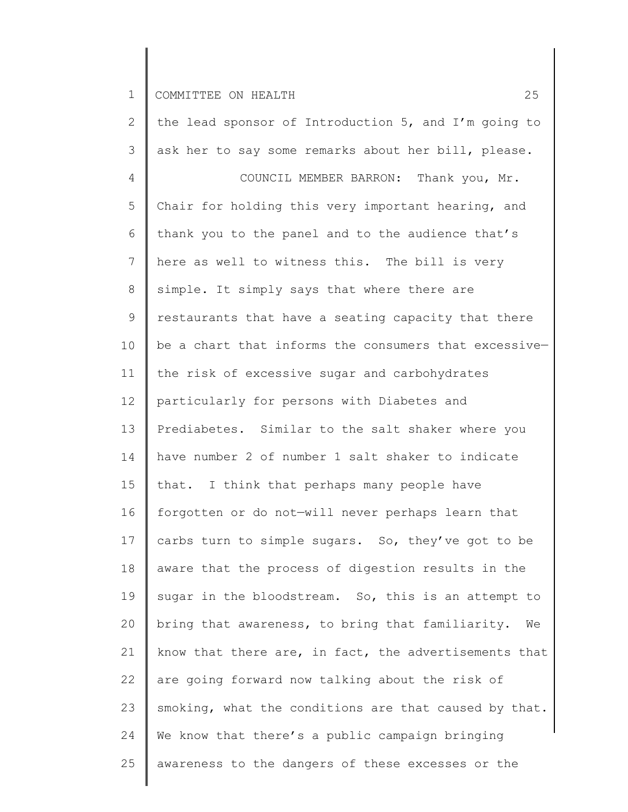2 3 4 5 6 7 8 9 10 11 12 13 14 15 16 17 18 19 20 21 22 23 24 25 the lead sponsor of Introduction 5, and I'm going to ask her to say some remarks about her bill, please. COUNCIL MEMBER BARRON: Thank you, Mr. Chair for holding this very important hearing, and thank you to the panel and to the audience that's here as well to witness this. The bill is very simple. It simply says that where there are restaurants that have a seating capacity that there be a chart that informs the consumers that excessive the risk of excessive sugar and carbohydrates particularly for persons with Diabetes and Prediabetes. Similar to the salt shaker where you have number 2 of number 1 salt shaker to indicate that. I think that perhaps many people have forgotten or do not—will never perhaps learn that carbs turn to simple sugars. So, they've got to be aware that the process of digestion results in the sugar in the bloodstream. So, this is an attempt to bring that awareness, to bring that familiarity. We know that there are, in fact, the advertisements that are going forward now talking about the risk of smoking, what the conditions are that caused by that. We know that there's a public campaign bringing awareness to the dangers of these excesses or the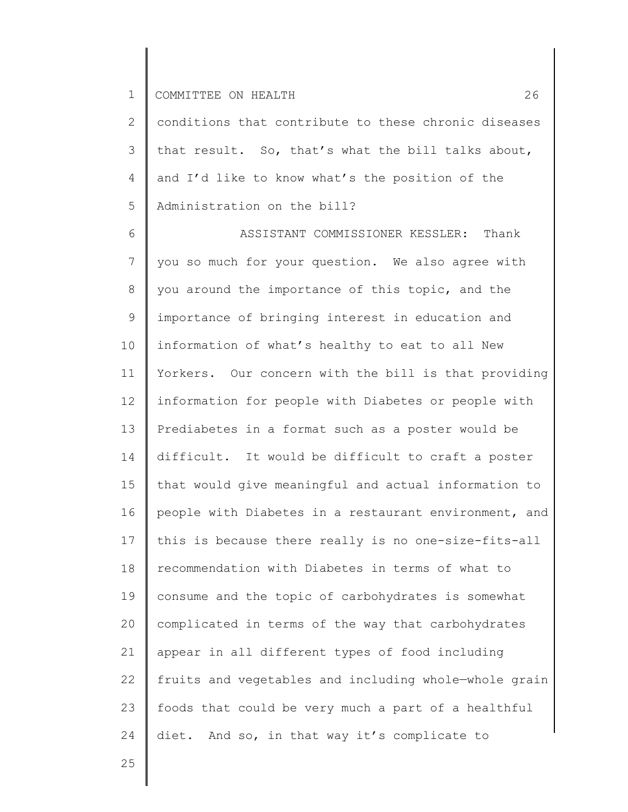2 3 4 5 conditions that contribute to these chronic diseases that result. So, that's what the bill talks about, and I'd like to know what's the position of the Administration on the bill?

6 7 8 9 10 11 12 13 14 15 16 17 18 19 20 21 22 23 24 ASSISTANT COMMISSIONER KESSLER: Thank you so much for your question. We also agree with you around the importance of this topic, and the importance of bringing interest in education and information of what's healthy to eat to all New Yorkers. Our concern with the bill is that providing information for people with Diabetes or people with Prediabetes in a format such as a poster would be difficult. It would be difficult to craft a poster that would give meaningful and actual information to people with Diabetes in a restaurant environment, and this is because there really is no one-size-fits-all recommendation with Diabetes in terms of what to consume and the topic of carbohydrates is somewhat complicated in terms of the way that carbohydrates appear in all different types of food including fruits and vegetables and including whole—whole grain foods that could be very much a part of a healthful diet. And so, in that way it's complicate to

25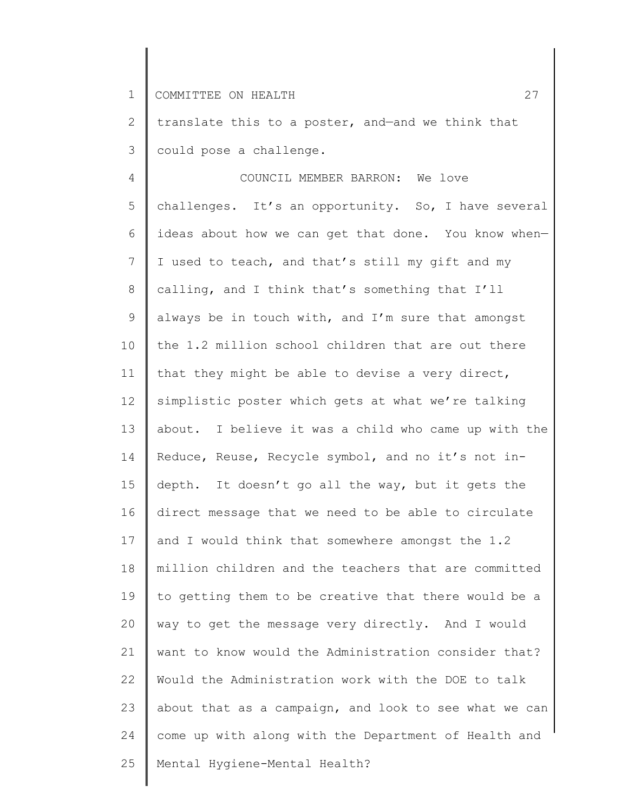2 3 translate this to a poster, and—and we think that could pose a challenge.

4 5 6 7 8 9 10 11 12 13 14 15 16 17 18 19 20 21 22 23 24 25 COUNCIL MEMBER BARRON: We love challenges. It's an opportunity. So, I have several ideas about how we can get that done. You know when— I used to teach, and that's still my gift and my calling, and I think that's something that I'll always be in touch with, and I'm sure that amongst the 1.2 million school children that are out there that they might be able to devise a very direct, simplistic poster which gets at what we're talking about. I believe it was a child who came up with the Reduce, Reuse, Recycle symbol, and no it's not indepth. It doesn't go all the way, but it gets the direct message that we need to be able to circulate and I would think that somewhere amongst the 1.2 million children and the teachers that are committed to getting them to be creative that there would be a way to get the message very directly. And I would want to know would the Administration consider that? Would the Administration work with the DOE to talk about that as a campaign, and look to see what we can come up with along with the Department of Health and Mental Hygiene-Mental Health?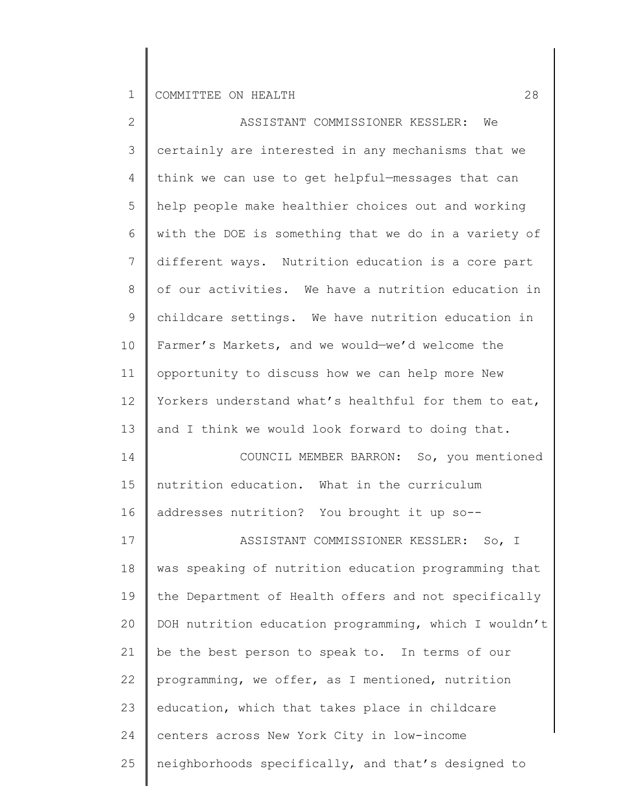| $\mathbf{2}$   | ASSISTANT COMMISSIONER KESSLER: We                    |
|----------------|-------------------------------------------------------|
| 3              | certainly are interested in any mechanisms that we    |
| 4              | think we can use to get helpful-messages that can     |
| 5              | help people make healthier choices out and working    |
| 6              | with the DOE is something that we do in a variety of  |
| $7\phantom{.}$ | different ways. Nutrition education is a core part    |
| 8              | of our activities. We have a nutrition education in   |
| 9              | childcare settings. We have nutrition education in    |
| 10             | Farmer's Markets, and we would-we'd welcome the       |
| 11             | opportunity to discuss how we can help more New       |
| 12             | Yorkers understand what's healthful for them to eat,  |
| 13             | and I think we would look forward to doing that.      |
| 14             | COUNCIL MEMBER BARRON: So, you mentioned              |
| 15             | nutrition education. What in the curriculum           |
| 16             | addresses nutrition? You brought it up so--           |
| 17             | ASSISTANT COMMISSIONER KESSLER: So, I                 |
| 18             | was speaking of nutrition education programming that  |
| 19             | the Department of Health offers and not specifically  |
| 20             | DOH nutrition education programming, which I wouldn't |
| 21             | be the best person to speak to. In terms of our       |
| 22             | programming, we offer, as I mentioned, nutrition      |
| 23             | education, which that takes place in childcare        |
| 24             | centers across New York City in low-income            |
| 25             | neighborhoods specifically, and that's designed to    |
|                |                                                       |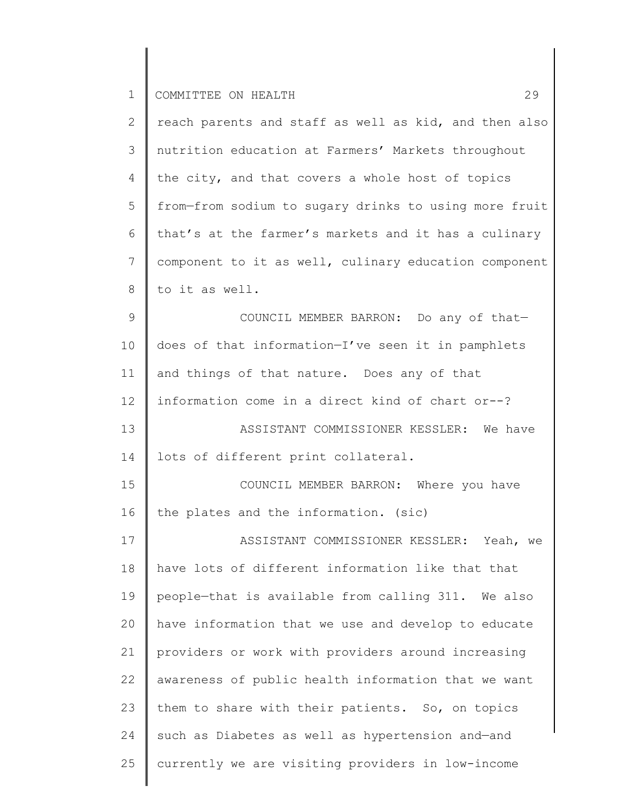| 2  | reach parents and staff as well as kid, and then also |
|----|-------------------------------------------------------|
| 3  | nutrition education at Farmers' Markets throughout    |
| 4  | the city, and that covers a whole host of topics      |
| 5  | from-from sodium to sugary drinks to using more fruit |
| 6  | that's at the farmer's markets and it has a culinary  |
| 7  | component to it as well, culinary education component |
| 8  | to it as well.                                        |
| 9  | COUNCIL MEMBER BARRON: Do any of that-                |
| 10 | does of that information-I've seen it in pamphlets    |
| 11 | and things of that nature. Does any of that           |
| 12 | information come in a direct kind of chart or--?      |
| 13 | ASSISTANT COMMISSIONER KESSLER: We have               |
| 14 | lots of different print collateral.                   |
| 15 | COUNCIL MEMBER BARRON: Where you have                 |
| 16 | the plates and the information. (sic)                 |
| 17 | ASSISTANT COMMISSIONER KESSLER: Yeah, we              |
| 18 | have lots of different information like that that     |
| 19 | people-that is available from calling 311. We also    |
| 20 | have information that we use and develop to educate   |
| 21 | providers or work with providers around increasing    |
| 22 | awareness of public health information that we want   |
| 23 | them to share with their patients. So, on topics      |
| 24 | such as Diabetes as well as hypertension and-and      |
| 25 | currently we are visiting providers in low-income     |
|    |                                                       |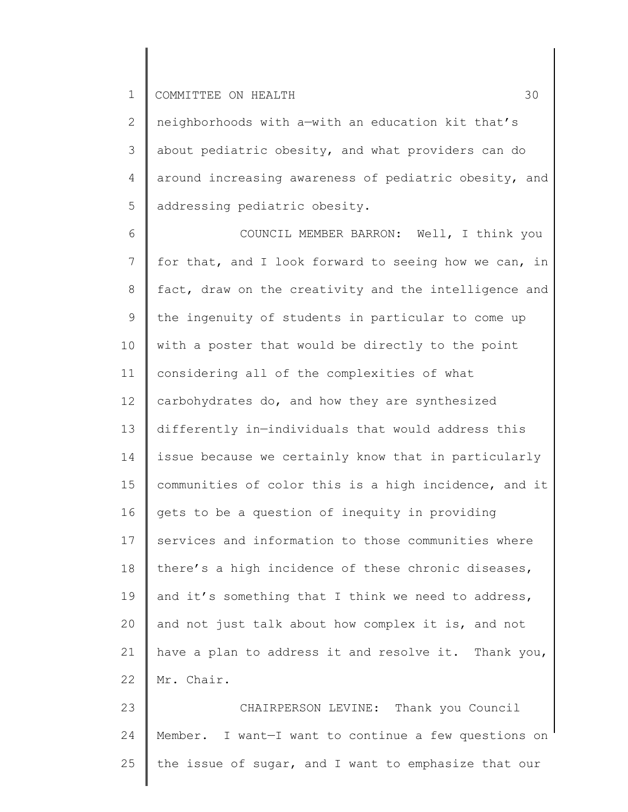2 3 4 5 neighborhoods with a—with an education kit that's about pediatric obesity, and what providers can do around increasing awareness of pediatric obesity, and addressing pediatric obesity.

6 7 8 9 10 11 12 13 14 15 16 17 18 19 20 21 22 COUNCIL MEMBER BARRON: Well, I think you for that, and I look forward to seeing how we can, in fact, draw on the creativity and the intelligence and the ingenuity of students in particular to come up with a poster that would be directly to the point considering all of the complexities of what carbohydrates do, and how they are synthesized differently in—individuals that would address this issue because we certainly know that in particularly communities of color this is a high incidence, and it gets to be a question of inequity in providing services and information to those communities where there's a high incidence of these chronic diseases, and it's something that I think we need to address, and not just talk about how complex it is, and not have a plan to address it and resolve it. Thank you, Mr. Chair.

23 24 25 CHAIRPERSON LEVINE: Thank you Council Member. I want—I want to continue a few questions on the issue of sugar, and I want to emphasize that our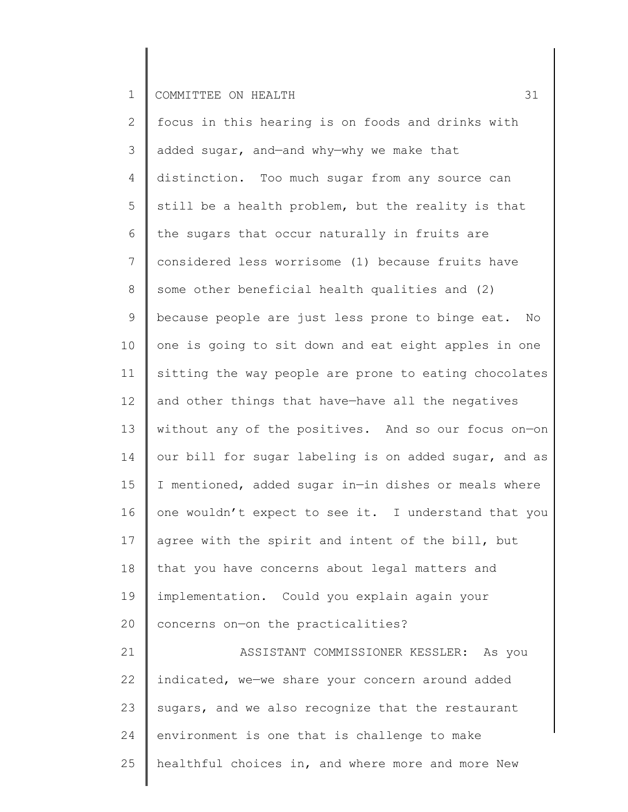25

2 3 4 5 6 7 8 9 10 11 12 13 14 15 16 17 18 19 20 21 22 23 24 focus in this hearing is on foods and drinks with added sugar, and—and why—why we make that distinction. Too much sugar from any source can still be a health problem, but the reality is that the sugars that occur naturally in fruits are considered less worrisome (1) because fruits have some other beneficial health qualities and (2) because people are just less prone to binge eat. No one is going to sit down and eat eight apples in one sitting the way people are prone to eating chocolates and other things that have—have all the negatives without any of the positives. And so our focus on—on our bill for sugar labeling is on added sugar, and as I mentioned, added sugar in—in dishes or meals where one wouldn't expect to see it. I understand that you agree with the spirit and intent of the bill, but that you have concerns about legal matters and implementation. Could you explain again your concerns on—on the practicalities? ASSISTANT COMMISSIONER KESSLER: As you indicated, we—we share your concern around added sugars, and we also recognize that the restaurant environment is one that is challenge to make

healthful choices in, and where more and more New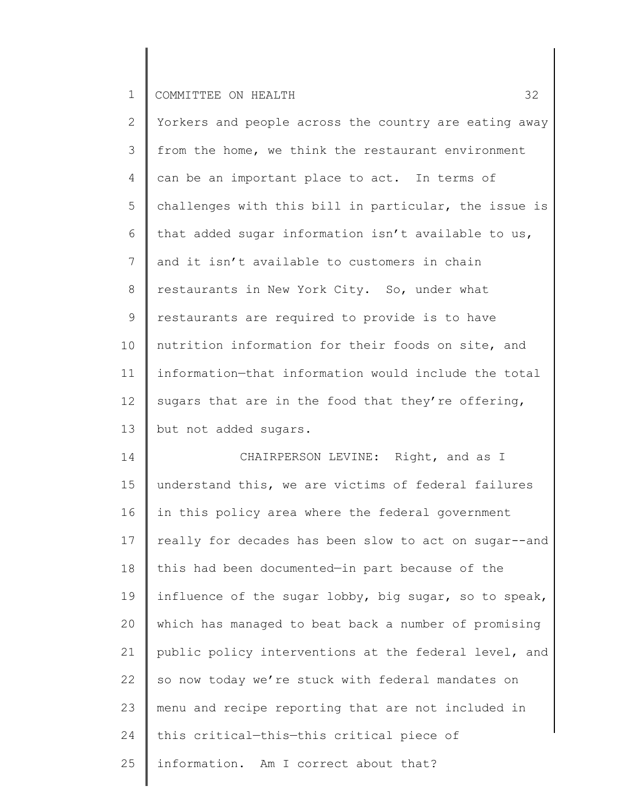2 3 4 5 6 7 8 9 10 11 12 13 Yorkers and people across the country are eating away from the home, we think the restaurant environment can be an important place to act. In terms of challenges with this bill in particular, the issue is that added sugar information isn't available to us, and it isn't available to customers in chain restaurants in New York City. So, under what restaurants are required to provide is to have nutrition information for their foods on site, and information—that information would include the total sugars that are in the food that they're offering, but not added sugars.

14 15 16 17 18 19 20 21 22 23 24 25 CHAIRPERSON LEVINE: Right, and as I understand this, we are victims of federal failures in this policy area where the federal government really for decades has been slow to act on sugar--and this had been documented—in part because of the influence of the sugar lobby, big sugar, so to speak, which has managed to beat back a number of promising public policy interventions at the federal level, and so now today we're stuck with federal mandates on menu and recipe reporting that are not included in this critical—this—this critical piece of information. Am I correct about that?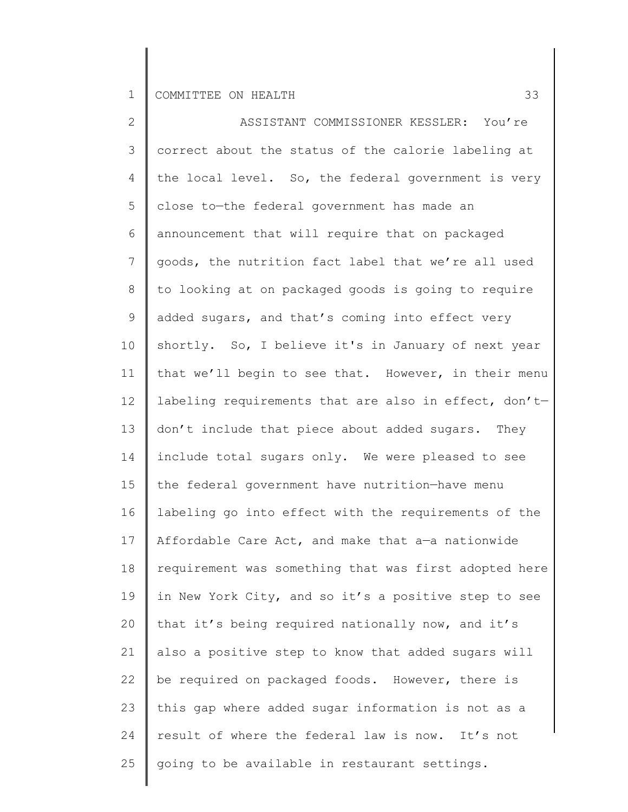| $\overline{2}$  | ASSISTANT COMMISSIONER KESSLER: You're                |
|-----------------|-------------------------------------------------------|
| 3               | correct about the status of the calorie labeling at   |
| 4               | the local level. So, the federal government is very   |
| 5               | close to-the federal government has made an           |
| 6               | announcement that will require that on packaged       |
| $7\overline{ }$ | goods, the nutrition fact label that we're all used   |
| $8\,$           | to looking at on packaged goods is going to require   |
| 9               | added sugars, and that's coming into effect very      |
| 10              | shortly. So, I believe it's in January of next year   |
| 11              | that we'll begin to see that. However, in their menu  |
| 12              | labeling requirements that are also in effect, don't- |
| 13              | don't include that piece about added sugars. They     |
| 14              | include total sugars only. We were pleased to see     |
| 15              | the federal government have nutrition-have menu       |
| 16              | labeling go into effect with the requirements of the  |
| 17              | Affordable Care Act, and make that a-a nationwide     |
| 18              | requirement was something that was first adopted here |
| 19              | in New York City, and so it's a positive step to see  |
| 20              | that it's being required nationally now, and it's     |
| 21              | also a positive step to know that added sugars will   |
| 22              | be required on packaged foods. However, there is      |
| 23              | this gap where added sugar information is not as a    |
| 24              | result of where the federal law is now. It's not      |
| 25              | going to be available in restaurant settings.         |
|                 |                                                       |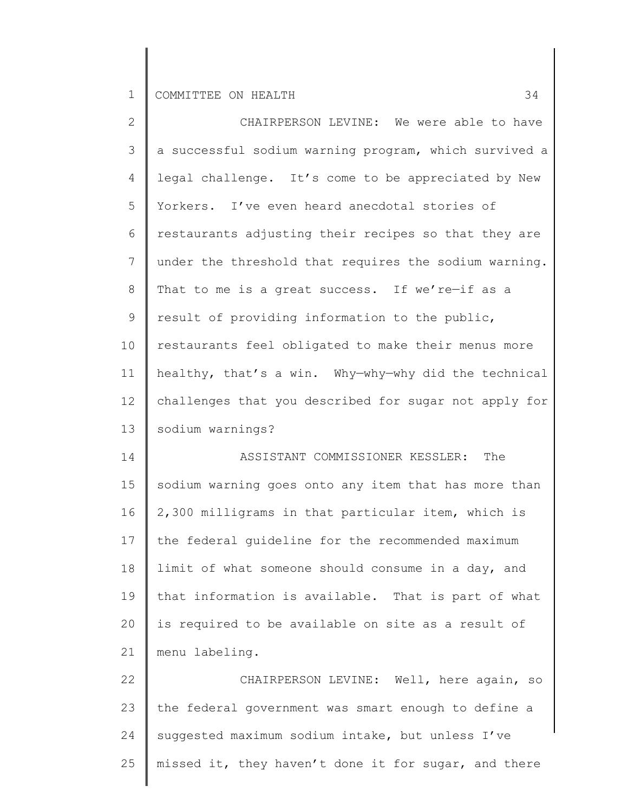| $\overline{2}$ | CHAIRPERSON LEVINE: We were able to have              |
|----------------|-------------------------------------------------------|
| 3              | a successful sodium warning program, which survived a |
| 4              | legal challenge. It's come to be appreciated by New   |
| 5              | Yorkers. I've even heard anecdotal stories of         |
| 6              | restaurants adjusting their recipes so that they are  |
| 7              | under the threshold that requires the sodium warning. |
| 8              | That to me is a great success. If we're-if as a       |
| 9              | result of providing information to the public,        |
| 10             | restaurants feel obligated to make their menus more   |
| 11             | healthy, that's a win. Why-why-why did the technical  |
| 12             | challenges that you described for sugar not apply for |
| 13             | sodium warnings?                                      |
| 14             | The<br>ASSISTANT COMMISSIONER KESSLER:                |
| 15             | sodium warning goes onto any item that has more than  |
| 16             |                                                       |
|                | 2,300 milligrams in that particular item, which is    |
| 17             | the federal guideline for the recommended maximum     |
| 18             | limit of what someone should consume in a day, and    |
| 19             | that information is available. That is part of what   |
| 20             | is required to be available on site as a result of    |
| 21             | menu labeling.                                        |
| 22             | CHAIRPERSON LEVINE: Well, here again, so              |
| 23             | the federal government was smart enough to define a   |
| 24             | suggested maximum sodium intake, but unless I've      |

25 | missed it, they haven't done it for sugar, and there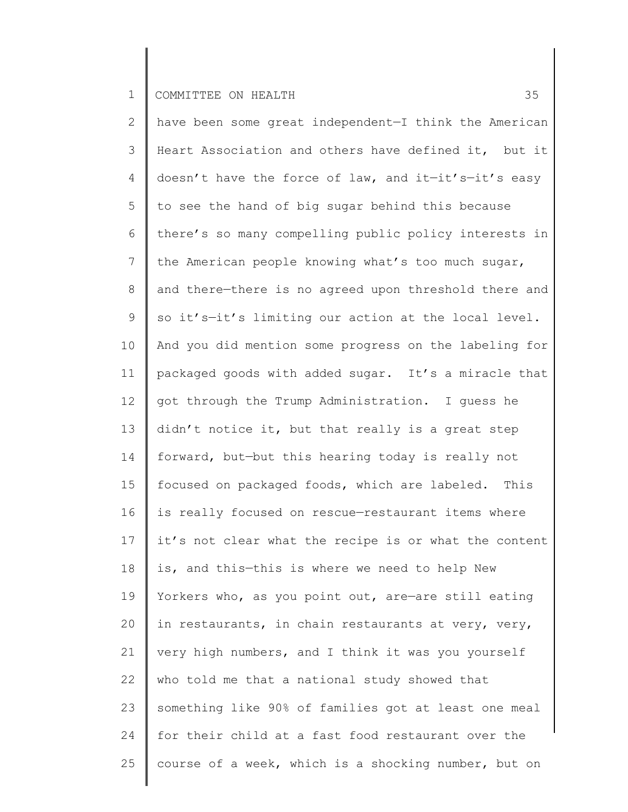2 3 4 5 6 7 8 9 10 11 12 13 14 15 16 17 18 19 20 21 22 23 24 25 have been some great independent—I think the American Heart Association and others have defined it, but it doesn't have the force of law, and it—it's—it's easy to see the hand of big sugar behind this because there's so many compelling public policy interests in the American people knowing what's too much sugar, and there—there is no agreed upon threshold there and so it's—it's limiting our action at the local level. And you did mention some progress on the labeling for packaged goods with added sugar. It's a miracle that got through the Trump Administration. I guess he didn't notice it, but that really is a great step forward, but—but this hearing today is really not focused on packaged foods, which are labeled. This is really focused on rescue—restaurant items where it's not clear what the recipe is or what the content is, and this—this is where we need to help New Yorkers who, as you point out, are—are still eating in restaurants, in chain restaurants at very, very, very high numbers, and I think it was you yourself who told me that a national study showed that something like 90% of families got at least one meal for their child at a fast food restaurant over the course of a week, which is a shocking number, but on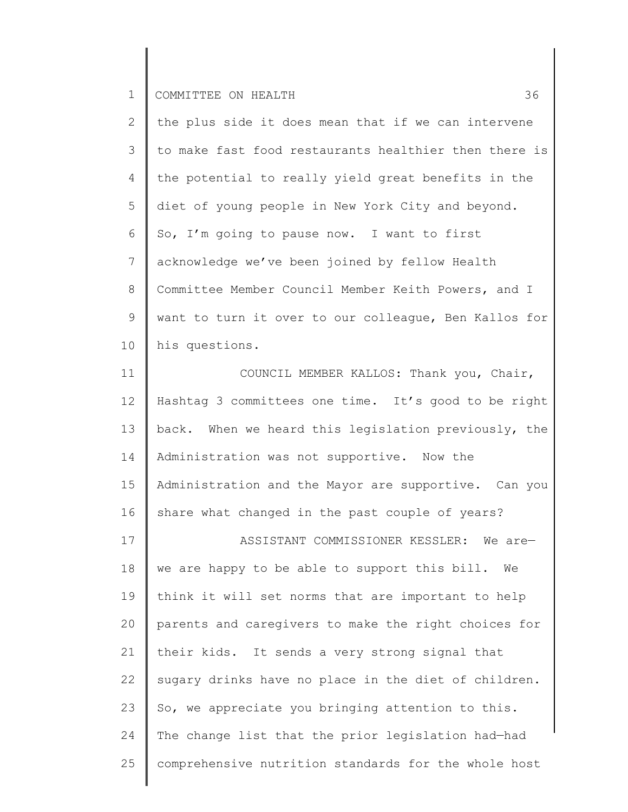| $\mathbf{2}^{\mathsf{I}}$ | the plus side it does mean that if we can intervene   |
|---------------------------|-------------------------------------------------------|
| 3                         | to make fast food restaurants healthier then there is |
| 4                         | the potential to really yield great benefits in the   |
| 5                         | diet of young people in New York City and beyond.     |
| 6                         | So, I'm going to pause now. I want to first           |
| $7\overline{ }$           | acknowledge we've been joined by fellow Health        |
| 8                         | Committee Member Council Member Keith Powers, and I   |
| 9                         | want to turn it over to our colleague, Ben Kallos for |
| 10                        | his questions.                                        |
| 11                        | COUNCIL MEMBER KALLOS: Thank you, Chair,              |
| 12 <sup>°</sup>           | Hashtag 3 committees one time. It's good to be right  |

13 14 15 16 back. When we heard this legislation previously, the Administration was not supportive. Now the Administration and the Mayor are supportive. Can you share what changed in the past couple of years?

17 18 19 20 21 22 23 24 25 ASSISTANT COMMISSIONER KESSLER: We are we are happy to be able to support this bill. We think it will set norms that are important to help parents and caregivers to make the right choices for their kids. It sends a very strong signal that sugary drinks have no place in the diet of children. So, we appreciate you bringing attention to this. The change list that the prior legislation had—had comprehensive nutrition standards for the whole host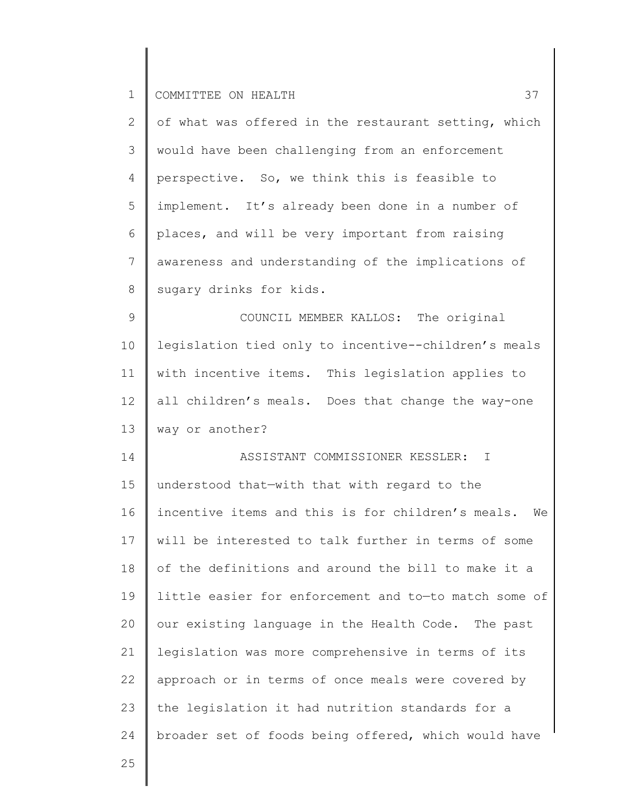| $\mathbf{2}$               | of what was offered in the restaurant setting, which    |
|----------------------------|---------------------------------------------------------|
| 3                          | would have been challenging from an enforcement         |
| 4                          | perspective. So, we think this is feasible to           |
| 5                          | implement. It's already been done in a number of        |
| 6                          | places, and will be very important from raising         |
| 7                          | awareness and understanding of the implications of      |
| 8                          | sugary drinks for kids.                                 |
| 9                          | COUNCIL MEMBER KALLOS: The original                     |
| 10                         | legislation tied only to incentive--children's meals    |
| 11                         | with incentive items. This legislation applies to       |
| 12 <sup>°</sup>            | all children's meals. Does that change the way-one      |
| 13                         | way or another?                                         |
|                            |                                                         |
|                            | ASSISTANT COMMISSIONER KESSLER:<br>$\mathbb{I}$         |
| 14<br>15                   | understood that-with that with regard to the            |
|                            | incentive items and this is for children's meals.<br>We |
|                            | will be interested to talk further in terms of some     |
|                            | of the definitions and around the bill to make it a     |
|                            | little easier for enforcement and to-to match some of   |
| 16<br>17<br>18<br>19<br>20 | our existing language in the Health Code. The past      |
| 21                         | legislation was more comprehensive in terms of its      |
| 22                         | approach or in terms of once meals were covered by      |
| 23                         | the legislation it had nutrition standards for a        |
| 24                         | broader set of foods being offered, which would have    |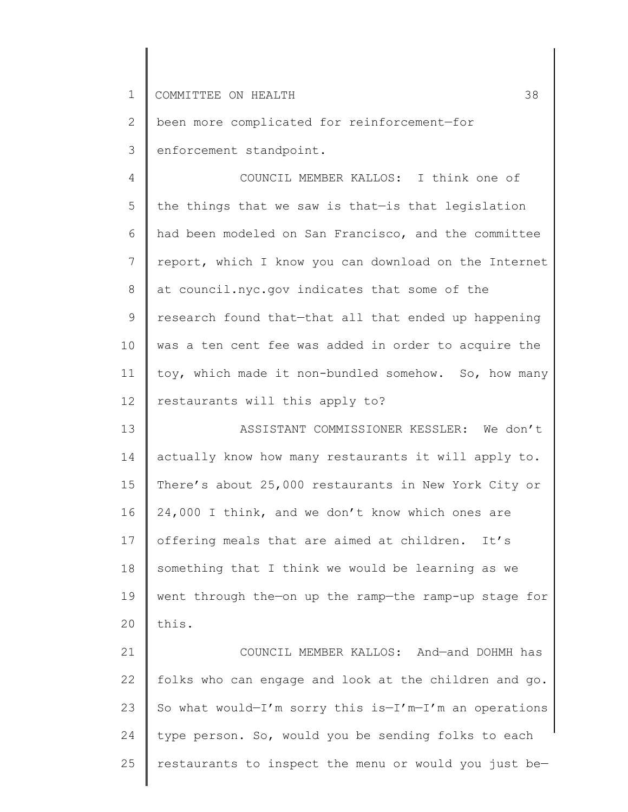2 3 been more complicated for reinforcement—for enforcement standpoint.

4 5 6 7 8 9 10 11 12 COUNCIL MEMBER KALLOS: I think one of the things that we saw is that—is that legislation had been modeled on San Francisco, and the committee report, which I know you can download on the Internet at council.nyc.gov indicates that some of the research found that—that all that ended up happening was a ten cent fee was added in order to acquire the toy, which made it non-bundled somehow. So, how many restaurants will this apply to?

13 14 15 16 17 18 19 20 ASSISTANT COMMISSIONER KESSLER: We don't actually know how many restaurants it will apply to. There's about 25,000 restaurants in New York City or 24,000 I think, and we don't know which ones are offering meals that are aimed at children. It's something that I think we would be learning as we went through the—on up the ramp—the ramp-up stage for this.

21 22 23 24 25 COUNCIL MEMBER KALLOS: And—and DOHMH has folks who can engage and look at the children and go. So what would-I'm sorry this is-I'm-I'm an operations type person. So, would you be sending folks to each restaurants to inspect the menu or would you just be—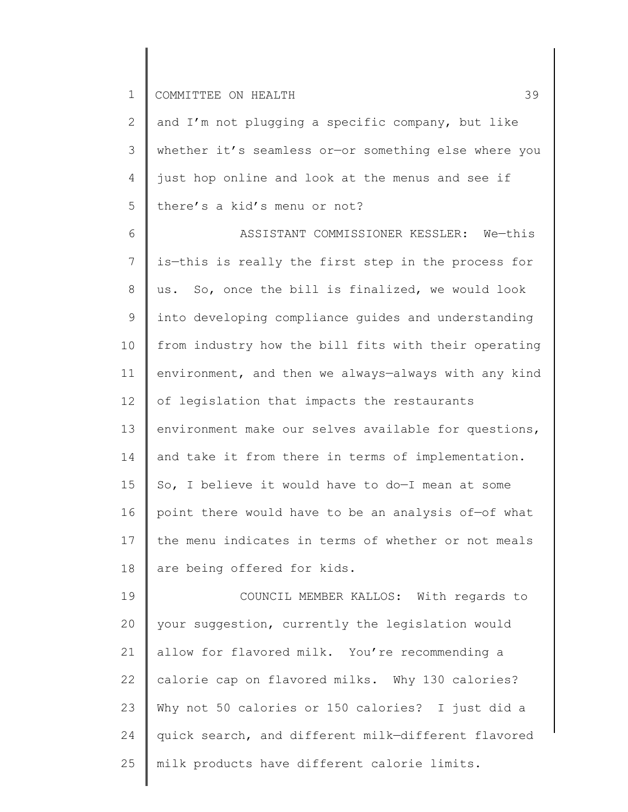2 3 4 5 and I'm not plugging a specific company, but like whether it's seamless or—or something else where you just hop online and look at the menus and see if there's a kid's menu or not?

6 7 8 9 10 11 12 13 14 15 16 17 18 ASSISTANT COMMISSIONER KESSLER: We—this is—this is really the first step in the process for us. So, once the bill is finalized, we would look into developing compliance guides and understanding from industry how the bill fits with their operating environment, and then we always—always with any kind of legislation that impacts the restaurants environment make our selves available for questions, and take it from there in terms of implementation. So, I believe it would have to do—I mean at some point there would have to be an analysis of—of what the menu indicates in terms of whether or not meals are being offered for kids.

19 20 21 22 23 24 25 COUNCIL MEMBER KALLOS: With regards to your suggestion, currently the legislation would allow for flavored milk. You're recommending a calorie cap on flavored milks. Why 130 calories? Why not 50 calories or 150 calories? I just did a quick search, and different milk—different flavored milk products have different calorie limits.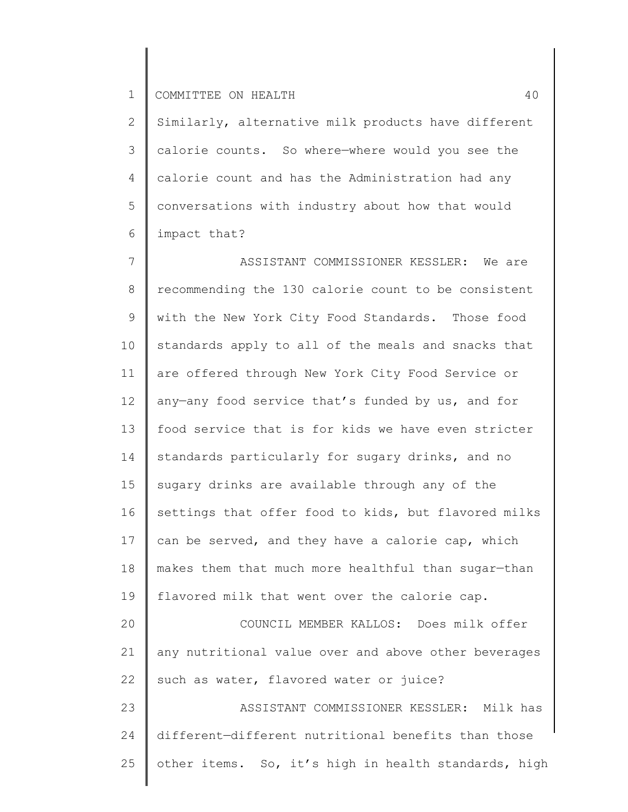25

2 3 4 5 6 Similarly, alternative milk products have different calorie counts. So where—where would you see the calorie count and has the Administration had any conversations with industry about how that would impact that?

7 8 9 10 11 12 13 14 15 16 17 18 19 20 21 22 23 24 ASSISTANT COMMISSIONER KESSLER: We are recommending the 130 calorie count to be consistent with the New York City Food Standards. Those food standards apply to all of the meals and snacks that are offered through New York City Food Service or any—any food service that's funded by us, and for food service that is for kids we have even stricter standards particularly for sugary drinks, and no sugary drinks are available through any of the settings that offer food to kids, but flavored milks can be served, and they have a calorie cap, which makes them that much more healthful than sugar—than flavored milk that went over the calorie cap. COUNCIL MEMBER KALLOS: Does milk offer any nutritional value over and above other beverages such as water, flavored water or juice? ASSISTANT COMMISSIONER KESSLER: Milk has different—different nutritional benefits than those

other items. So, it's high in health standards, high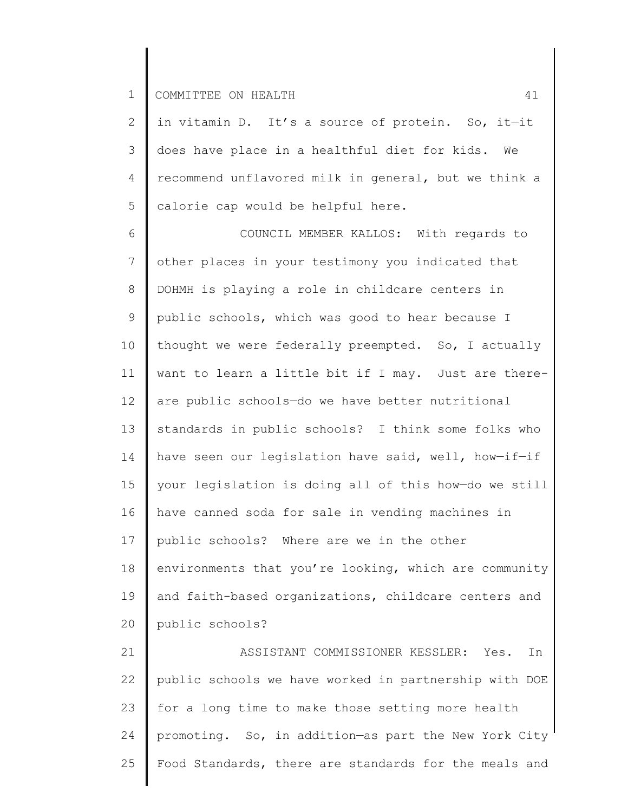2 3 4 5 in vitamin D. It's a source of protein. So, it—it does have place in a healthful diet for kids. We recommend unflavored milk in general, but we think a calorie cap would be helpful here.

6 7 8 9 10 11 12 13 14 15 16 17 18 19 20 COUNCIL MEMBER KALLOS: With regards to other places in your testimony you indicated that DOHMH is playing a role in childcare centers in public schools, which was good to hear because I thought we were federally preempted. So, I actually want to learn a little bit if I may. Just are thereare public schools—do we have better nutritional standards in public schools? I think some folks who have seen our legislation have said, well, how-if-if your legislation is doing all of this how—do we still have canned soda for sale in vending machines in public schools? Where are we in the other environments that you're looking, which are community and faith-based organizations, childcare centers and public schools?

21 22 23 24 25 ASSISTANT COMMISSIONER KESSLER: Yes. In public schools we have worked in partnership with DOE for a long time to make those setting more health promoting. So, in addition—as part the New York City Food Standards, there are standards for the meals and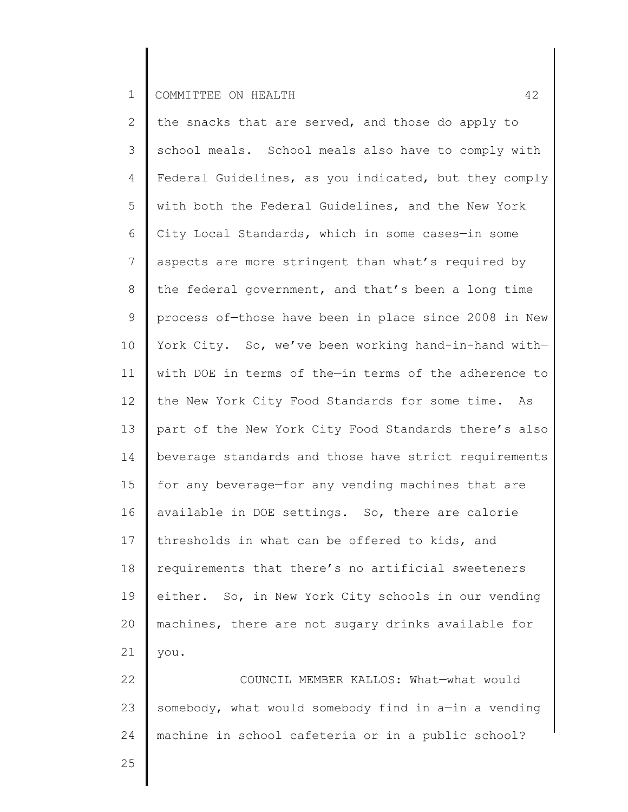2 3 4 5 6 7 8 9 10 11 12 13 14 15 16 17 18 19 20 21 22 23 the snacks that are served, and those do apply to school meals. School meals also have to comply with Federal Guidelines, as you indicated, but they comply with both the Federal Guidelines, and the New York City Local Standards, which in some cases—in some aspects are more stringent than what's required by the federal government, and that's been a long time process of—those have been in place since 2008 in New York City. So, we've been working hand-in-hand with with DOE in terms of the—in terms of the adherence to the New York City Food Standards for some time. As part of the New York City Food Standards there's also beverage standards and those have strict requirements for any beverage—for any vending machines that are available in DOE settings. So, there are calorie thresholds in what can be offered to kids, and requirements that there's no artificial sweeteners either. So, in New York City schools in our vending machines, there are not sugary drinks available for you. COUNCIL MEMBER KALLOS: What—what would somebody, what would somebody find in a—in a vending

machine in school cafeteria or in a public school?

24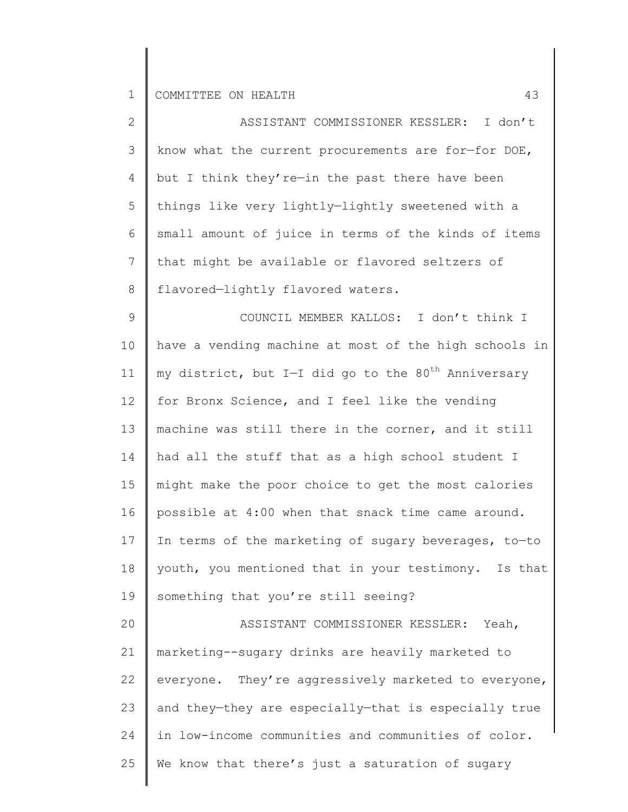| $\overline{2}$  | ASSISTANT COMMISSIONER KESSLER: I don't                         |
|-----------------|-----------------------------------------------------------------|
| 3               | know what the current procurements are for-for DOE,             |
| 4               | but I think they're-in the past there have been                 |
| 5               | things like very lightly-lightly sweetened with a               |
| 6               | small amount of juice in terms of the kinds of items            |
| $\overline{7}$  | that might be available or flavored seltzers of                 |
| 8               | flavored-lightly flavored waters.                               |
| 9               | COUNCIL MEMBER KALLOS: I don't think I                          |
| 10              | have a vending machine at most of the high schools in           |
| 11              | my district, but I-I did go to the 80 <sup>th</sup> Anniversary |
| 12 <sup>°</sup> | for Bronx Science, and I feel like the vending                  |
| 13              | machine was still there in the corner, and it still             |
| 14              | had all the stuff that as a high school student I               |
| 15              | might make the poor choice to get the most calories             |
| 16              | possible at 4:00 when that snack time came around.              |
| 17              | In terms of the marketing of sugary beverages, to-to            |
|                 | 18   youth, you mentioned that in your testimony. Is that       |
| 19              | something that you're still seeing?                             |
| 20              | ASSISTANT COMMISSIONER KESSLER:<br>Yeah,                        |
| 21              | marketing--sugary drinks are heavily marketed to                |
| 22              | everyone. They're aggressively marketed to everyone,            |
| 23              | and they-they are especially-that is especially true            |
| 24              | in low-income communities and communities of color.             |
| 25              | We know that there's just a saturation of sugary                |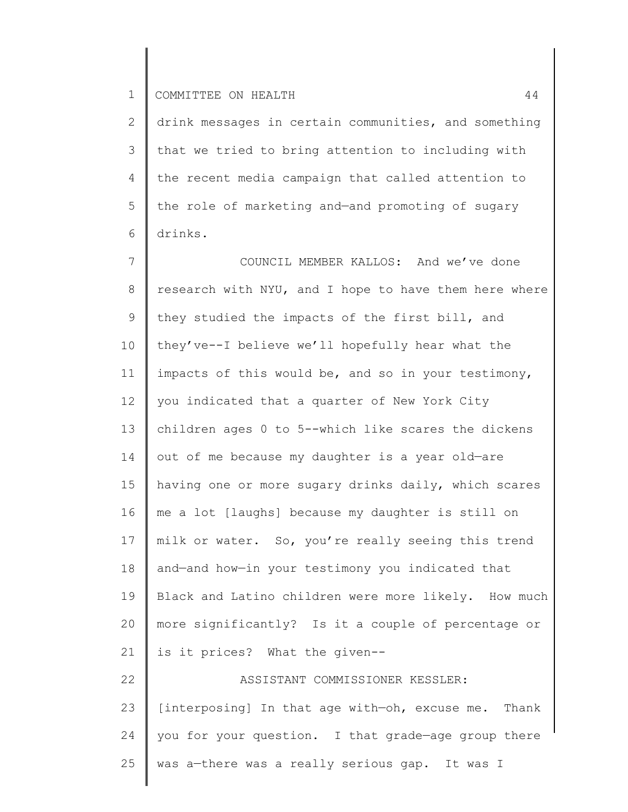2 3 4 5 6 drink messages in certain communities, and something that we tried to bring attention to including with the recent media campaign that called attention to the role of marketing and—and promoting of sugary drinks.

7 8 9 10 11 12 13 14 15 16 17 18 19 20 21 22 23 24 25 COUNCIL MEMBER KALLOS: And we've done research with NYU, and I hope to have them here where they studied the impacts of the first bill, and they've--I believe we'll hopefully hear what the impacts of this would be, and so in your testimony, you indicated that a quarter of New York City children ages 0 to 5--which like scares the dickens out of me because my daughter is a year old—are having one or more sugary drinks daily, which scares me a lot [laughs] because my daughter is still on milk or water. So, you're really seeing this trend and—and how—in your testimony you indicated that Black and Latino children were more likely. How much more significantly? Is it a couple of percentage or is it prices? What the given-- ASSISTANT COMMISSIONER KESSLER: [interposing] In that age with—oh, excuse me. Thank you for your question. I that grade—age group there was a—there was a really serious gap. It was I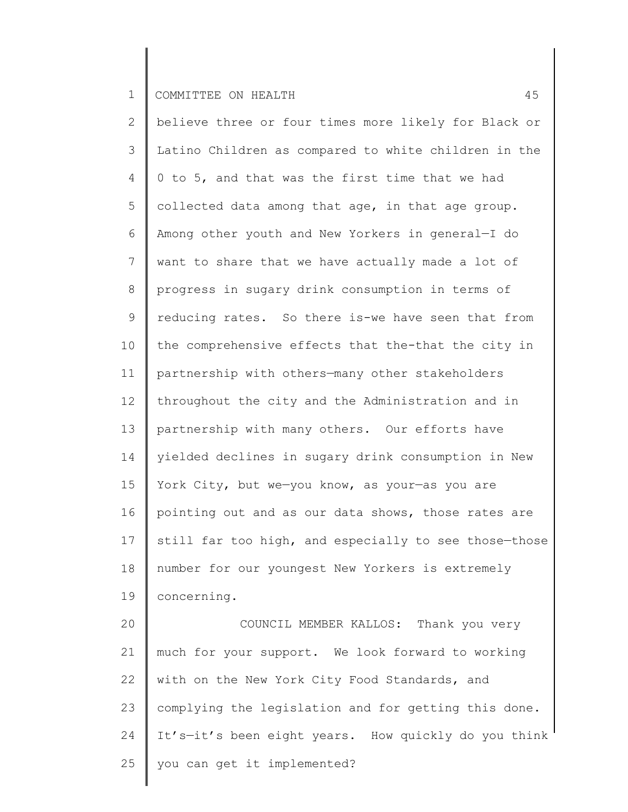2 3 4 5 6 7 8 9 10 11 12 13 14 15 16 17 18 19 20 21 22 23 believe three or four times more likely for Black or Latino Children as compared to white children in the 0 to 5, and that was the first time that we had collected data among that age, in that age group. Among other youth and New Yorkers in general—I do want to share that we have actually made a lot of progress in sugary drink consumption in terms of reducing rates. So there is-we have seen that from the comprehensive effects that the-that the city in partnership with others—many other stakeholders throughout the city and the Administration and in partnership with many others. Our efforts have yielded declines in sugary drink consumption in New York City, but we—you know, as your—as you are pointing out and as our data shows, those rates are still far too high, and especially to see those-those number for our youngest New Yorkers is extremely concerning. COUNCIL MEMBER KALLOS: Thank you very much for your support. We look forward to working with on the New York City Food Standards, and complying the legislation and for getting this done.

24 It's—it's been eight years. How quickly do you think

25 you can get it implemented?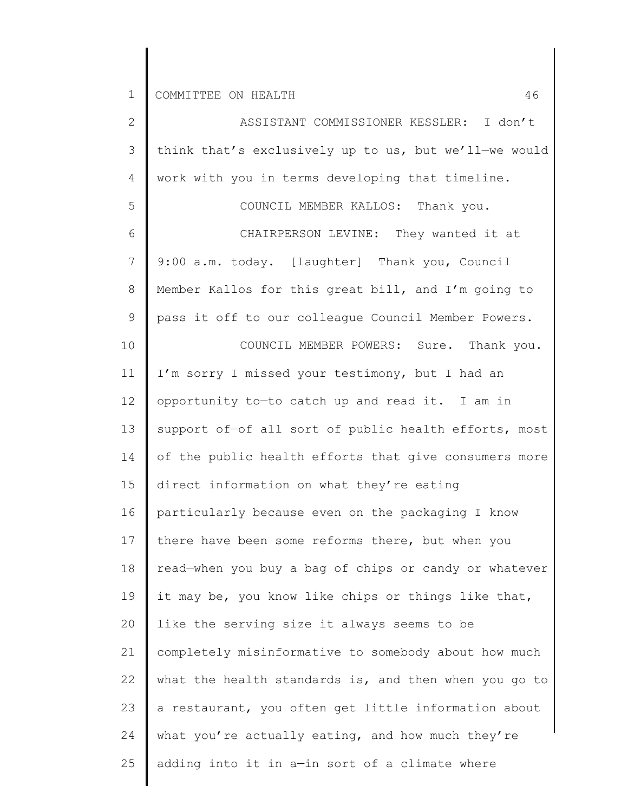| $\mathbf{2}$  | ASSISTANT COMMISSIONER KESSLER: I don't               |
|---------------|-------------------------------------------------------|
| $\mathcal{S}$ | think that's exclusively up to us, but we'll-we would |
| 4             | work with you in terms developing that timeline.      |
| 5             | COUNCIL MEMBER KALLOS: Thank you.                     |
| 6             | CHAIRPERSON LEVINE: They wanted it at                 |
| 7             | 9:00 a.m. today. [laughter] Thank you, Council        |
| $\,8\,$       | Member Kallos for this great bill, and I'm going to   |
| $\mathsf 9$   | pass it off to our colleague Council Member Powers.   |
| 10            | COUNCIL MEMBER POWERS: Sure. Thank you.               |
| 11            | I'm sorry I missed your testimony, but I had an       |
| 12            | opportunity to-to catch up and read it. I am in       |
| 13            | support of-of all sort of public health efforts, most |
| 14            | of the public health efforts that give consumers more |
| 15            | direct information on what they're eating             |
| 16            | particularly because even on the packaging I know     |
| 17            | there have been some reforms there, but when you      |
| 18            | read-when you buy a bag of chips or candy or whatever |
| 19            | it may be, you know like chips or things like that,   |
| 20            | like the serving size it always seems to be           |
| 21            | completely misinformative to somebody about how much  |
| 22            | what the health standards is, and then when you go to |
| 23            | a restaurant, you often get little information about  |
| 24            | what you're actually eating, and how much they're     |
| 25            | adding into it in a-in sort of a climate where        |
|               |                                                       |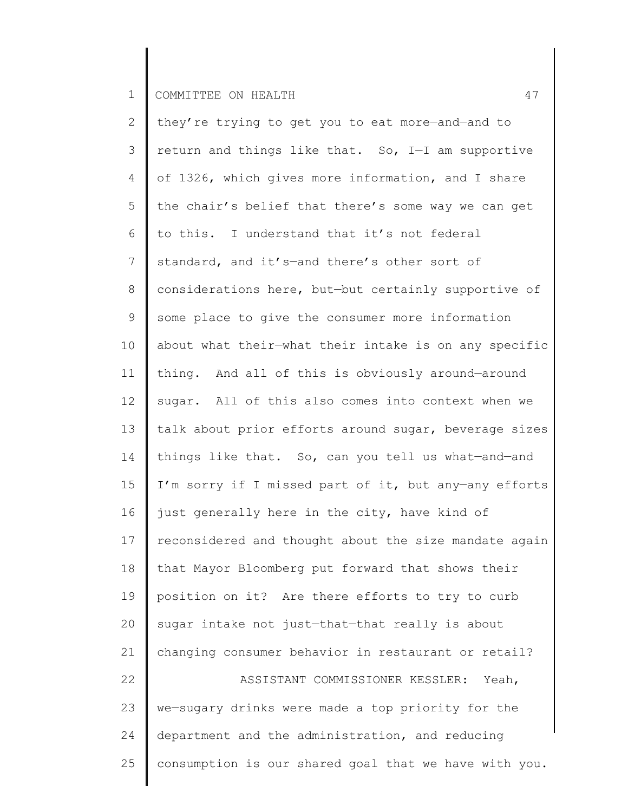| $\overline{2}$  | they're trying to get you to eat more-and-and to      |
|-----------------|-------------------------------------------------------|
| 3               | return and things like that. So, I-I am supportive    |
| 4               | of 1326, which gives more information, and I share    |
| 5               | the chair's belief that there's some way we can get   |
| 6               | to this. I understand that it's not federal           |
| $7\overline{ }$ | standard, and it's-and there's other sort of          |
| 8               | considerations here, but-but certainly supportive of  |
| $\mathsf 9$     | some place to give the consumer more information      |
| 10 <sub>o</sub> | about what their-what their intake is on any specific |
| 11              | thing. And all of this is obviously around-around     |
| 12 <sup>°</sup> | sugar. All of this also comes into context when we    |
| 13              | talk about prior efforts around sugar, beverage sizes |
| 14              | things like that. So, can you tell us what-and-and    |
| 15              | I'm sorry if I missed part of it, but any-any efforts |
| 16              | just generally here in the city, have kind of         |
| 17              | reconsidered and thought about the size mandate again |
| 18              | that Mayor Bloomberg put forward that shows their     |
| 19              | position on it? Are there efforts to try to curb      |
| 20              | sugar intake not just-that-that really is about       |
| 21              | changing consumer behavior in restaurant or retail?   |
| 22              | ASSISTANT COMMISSIONER KESSLER:<br>Yeah,              |
| 23              | we-sugary drinks were made a top priority for the     |
| 24              | department and the administration, and reducing       |
| 25              | consumption is our shared goal that we have with you. |
|                 |                                                       |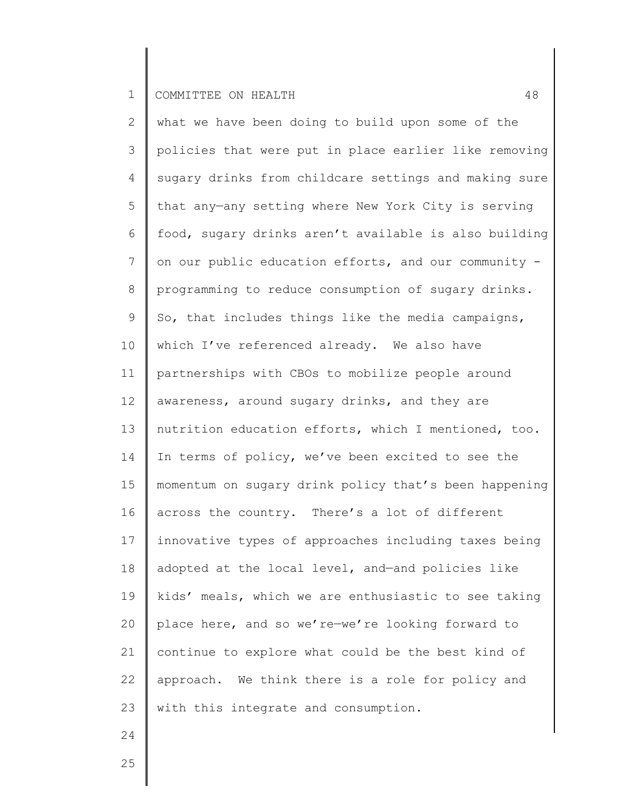2 3 4 5 6 7 8 9 10 11 12 13 14 15 16 17 18 19 20 21 22 23 what we have been doing to build upon some of the policies that were put in place earlier like removing sugary drinks from childcare settings and making sure that any—any setting where New York City is serving food, sugary drinks aren't available is also building on our public education efforts, and our community programming to reduce consumption of sugary drinks. So, that includes things like the media campaigns, which I've referenced already. We also have partnerships with CBOs to mobilize people around awareness, around sugary drinks, and they are nutrition education efforts, which I mentioned, too. In terms of policy, we've been excited to see the momentum on sugary drink policy that's been happening across the country. There's a lot of different innovative types of approaches including taxes being adopted at the local level, and—and policies like kids' meals, which we are enthusiastic to see taking place here, and so we're—we're looking forward to continue to explore what could be the best kind of approach. We think there is a role for policy and with this integrate and consumption.

24

25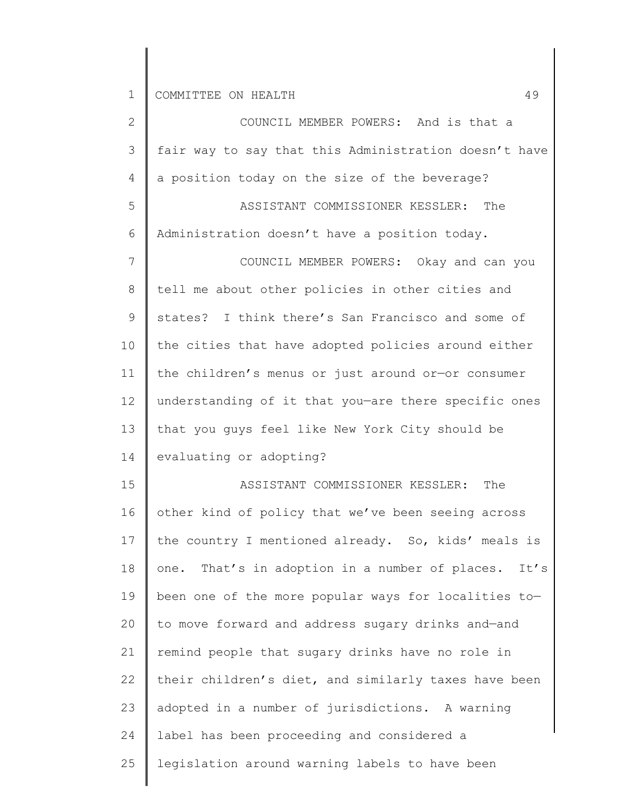| $\overline{2}$ | COUNCIL MEMBER POWERS: And is that a                   |
|----------------|--------------------------------------------------------|
| 3              | fair way to say that this Administration doesn't have  |
| 4              | a position today on the size of the beverage?          |
| 5              | The<br>ASSISTANT COMMISSIONER KESSLER:                 |
| 6              | Administration doesn't have a position today.          |
| $\overline{7}$ | COUNCIL MEMBER POWERS: Okay and can you                |
| $\,8\,$        | tell me about other policies in other cities and       |
| $\mathsf 9$    | states? I think there's San Francisco and some of      |
| 10             | the cities that have adopted policies around either    |
| 11             | the children's menus or just around or-or consumer     |
| 12             | understanding of it that you-are there specific ones   |
| 13             | that you guys feel like New York City should be        |
| 14             | evaluating or adopting?                                |
| 15             | ASSISTANT COMMISSIONER KESSLER:<br>The                 |
| 16             | other kind of policy that we've been seeing across     |
| 17             | the country I mentioned already. So, kids' meals is    |
| 18             | one. That's in adoption in a number of places.<br>It's |
| 19             | been one of the more popular ways for localities to-   |
| 20             | to move forward and address sugary drinks and-and      |
| 21             | remind people that sugary drinks have no role in       |
| 22             | their children's diet, and similarly taxes have been   |
| 23             | adopted in a number of jurisdictions. A warning        |
| 24             | label has been proceeding and considered a             |
| 25             | legislation around warning labels to have been         |
|                |                                                        |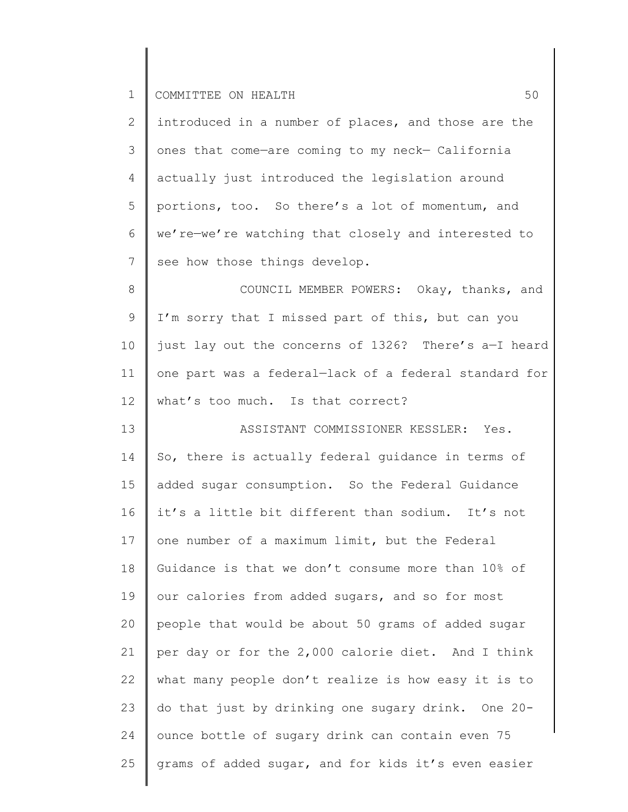| $\mathbf{2}$    | introduced in a number of places, and those are the   |
|-----------------|-------------------------------------------------------|
| 3               | ones that come-are coming to my neck- California      |
| $\overline{4}$  | actually just introduced the legislation around       |
| 5               | portions, too. So there's a lot of momentum, and      |
| 6               | we're-we're watching that closely and interested to   |
| $7\phantom{.0}$ | see how those things develop.                         |
| 8               | COUNCIL MEMBER POWERS: Okay, thanks, and              |
| $\mathsf 9$     | I'm sorry that I missed part of this, but can you     |
| 10              | just lay out the concerns of 1326? There's a-I heard  |
| 11              | one part was a federal-lack of a federal standard for |
| 12              | what's too much. Is that correct?                     |
| 13              | ASSISTANT COMMISSIONER KESSLER: Yes.                  |
| 14              | So, there is actually federal quidance in terms of    |
| 15              | added sugar consumption. So the Federal Guidance      |
| 16              | it's a little bit different than sodium. It's not     |
| 17              | one number of a maximum limit, but the Federal        |
| 18              | Guidance is that we don't consume more than 10% of    |
| 19              | our calories from added sugars, and so for most       |
| 20              | people that would be about 50 grams of added sugar    |
| 21              | per day or for the 2,000 calorie diet. And I think    |
| 22              | what many people don't realize is how easy it is to   |
| 23              | do that just by drinking one sugary drink. One 20-    |
| 24              | ounce bottle of sugary drink can contain even 75      |
| 25              | grams of added sugar, and for kids it's even easier   |
|                 |                                                       |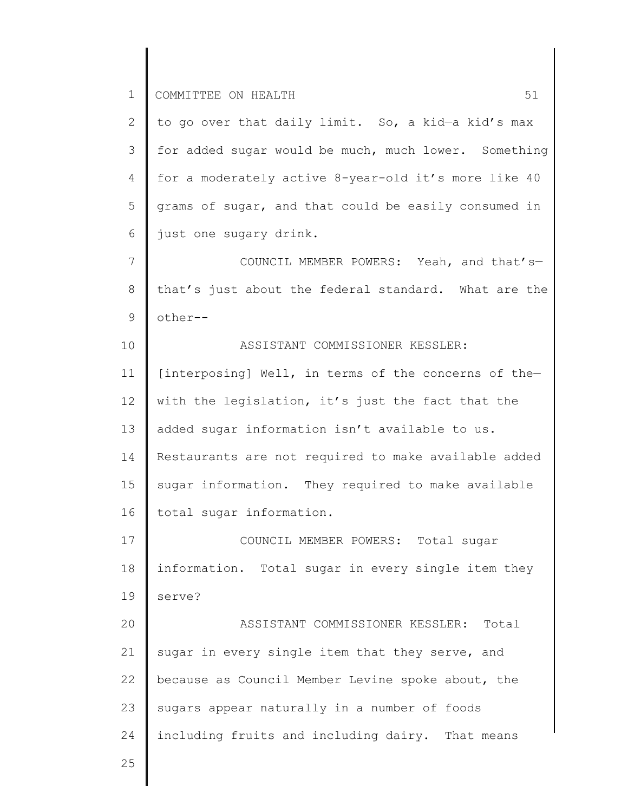2 3 4 5 6 to go over that daily limit. So, a kid—a kid's max for added sugar would be much, much lower. Something for a moderately active 8-year-old it's more like 40 grams of sugar, and that could be easily consumed in just one sugary drink.

7 8 9 COUNCIL MEMBER POWERS: Yeah, and that's that's just about the federal standard. What are the other--

10 11 12 13 14 15 16 ASSISTANT COMMISSIONER KESSLER: [interposing] Well, in terms of the concerns of the with the legislation, it's just the fact that the added sugar information isn't available to us. Restaurants are not required to make available added sugar information. They required to make available total sugar information.

17 18 19 COUNCIL MEMBER POWERS: Total sugar information. Total sugar in every single item they serve?

20 21 22 23 24 ASSISTANT COMMISSIONER KESSLER: Total sugar in every single item that they serve, and because as Council Member Levine spoke about, the sugars appear naturally in a number of foods including fruits and including dairy. That means

25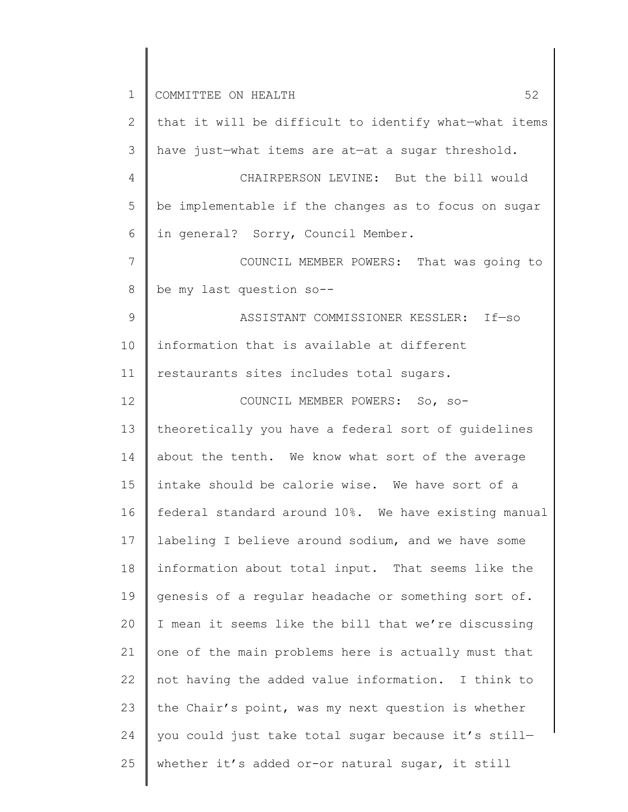| $\mathbf 1$ | 52<br>COMMITTEE ON HEALTH                             |
|-------------|-------------------------------------------------------|
| 2           | that it will be difficult to identify what-what items |
| 3           | have just-what items are at-at a sugar threshold.     |
| 4           | CHAIRPERSON LEVINE: But the bill would                |
| 5           | be implementable if the changes as to focus on sugar  |
| 6           | in general? Sorry, Council Member.                    |
| 7           | COUNCIL MEMBER POWERS: That was going to              |
| 8           | be my last question so--                              |
| 9           | ASSISTANT COMMISSIONER KESSLER: If-so                 |
| 10          | information that is available at different            |
| 11          | restaurants sites includes total sugars.              |
| 12          | COUNCIL MEMBER POWERS: So, so-                        |
| 13          | theoretically you have a federal sort of guidelines   |
| 14          | about the tenth. We know what sort of the average     |
| 15          | intake should be calorie wise. We have sort of a      |
| 16          | federal standard around 10%. We have existing manual  |
| 17          | labeling I believe around sodium, and we have some    |
| 18          | information about total input. That seems like the    |
| 19          | genesis of a regular headache or something sort of.   |
| 20          | I mean it seems like the bill that we're discussing   |
| 21          | one of the main problems here is actually must that   |
| 22          | not having the added value information. I think to    |
| 23          | the Chair's point, was my next question is whether    |
| 24          | you could just take total sugar because it's still-   |
| 25          | whether it's added or-or natural sugar, it still      |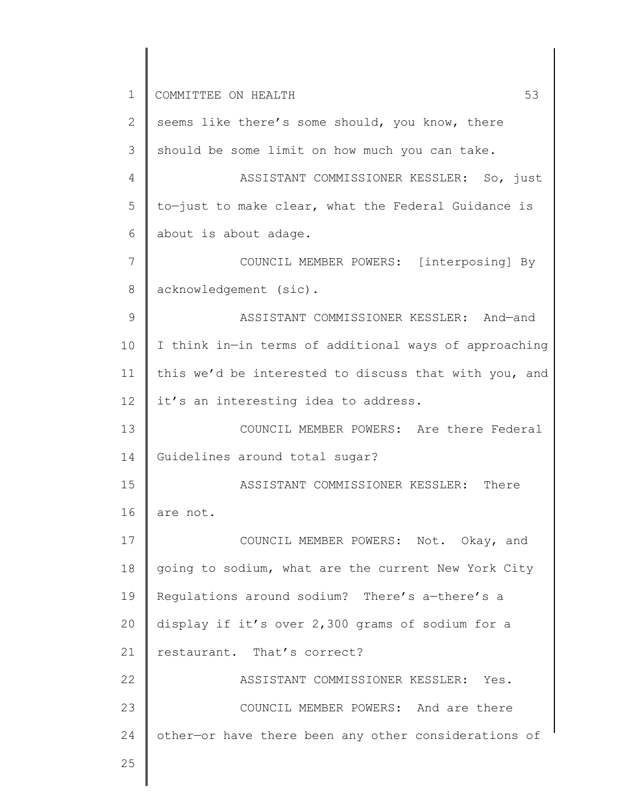1 2 3 4 5 6 7 8 9 10 11 12 13 14 15 16 17 18 19 20 21 22 23 24 25 COMMITTEE ON HEALTH 53 seems like there's some should, you know, there should be some limit on how much you can take. ASSISTANT COMMISSIONER KESSLER: So, just to—just to make clear, what the Federal Guidance is about is about adage. COUNCIL MEMBER POWERS: [interposing] By acknowledgement (sic). ASSISTANT COMMISSIONER KESSLER: And—and I think in—in terms of additional ways of approaching this we'd be interested to discuss that with you, and it's an interesting idea to address. COUNCIL MEMBER POWERS: Are there Federal Guidelines around total sugar? ASSISTANT COMMISSIONER KESSLER: There are not. COUNCIL MEMBER POWERS: Not. Okay, and going to sodium, what are the current New York City Regulations around sodium? There's a—there's a display if it's over 2,300 grams of sodium for a restaurant. That's correct? ASSISTANT COMMISSIONER KESSLER: Yes. COUNCIL MEMBER POWERS: And are there other—or have there been any other considerations of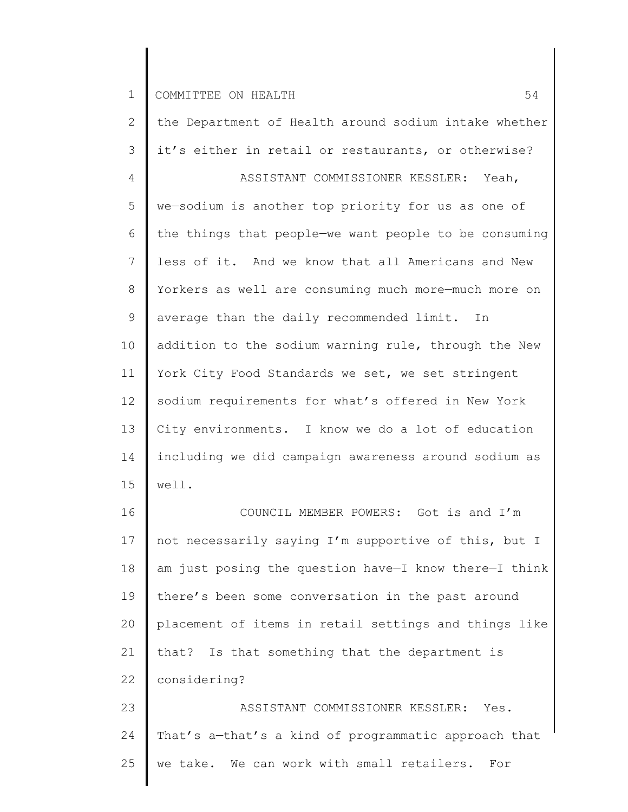25

2 3 4 5 6 7 8 9 10 11 12 13 14 15 16 17 18 19 20 21 22 23 24 the Department of Health around sodium intake whether it's either in retail or restaurants, or otherwise? ASSISTANT COMMISSIONER KESSLER: Yeah, we—sodium is another top priority for us as one of the things that people—we want people to be consuming less of it. And we know that all Americans and New Yorkers as well are consuming much more—much more on average than the daily recommended limit. In addition to the sodium warning rule, through the New York City Food Standards we set, we set stringent sodium requirements for what's offered in New York City environments. I know we do a lot of education including we did campaign awareness around sodium as well. COUNCIL MEMBER POWERS: Got is and I'm not necessarily saying I'm supportive of this, but I am just posing the question have—I know there—I think there's been some conversation in the past around placement of items in retail settings and things like that? Is that something that the department is considering? ASSISTANT COMMISSIONER KESSLER: Yes. That's a—that's a kind of programmatic approach that

we take. We can work with small retailers. For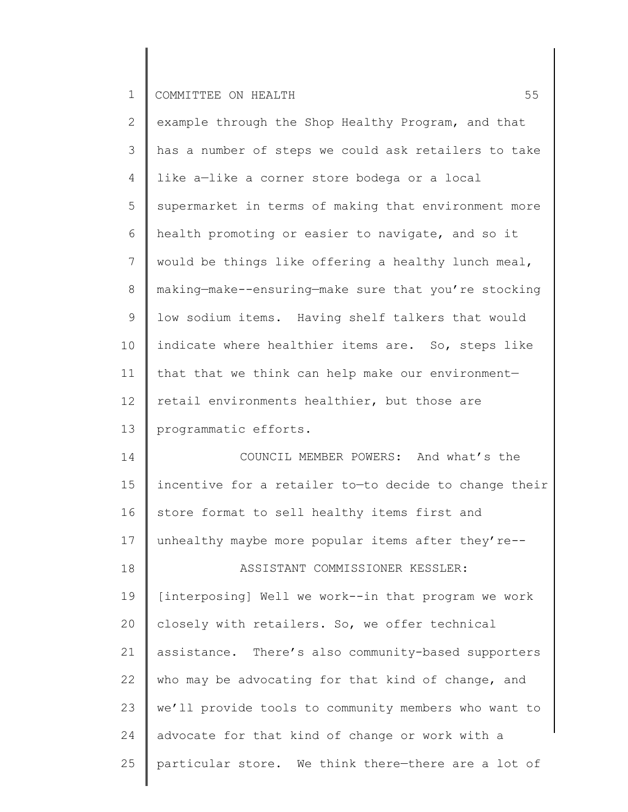| $\mathbf{2}$    | example through the Shop Healthy Program, and that    |
|-----------------|-------------------------------------------------------|
| 3               | has a number of steps we could ask retailers to take  |
| 4               | like a-like a corner store bodega or a local          |
| 5               | supermarket in terms of making that environment more  |
| 6               | health promoting or easier to navigate, and so it     |
| $7\phantom{.0}$ | would be things like offering a healthy lunch meal,   |
| 8               | making-make--ensuring-make sure that you're stocking  |
| 9               | low sodium items. Having shelf talkers that would     |
| 10              | indicate where healthier items are. So, steps like    |
| 11              | that that we think can help make our environment-     |
| 12              | retail environments healthier, but those are          |
| 13              | programmatic efforts.                                 |
| 14              | COUNCIL MEMBER POWERS: And what's the                 |
| 15              | incentive for a retailer to-to decide to change their |
| 16              | store format to sell healthy items first and          |
| 17              | unhealthy maybe more popular items after they're--    |
| 18              | ASSISTANT COMMISSIONER KESSLER:                       |
| 19              | [interposing] Well we work--in that program we work   |
| 20              | closely with retailers. So, we offer technical        |
| 21              | assistance. There's also community-based supporters   |
| 22              | who may be advocating for that kind of change, and    |
| 23              | we'll provide tools to community members who want to  |
| 24              | advocate for that kind of change or work with a       |
| 25              | particular store. We think there-there are a lot of   |
|                 |                                                       |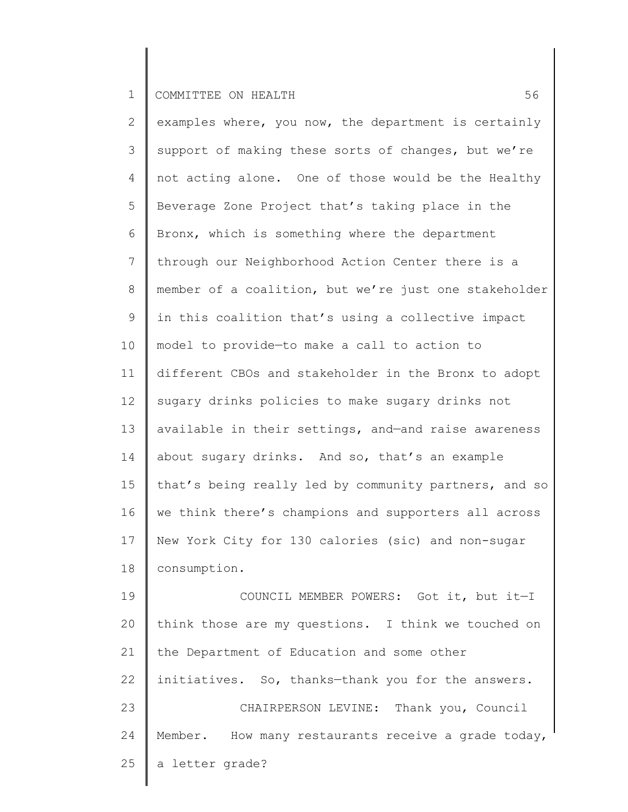| $\overline{2}$  | examples where, you now, the department is certainly  |
|-----------------|-------------------------------------------------------|
| 3               | support of making these sorts of changes, but we're   |
| 4               | not acting alone. One of those would be the Healthy   |
| 5               | Beverage Zone Project that's taking place in the      |
| 6               | Bronx, which is something where the department        |
| $7\phantom{.0}$ | through our Neighborhood Action Center there is a     |
| 8               | member of a coalition, but we're just one stakeholder |
| 9               | in this coalition that's using a collective impact    |
| 10              | model to provide-to make a call to action to          |
| 11              | different CBOs and stakeholder in the Bronx to adopt  |
| 12              | sugary drinks policies to make sugary drinks not      |
| 13              | available in their settings, and-and raise awareness  |
| 14              | about sugary drinks. And so, that's an example        |
| 15              | that's being really led by community partners, and so |
| 16              | we think there's champions and supporters all across  |
| 17              | New York City for 130 calories (sic) and non-sugar    |
| 18              | consumption.                                          |
| 19              | COUNCIL MEMBER POWERS: Got it, but it-I               |
| 20              | think those are my questions. I think we touched on   |
| 21              | the Department of Education and some other            |
| 22              | initiatives. So, thanks-thank you for the answers.    |
| 23              | CHAIRPERSON LEVINE: Thank you, Council                |
| 24              | Member. How many restaurants receive a grade today,   |
| 25              | a letter grade?                                       |
|                 |                                                       |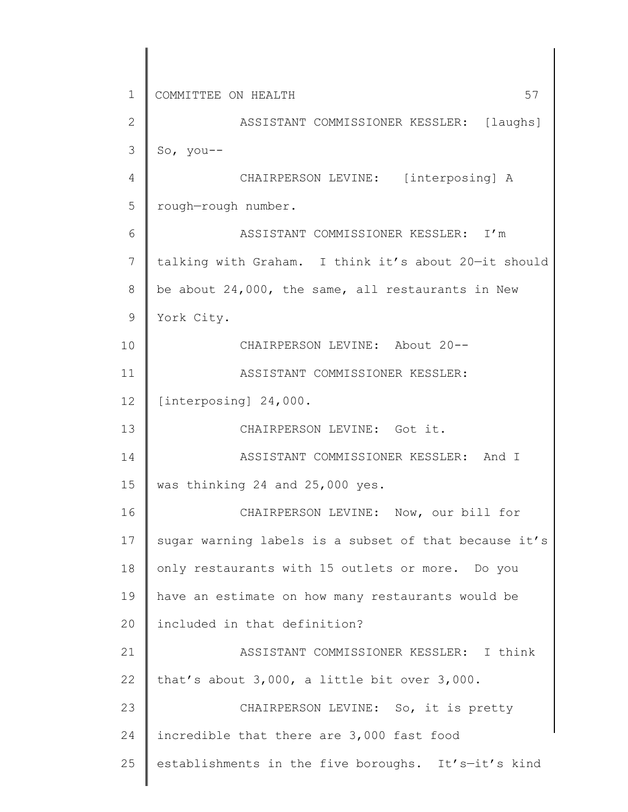1 2 3 4 5 6 7 8 9 10 11 12 13 14 15 16 17 18 19 20 21 22 23 24 25 COMMITTEE ON HEALTH 57 ASSISTANT COMMISSIONER KESSLER: [laughs] So, you-- CHAIRPERSON LEVINE: [interposing] A rough—rough number. ASSISTANT COMMISSIONER KESSLER: I'm talking with Graham. I think it's about 20—it should be about 24,000, the same, all restaurants in New York City. CHAIRPERSON LEVINE: About 20-- ASSISTANT COMMISSIONER KESSLER: [interposing] 24,000. CHAIRPERSON LEVINE: Got it. ASSISTANT COMMISSIONER KESSLER: And I was thinking 24 and 25,000 yes. CHAIRPERSON LEVINE: Now, our bill for sugar warning labels is a subset of that because it's only restaurants with 15 outlets or more. Do you have an estimate on how many restaurants would be included in that definition? ASSISTANT COMMISSIONER KESSLER: I think that's about 3,000, a little bit over 3,000. CHAIRPERSON LEVINE: So, it is pretty incredible that there are 3,000 fast food establishments in the five boroughs. It's—it's kind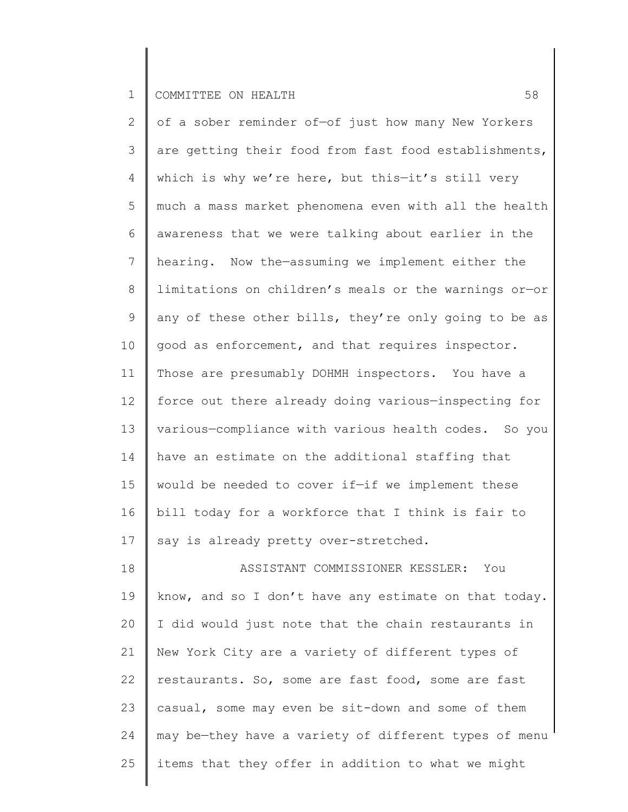25

2 3 4 5 6 7 8 9 10 11 12 13 14 15 16 17 18 19 20 21 22 23 24 of a sober reminder of—of just how many New Yorkers are getting their food from fast food establishments, which is why we're here, but this—it's still very much a mass market phenomena even with all the health awareness that we were talking about earlier in the hearing. Now the—assuming we implement either the limitations on children's meals or the warnings or—or any of these other bills, they're only going to be as good as enforcement, and that requires inspector. Those are presumably DOHMH inspectors. You have a force out there already doing various—inspecting for various—compliance with various health codes. So you have an estimate on the additional staffing that would be needed to cover if—if we implement these bill today for a workforce that I think is fair to say is already pretty over-stretched. ASSISTANT COMMISSIONER KESSLER: You know, and so I don't have any estimate on that today. I did would just note that the chain restaurants in New York City are a variety of different types of restaurants. So, some are fast food, some are fast casual, some may even be sit-down and some of them may be—they have a variety of different types of menu

items that they offer in addition to what we might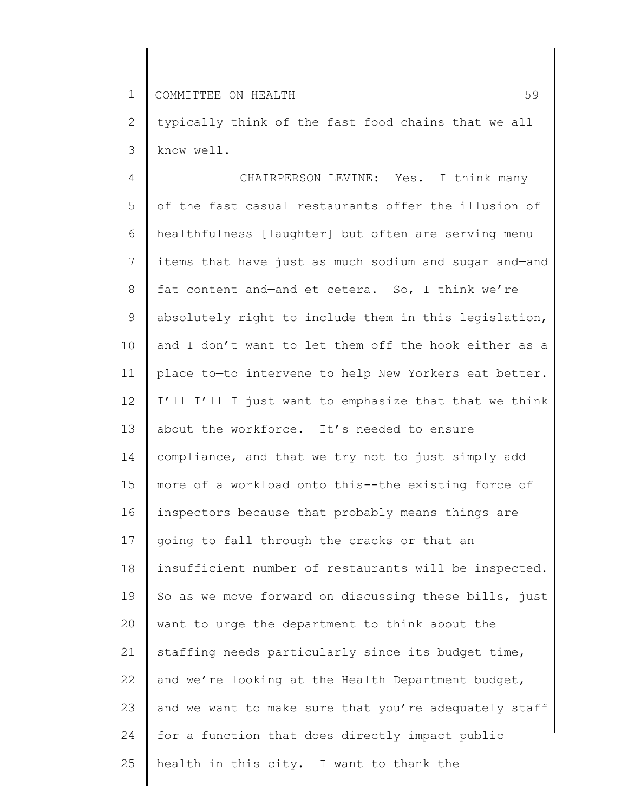2 3 typically think of the fast food chains that we all know well.

4 5 6 7 8 9 10 11 12 13 14 15 16 17 18 19 20 21 22 23 24 25 CHAIRPERSON LEVINE: Yes. I think many of the fast casual restaurants offer the illusion of healthfulness [laughter] but often are serving menu items that have just as much sodium and sugar and—and fat content and—and et cetera. So, I think we're absolutely right to include them in this legislation, and I don't want to let them off the hook either as a place to—to intervene to help New Yorkers eat better. I'll—I'll—I just want to emphasize that—that we think about the workforce. It's needed to ensure compliance, and that we try not to just simply add more of a workload onto this--the existing force of inspectors because that probably means things are going to fall through the cracks or that an insufficient number of restaurants will be inspected. So as we move forward on discussing these bills, just want to urge the department to think about the staffing needs particularly since its budget time, and we're looking at the Health Department budget, and we want to make sure that you're adequately staff for a function that does directly impact public health in this city. I want to thank the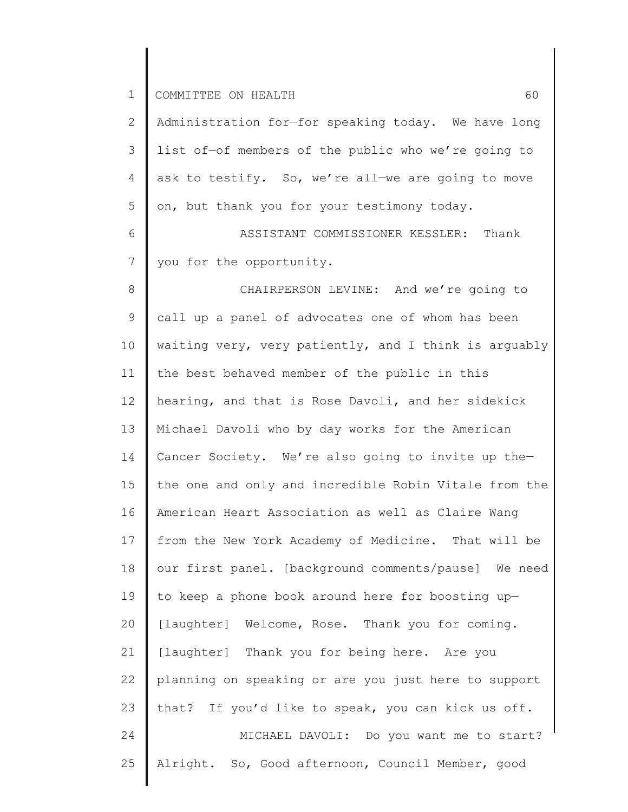| $\mathbf 1$  | COMMITTEE ON HEALTH<br>60                             |
|--------------|-------------------------------------------------------|
| $\mathbf{2}$ | Administration for-for speaking today. We have long   |
| 3            | list of-of members of the public who we're going to   |
| 4            | ask to testify. So, we're all-we are going to move    |
| 5            | on, but thank you for your testimony today.           |
| 6            | ASSISTANT COMMISSIONER KESSLER: Thank                 |
| 7            | you for the opportunity.                              |
| 8            | CHAIRPERSON LEVINE: And we're going to                |
| 9            | call up a panel of advocates one of whom has been     |
| 10           | waiting very, very patiently, and I think is arguably |
| 11           | the best behaved member of the public in this         |
| 12           | hearing, and that is Rose Davoli, and her sidekick    |
| 13           | Michael Davoli who by day works for the American      |
| 14           | Cancer Society. We're also going to invite up the-    |
| 15           | the one and only and incredible Robin Vitale from the |
| 16           | American Heart Association as well as Claire Wang     |
| 17           | from the New York Academy of Medicine. That will be   |
| 18           | our first panel. [background comments/pause] We need  |
| 19           | to keep a phone book around here for boosting up-     |
| 20           | [laughter] Welcome, Rose. Thank you for coming.       |
| 21           | [laughter] Thank you for being here. Are you          |
| 22           | planning on speaking or are you just here to support  |
| 23           | that? If you'd like to speak, you can kick us off.    |
| 24           | MICHAEL DAVOLI: Do you want me to start?              |
| 25           | Alright. So, Good afternoon, Council Member, good     |
|              |                                                       |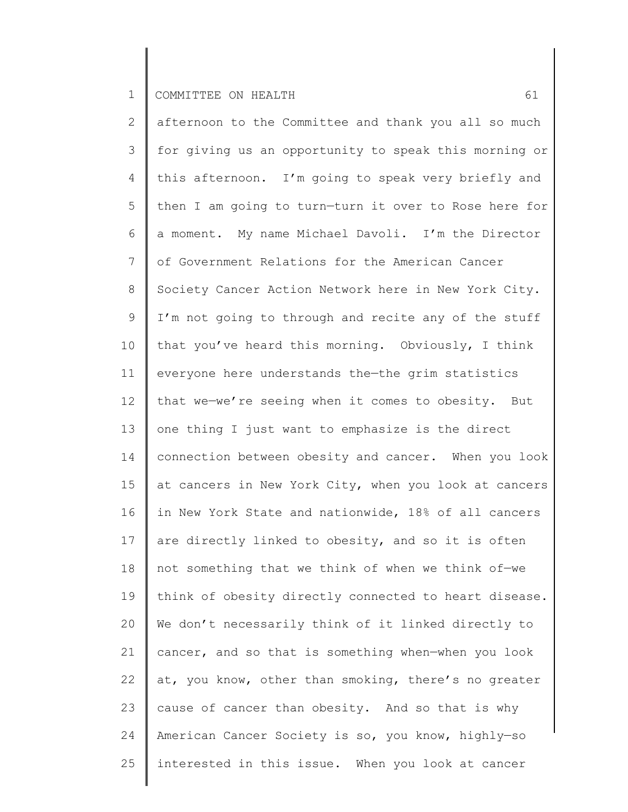2 3 4 5 6 7 8 9 10 11 12 13 14 15 16 17 18 19 20 21 22 23 24 25 afternoon to the Committee and thank you all so much for giving us an opportunity to speak this morning or this afternoon. I'm going to speak very briefly and then I am going to turn—turn it over to Rose here for a moment. My name Michael Davoli. I'm the Director of Government Relations for the American Cancer Society Cancer Action Network here in New York City. I'm not going to through and recite any of the stuff that you've heard this morning. Obviously, I think everyone here understands the—the grim statistics that we—we're seeing when it comes to obesity. But one thing I just want to emphasize is the direct connection between obesity and cancer. When you look at cancers in New York City, when you look at cancers in New York State and nationwide, 18% of all cancers are directly linked to obesity, and so it is often not something that we think of when we think of—we think of obesity directly connected to heart disease. We don't necessarily think of it linked directly to cancer, and so that is something when—when you look at, you know, other than smoking, there's no greater cause of cancer than obesity. And so that is why American Cancer Society is so, you know, highly—so interested in this issue. When you look at cancer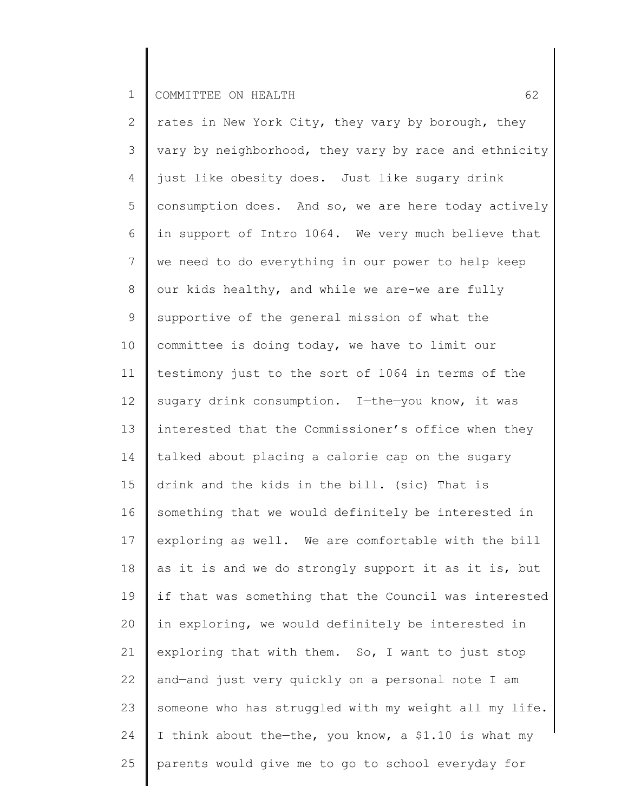2 3 4 5 6 7 8 9 10 11 12 13 14 15 16 17 18 19 20 21 22 23 24 25 rates in New York City, they vary by borough, they vary by neighborhood, they vary by race and ethnicity just like obesity does. Just like sugary drink consumption does. And so, we are here today actively in support of Intro 1064. We very much believe that we need to do everything in our power to help keep our kids healthy, and while we are-we are fully supportive of the general mission of what the committee is doing today, we have to limit our testimony just to the sort of 1064 in terms of the sugary drink consumption. I—the—you know, it was interested that the Commissioner's office when they talked about placing a calorie cap on the sugary drink and the kids in the bill. (sic) That is something that we would definitely be interested in exploring as well. We are comfortable with the bill as it is and we do strongly support it as it is, but if that was something that the Council was interested in exploring, we would definitely be interested in exploring that with them. So, I want to just stop and—and just very quickly on a personal note I am someone who has struggled with my weight all my life. I think about the-the, you know, a \$1.10 is what my parents would give me to go to school everyday for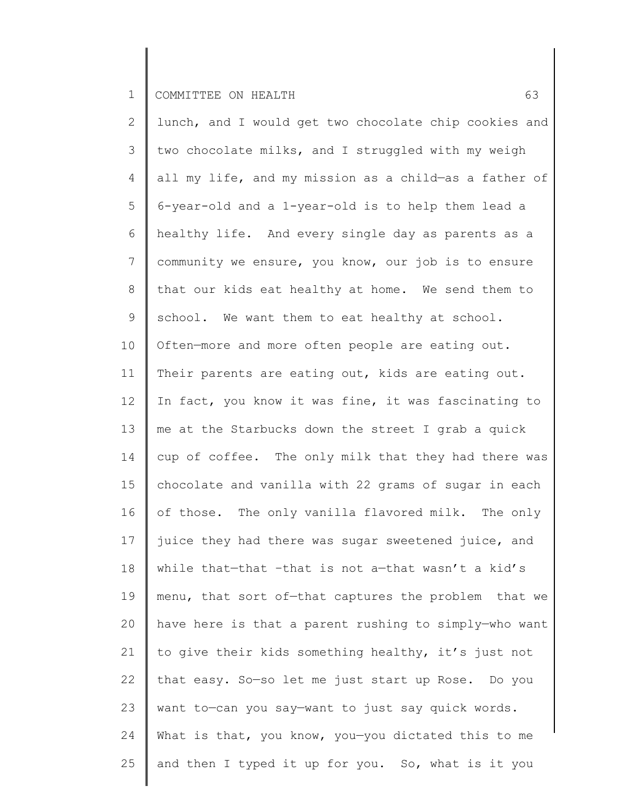2 3 4 5 6 7 8 9 10 11 12 13 14 15 16 17 18 19 20 21 22 23 24 25 lunch, and I would get two chocolate chip cookies and two chocolate milks, and I struggled with my weigh all my life, and my mission as a child—as a father of 6-year-old and a 1-year-old is to help them lead a healthy life. And every single day as parents as a community we ensure, you know, our job is to ensure that our kids eat healthy at home. We send them to school. We want them to eat healthy at school. Often—more and more often people are eating out. Their parents are eating out, kids are eating out. In fact, you know it was fine, it was fascinating to me at the Starbucks down the street I grab a quick cup of coffee. The only milk that they had there was chocolate and vanilla with 22 grams of sugar in each of those. The only vanilla flavored milk. The only juice they had there was sugar sweetened juice, and while that—that –that is not a—that wasn't a kid's menu, that sort of—that captures the problem that we have here is that a parent rushing to simply—who want to give their kids something healthy, it's just not that easy. So—so let me just start up Rose. Do you want to—can you say—want to just say quick words. What is that, you know, you-you dictated this to me and then I typed it up for you. So, what is it you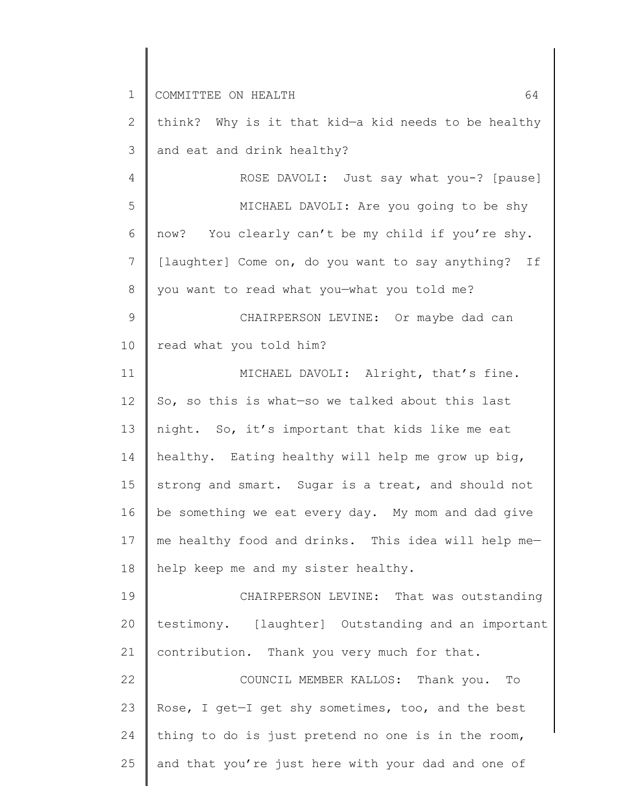1 2 3 4 5 6 7 8 9 10 11 12 13 14 15 16 17 18 19 20 21 22 23 24 25 COMMITTEE ON HEALTH 64 think? Why is it that kid—a kid needs to be healthy and eat and drink healthy? ROSE DAVOLI: Just say what you-? [pause] MICHAEL DAVOLI: Are you going to be shy now? You clearly can't be my child if you're shy. [laughter] Come on, do you want to say anything? If you want to read what you—what you told me? CHAIRPERSON LEVINE: Or maybe dad can read what you told him? MICHAEL DAVOLI: Alright, that's fine. So, so this is what—so we talked about this last night. So, it's important that kids like me eat healthy. Eating healthy will help me grow up big, strong and smart. Sugar is a treat, and should not be something we eat every day. My mom and dad give me healthy food and drinks. This idea will help me help keep me and my sister healthy. CHAIRPERSON LEVINE: That was outstanding testimony. [laughter] Outstanding and an important contribution. Thank you very much for that. COUNCIL MEMBER KALLOS: Thank you. To Rose, I get—I get shy sometimes, too, and the best thing to do is just pretend no one is in the room, and that you're just here with your dad and one of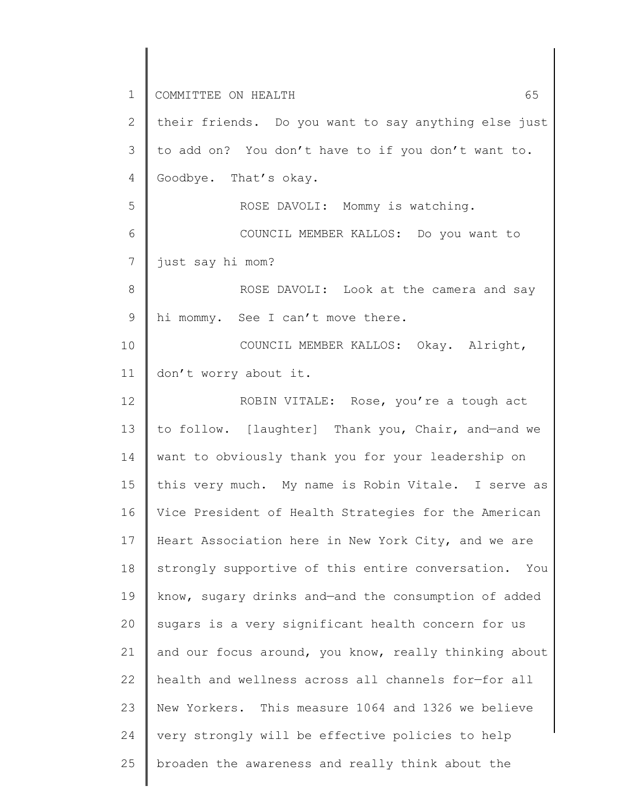1 2 3 4 5 6 7 8 9 10 11 12 13 14 15 16 17 18 19 20 21 22 23 24 25 COMMITTEE ON HEALTH 65 their friends. Do you want to say anything else just to add on? You don't have to if you don't want to. Goodbye. That's okay. ROSE DAVOLI: Mommy is watching. COUNCIL MEMBER KALLOS: Do you want to just say hi mom? ROSE DAVOLI: Look at the camera and say hi mommy. See I can't move there. COUNCIL MEMBER KALLOS: Okay. Alright, don't worry about it. ROBIN VITALE: Rose, you're a tough act to follow. [laughter] Thank you, Chair, and—and we want to obviously thank you for your leadership on this very much. My name is Robin Vitale. I serve as Vice President of Health Strategies for the American Heart Association here in New York City, and we are strongly supportive of this entire conversation. You know, sugary drinks and—and the consumption of added sugars is a very significant health concern for us and our focus around, you know, really thinking about health and wellness across all channels for—for all New Yorkers. This measure 1064 and 1326 we believe very strongly will be effective policies to help broaden the awareness and really think about the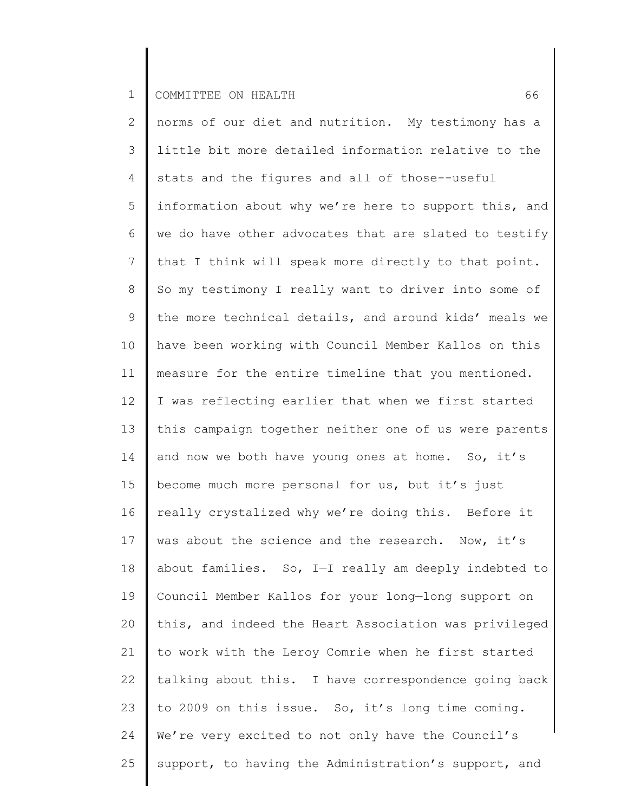2 3 4 5 6 7 8 9 10 11 12 13 14 15 16 17 18 19 20 21 22 23 24 25 norms of our diet and nutrition. My testimony has a little bit more detailed information relative to the stats and the figures and all of those--useful information about why we're here to support this, and we do have other advocates that are slated to testify that I think will speak more directly to that point. So my testimony I really want to driver into some of the more technical details, and around kids' meals we have been working with Council Member Kallos on this measure for the entire timeline that you mentioned. I was reflecting earlier that when we first started this campaign together neither one of us were parents and now we both have young ones at home. So, it's become much more personal for us, but it's just really crystalized why we're doing this. Before it was about the science and the research. Now, it's about families. So, I—I really am deeply indebted to Council Member Kallos for your long—long support on this, and indeed the Heart Association was privileged to work with the Leroy Comrie when he first started talking about this. I have correspondence going back to 2009 on this issue. So, it's long time coming. We're very excited to not only have the Council's support, to having the Administration's support, and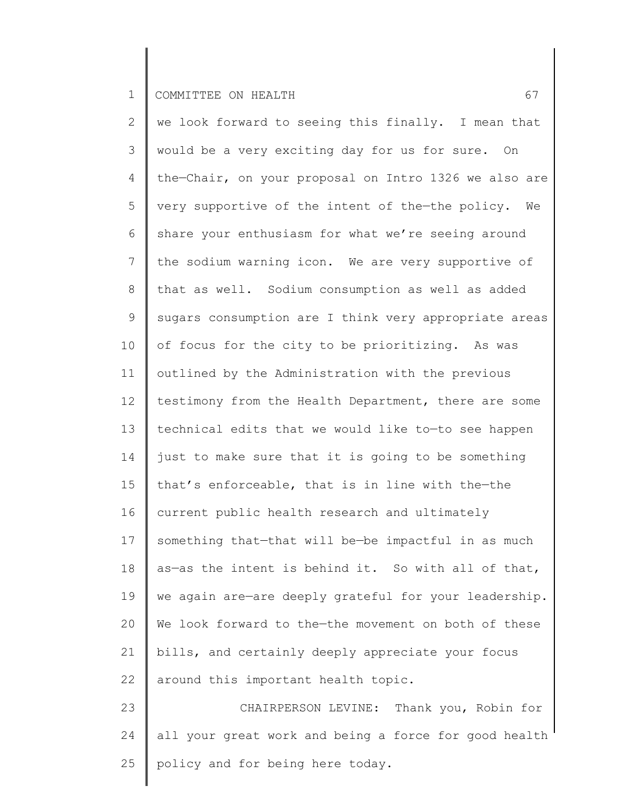2 3 4 5 6 7 8 9 10 11 12 13 14 15 16 17 18 19 20 21 22 23 24 25 we look forward to seeing this finally. I mean that would be a very exciting day for us for sure. On the—Chair, on your proposal on Intro 1326 we also are very supportive of the intent of the—the policy. We share your enthusiasm for what we're seeing around the sodium warning icon. We are very supportive of that as well. Sodium consumption as well as added sugars consumption are I think very appropriate areas of focus for the city to be prioritizing. As was outlined by the Administration with the previous testimony from the Health Department, there are some technical edits that we would like to—to see happen just to make sure that it is going to be something that's enforceable, that is in line with the—the current public health research and ultimately something that—that will be—be impactful in as much as—as the intent is behind it. So with all of that, we again are—are deeply grateful for your leadership. We look forward to the-the movement on both of these bills, and certainly deeply appreciate your focus around this important health topic. CHAIRPERSON LEVINE: Thank you, Robin for all your great work and being a force for good health policy and for being here today.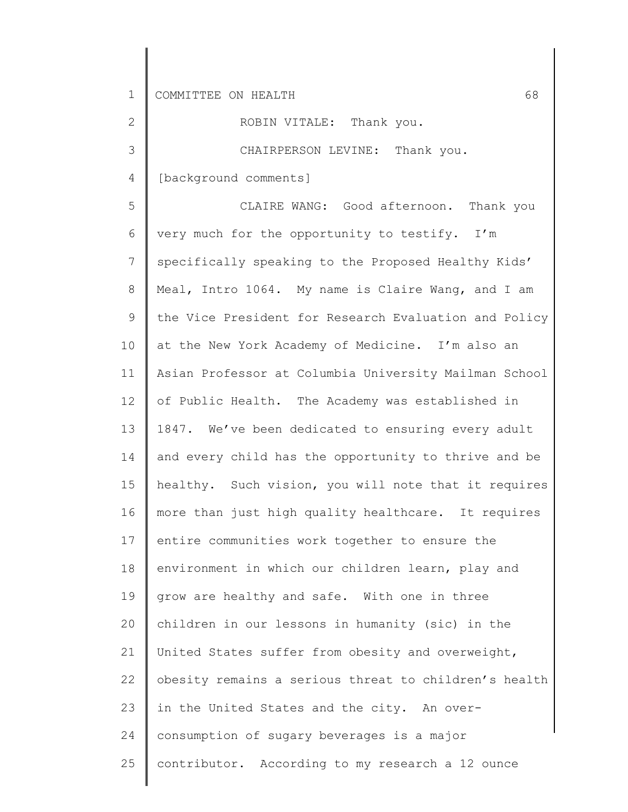2

3

ROBIN VITALE: Thank you.

CHAIRPERSON LEVINE: Thank you.

4 [background comments]

5 6 7 8 9 10 11 12 13 14 15 16 17 18 19 20 21 22 23 24 25 CLAIRE WANG: Good afternoon. Thank you very much for the opportunity to testify. I'm specifically speaking to the Proposed Healthy Kids' Meal, Intro 1064. My name is Claire Wang, and I am the Vice President for Research Evaluation and Policy at the New York Academy of Medicine. I'm also an Asian Professor at Columbia University Mailman School of Public Health. The Academy was established in 1847. We've been dedicated to ensuring every adult and every child has the opportunity to thrive and be healthy. Such vision, you will note that it requires more than just high quality healthcare. It requires entire communities work together to ensure the environment in which our children learn, play and grow are healthy and safe. With one in three children in our lessons in humanity (sic) in the United States suffer from obesity and overweight, obesity remains a serious threat to children's health in the United States and the city. An overconsumption of sugary beverages is a major contributor. According to my research a 12 ounce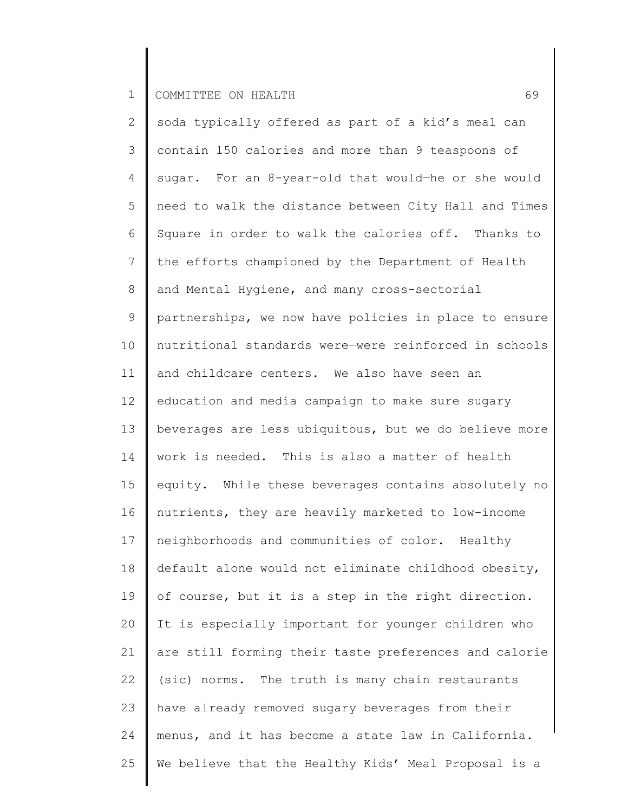| $\overline{2}$ | soda typically offered as part of a kid's meal can    |
|----------------|-------------------------------------------------------|
| 3              | contain 150 calories and more than 9 teaspoons of     |
| 4              | sugar. For an 8-year-old that would-he or she would   |
| 5              | need to walk the distance between City Hall and Times |
| 6              | Square in order to walk the calories off. Thanks to   |
| $\overline{7}$ | the efforts championed by the Department of Health    |
| $8\,$          | and Mental Hygiene, and many cross-sectorial          |
| $\mathsf 9$    | partnerships, we now have policies in place to ensure |
| 10             | nutritional standards were-were reinforced in schools |
| 11             | and childcare centers. We also have seen an           |
| 12             | education and media campaign to make sure sugary      |
| 13             | beverages are less ubiquitous, but we do believe more |
| 14             | work is needed. This is also a matter of health       |
| 15             | equity. While these beverages contains absolutely no  |
| 16             | nutrients, they are heavily marketed to low-income    |
| 17             | neighborhoods and communities of color. Healthy       |
| 18             | default alone would not eliminate childhood obesity,  |
| 19             | of course, but it is a step in the right direction.   |
| 20             | It is especially important for younger children who   |
| 21             | are still forming their taste preferences and calorie |
| 22             | (sic) norms. The truth is many chain restaurants      |
| 23             | have already removed sugary beverages from their      |
| 24             | menus, and it has become a state law in California.   |
| 25             | We believe that the Healthy Kids' Meal Proposal is a  |
|                |                                                       |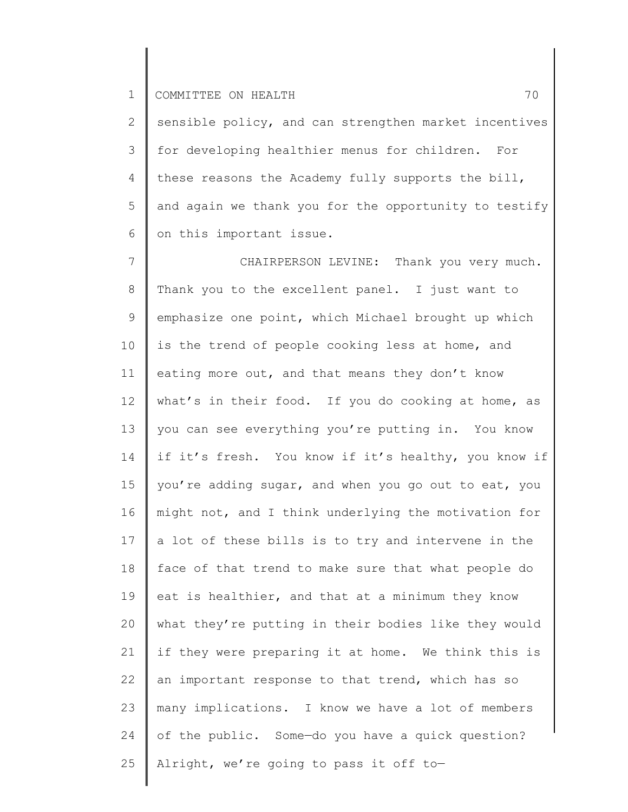2 3 4 5 6 sensible policy, and can strengthen market incentives for developing healthier menus for children. For these reasons the Academy fully supports the bill, and again we thank you for the opportunity to testify on this important issue.

7 8 9 10 11 12 13 14 15 16 17 18 19 20 21 22 23 24 25 CHAIRPERSON LEVINE: Thank you very much. Thank you to the excellent panel. I just want to emphasize one point, which Michael brought up which is the trend of people cooking less at home, and eating more out, and that means they don't know what's in their food. If you do cooking at home, as you can see everything you're putting in. You know if it's fresh. You know if it's healthy, you know if you're adding sugar, and when you go out to eat, you might not, and I think underlying the motivation for a lot of these bills is to try and intervene in the face of that trend to make sure that what people do eat is healthier, and that at a minimum they know what they're putting in their bodies like they would if they were preparing it at home. We think this is an important response to that trend, which has so many implications. I know we have a lot of members of the public. Some—do you have a quick question? Alright, we're going to pass it off to—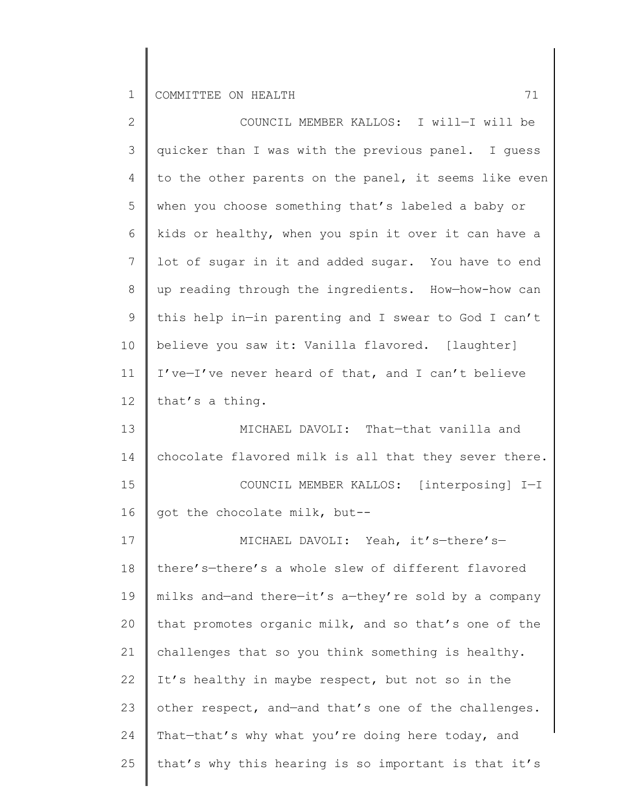| $\mathbf{2}^{\mathsf{I}}$ | COUNCIL MEMBER KALLOS: I will-I will be               |
|---------------------------|-------------------------------------------------------|
| 3                         | quicker than I was with the previous panel. I quess   |
| 4                         | to the other parents on the panel, it seems like even |
| 5                         | when you choose something that's labeled a baby or    |
| 6                         | kids or healthy, when you spin it over it can have a  |
| 7                         | lot of sugar in it and added sugar. You have to end   |
| 8                         | up reading through the ingredients. How-how-how can   |
| $\mathsf 9$               | this help in-in parenting and I swear to God I can't  |
| 10                        | believe you saw it: Vanilla flavored. [laughter]      |
| 11                        | I've-I've never heard of that, and I can't believe    |
| 12                        | that's a thing.                                       |
| 13                        | MICHAEL DAVOLI: That-that vanilla and                 |
| 14                        | chocolate flavored milk is all that they sever there. |
| 15                        | COUNCIL MEMBER KALLOS: [interposing] I-I              |
| 16                        | got the chocolate milk, but--                         |
| 17                        | MICHAEL DAVOLI: Yeah, it's-there's-                   |
| 18                        | there's-there's a whole slew of different flavored    |
| 19                        | milks and-and there-it's a-they're sold by a company  |
| 20                        | that promotes organic milk, and so that's one of the  |
| 21                        | challenges that so you think something is healthy.    |
| 22                        | It's healthy in maybe respect, but not so in the      |
| 23                        | other respect, and-and that's one of the challenges.  |
| 24                        | That-that's why what you're doing here today, and     |
| 25                        | that's why this hearing is so important is that it's  |
|                           |                                                       |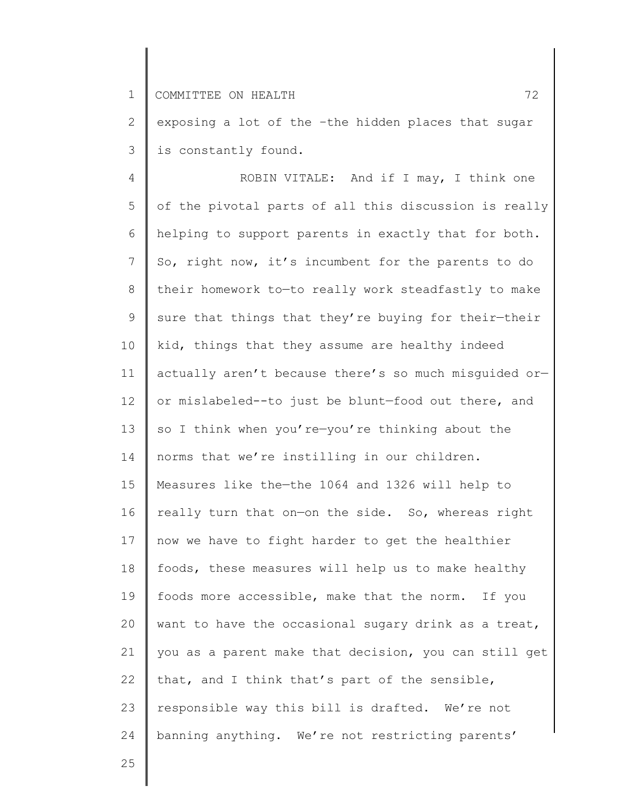2 3 exposing a lot of the –the hidden places that sugar is constantly found.

4 5 6 7 8 9 10 11 12 13 14 15 16 17 18 19 20 21 22 23 24 ROBIN VITALE: And if I may, I think one of the pivotal parts of all this discussion is really helping to support parents in exactly that for both. So, right now, it's incumbent for the parents to do their homework to—to really work steadfastly to make sure that things that they're buying for their-their kid, things that they assume are healthy indeed actually aren't because there's so much misguided or or mislabeled--to just be blunt—food out there, and so I think when you're-you're thinking about the norms that we're instilling in our children. Measures like the—the 1064 and 1326 will help to really turn that on—on the side. So, whereas right now we have to fight harder to get the healthier foods, these measures will help us to make healthy foods more accessible, make that the norm. If you want to have the occasional sugary drink as a treat, you as a parent make that decision, you can still get that, and I think that's part of the sensible, responsible way this bill is drafted. We're not banning anything. We're not restricting parents'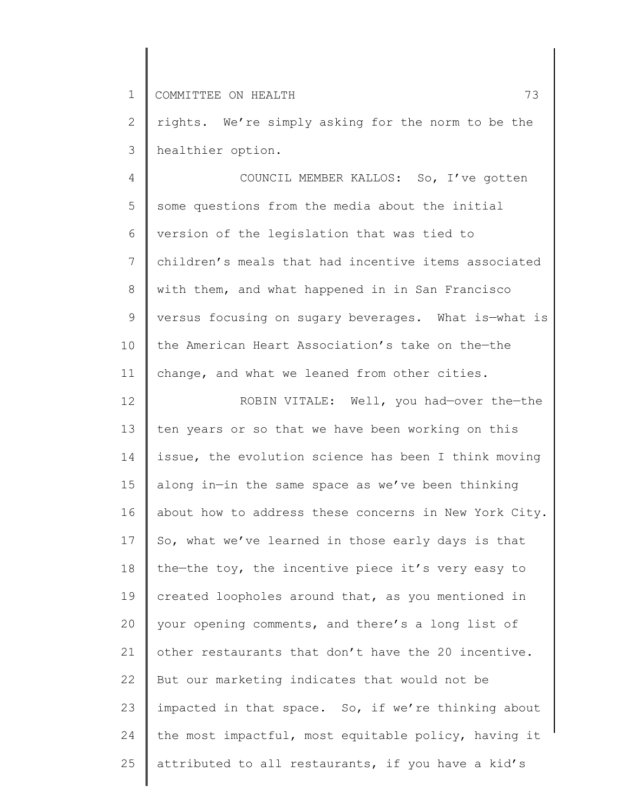2 3 rights. We're simply asking for the norm to be the healthier option.

4 5 6 7 8 9 10 11 COUNCIL MEMBER KALLOS: So, I've gotten some questions from the media about the initial version of the legislation that was tied to children's meals that had incentive items associated with them, and what happened in in San Francisco versus focusing on sugary beverages. What is—what is the American Heart Association's take on the—the change, and what we leaned from other cities.

12 13 14 15 16 17 18 19 20 21 22 23 24 25 ROBIN VITALE: Well, you had—over the—the ten years or so that we have been working on this issue, the evolution science has been I think moving along in—in the same space as we've been thinking about how to address these concerns in New York City. So, what we've learned in those early days is that the—the toy, the incentive piece it's very easy to created loopholes around that, as you mentioned in your opening comments, and there's a long list of other restaurants that don't have the 20 incentive. But our marketing indicates that would not be impacted in that space. So, if we're thinking about the most impactful, most equitable policy, having it attributed to all restaurants, if you have a kid's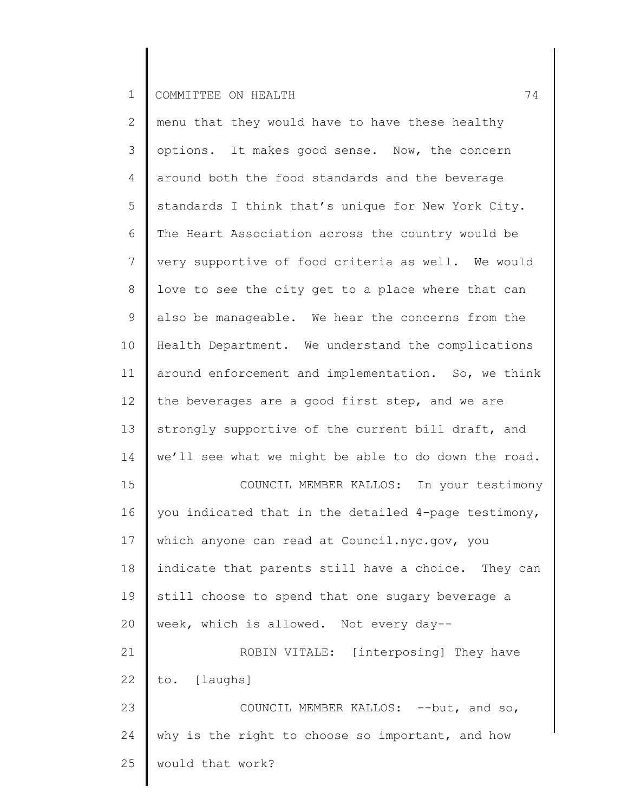| $\mathbf{2}$   | menu that they would have to have these healthy      |
|----------------|------------------------------------------------------|
| $\mathcal{S}$  | options. It makes good sense. Now, the concern       |
| 4              | around both the food standards and the beverage      |
| 5              | standards I think that's unique for New York City.   |
| 6              | The Heart Association across the country would be    |
| $7\phantom{.}$ | very supportive of food criteria as well. We would   |
| $8\,$          | love to see the city get to a place where that can   |
| $\mathsf 9$    | also be manageable. We hear the concerns from the    |
| 10             | Health Department. We understand the complications   |
| 11             | around enforcement and implementation. So, we think  |
| 12             | the beverages are a good first step, and we are      |
| 13             | strongly supportive of the current bill draft, and   |
| 14             | we'll see what we might be able to do down the road. |
| 15             | COUNCIL MEMBER KALLOS: In your testimony             |
| 16             | you indicated that in the detailed 4-page testimony, |
| 17             | which anyone can read at Council.nyc.gov, you        |
| 18             | indicate that parents still have a choice. They can  |
| 19             | still choose to spend that one sugary beverage a     |
| 20             | week, which is allowed. Not every day--              |
| 21             | ROBIN VITALE: [interposing] They have                |
| 22             | to. [laughs]                                         |
| 23             | COUNCIL MEMBER KALLOS: -- but, and so,               |
| 24             | why is the right to choose so important, and how     |
| 25             | would that work?                                     |
|                |                                                      |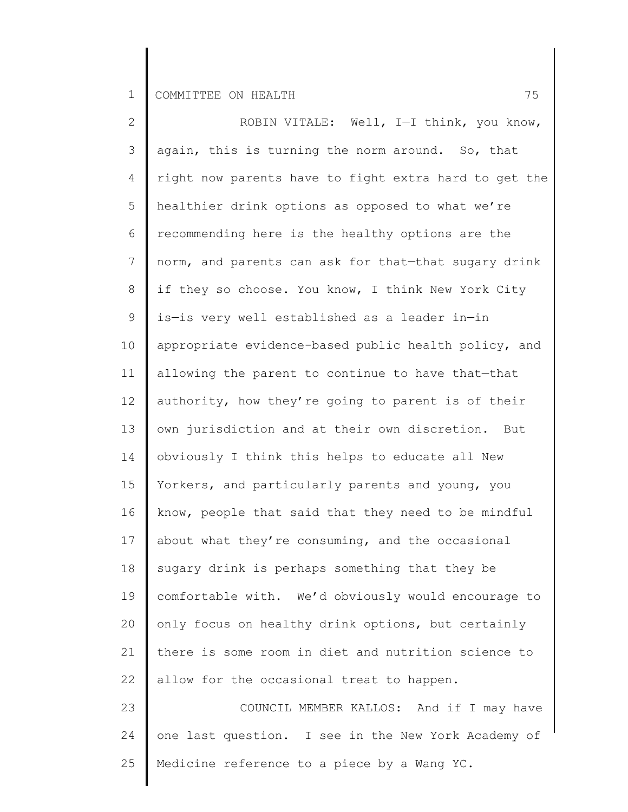2 3 4 5 6 7 8 9 10 11 12 13 14 15 16 17 18 19 20 21 22 23 24 25 ROBIN VITALE: Well, I—I think, you know, again, this is turning the norm around. So, that right now parents have to fight extra hard to get the healthier drink options as opposed to what we're recommending here is the healthy options are the norm, and parents can ask for that—that sugary drink if they so choose. You know, I think New York City is—is very well established as a leader in—in appropriate evidence-based public health policy, and allowing the parent to continue to have that—that authority, how they're going to parent is of their own jurisdiction and at their own discretion. But obviously I think this helps to educate all New Yorkers, and particularly parents and young, you know, people that said that they need to be mindful about what they're consuming, and the occasional sugary drink is perhaps something that they be comfortable with. We'd obviously would encourage to only focus on healthy drink options, but certainly there is some room in diet and nutrition science to allow for the occasional treat to happen. COUNCIL MEMBER KALLOS: And if I may have one last question. I see in the New York Academy of Medicine reference to a piece by a Wang YC.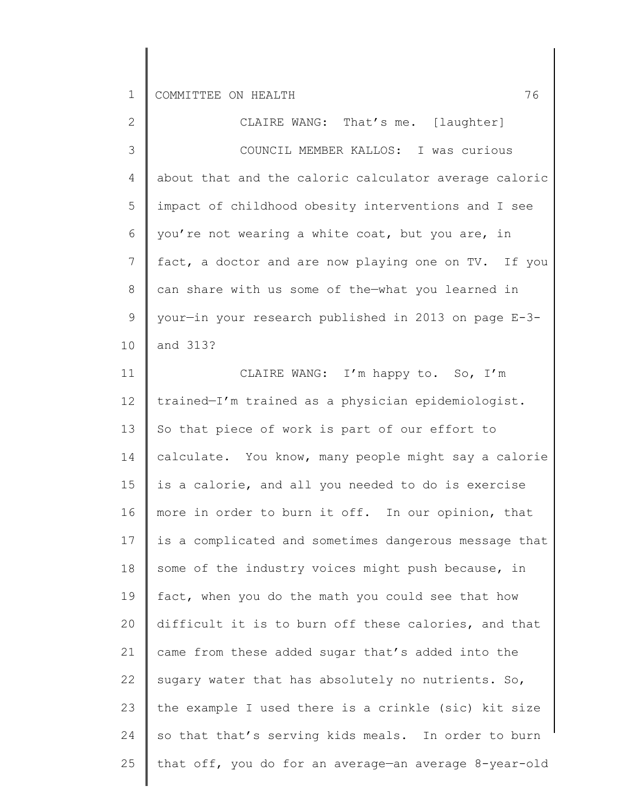| $\overline{2}$ | CLAIRE WANG: That's me. [laughter]                    |
|----------------|-------------------------------------------------------|
| $\mathcal{S}$  | COUNCIL MEMBER KALLOS: I was curious                  |
| 4              | about that and the caloric calculator average caloric |
| 5              | impact of childhood obesity interventions and I see   |
| 6              | you're not wearing a white coat, but you are, in      |
| $7\phantom{.}$ | fact, a doctor and are now playing one on TV. If you  |
| $8\,$          | can share with us some of the-what you learned in     |
| 9              | your-in your research published in 2013 on page E-3-  |
| 10             | and 313?                                              |
| 11             | CLAIRE WANG: I'm happy to. So, I'm                    |
| 12             | trained-I'm trained as a physician epidemiologist.    |
| 13             | So that piece of work is part of our effort to        |
| 14             | calculate. You know, many people might say a calorie  |
| 15             | is a calorie, and all you needed to do is exercise    |
| 16             | more in order to burn it off. In our opinion, that    |
| 17             | is a complicated and sometimes dangerous message that |
| 18             | some of the industry voices might push because, in    |
| 19             | fact, when you do the math you could see that how     |
| 20             | difficult it is to burn off these calories, and that  |
| 21             | came from these added sugar that's added into the     |
| 22             | sugary water that has absolutely no nutrients. So,    |
| 23             | the example I used there is a crinkle (sic) kit size  |
| 24             | so that that's serving kids meals. In order to burn   |
| 25             | that off, you do for an average-an average 8-year-old |
|                |                                                       |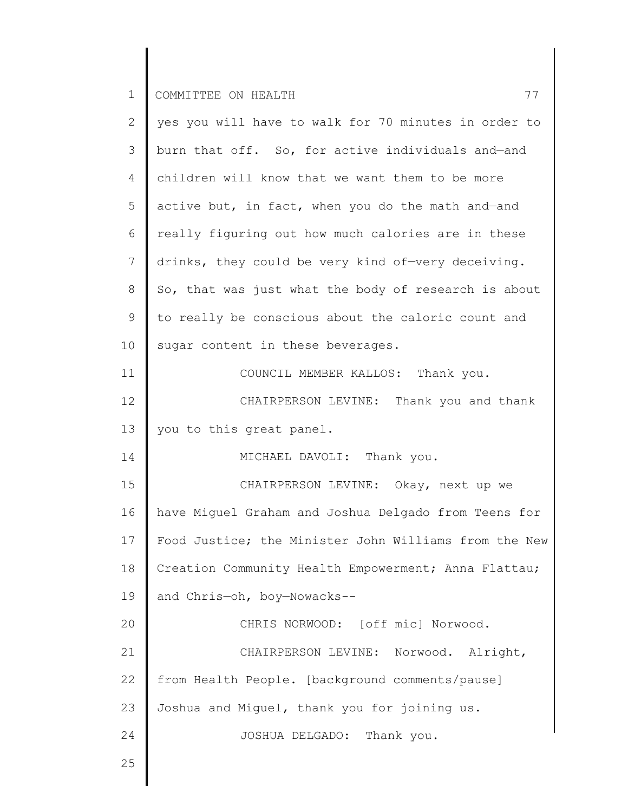| $\mathbf{2}$    | yes you will have to walk for 70 minutes in order to  |
|-----------------|-------------------------------------------------------|
| 3               | burn that off. So, for active individuals and-and     |
| 4               | children will know that we want them to be more       |
| 5               | active but, in fact, when you do the math and-and     |
| 6               | really figuring out how much calories are in these    |
| $7\phantom{.0}$ | drinks, they could be very kind of-very deceiving.    |
| 8               | So, that was just what the body of research is about  |
| 9               | to really be conscious about the caloric count and    |
| 10 <sub>o</sub> | sugar content in these beverages.                     |
| 11              | COUNCIL MEMBER KALLOS: Thank you.                     |
| 12              | CHAIRPERSON LEVINE: Thank you and thank               |
| 13              | you to this great panel.                              |
| 14              | MICHAEL DAVOLI: Thank you.                            |
| 15              | CHAIRPERSON LEVINE: Okay, next up we                  |
| 16              | have Miguel Graham and Joshua Delgado from Teens for  |
| 17              | Food Justice; the Minister John Williams from the New |
| 18              | Creation Community Health Empowerment; Anna Flattau;  |
| 19              | and Chris-oh, boy-Nowacks--                           |
| 20              | CHRIS NORWOOD: [off mic] Norwood.                     |
| 21              | CHAIRPERSON LEVINE: Norwood. Alright,                 |
| 22              | from Health People. [background comments/pause]       |
| 23              | Joshua and Miguel, thank you for joining us.          |
| 24              | JOSHUA DELGADO: Thank you.                            |
| 25              |                                                       |
|                 |                                                       |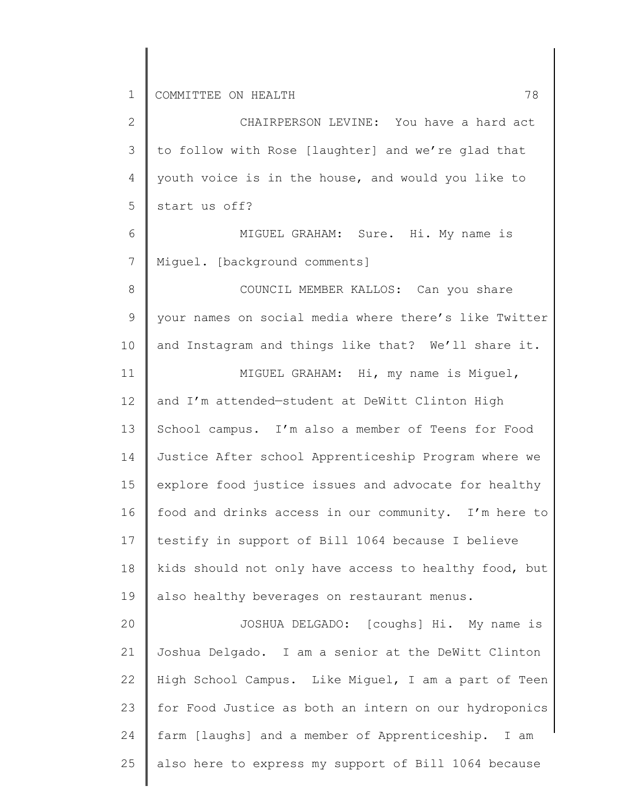2 3 4 5 6 7 8 9 10 11 12 13 14 15 16 17 18 19 20 21 22 23 24 25 CHAIRPERSON LEVINE: You have a hard act to follow with Rose [laughter] and we're glad that youth voice is in the house, and would you like to start us off? MIGUEL GRAHAM: Sure. Hi. My name is Miguel. [background comments] COUNCIL MEMBER KALLOS: Can you share your names on social media where there's like Twitter and Instagram and things like that? We'll share it. MIGUEL GRAHAM: Hi, my name is Miguel, and I'm attended—student at DeWitt Clinton High School campus. I'm also a member of Teens for Food Justice After school Apprenticeship Program where we explore food justice issues and advocate for healthy food and drinks access in our community. I'm here to testify in support of Bill 1064 because I believe kids should not only have access to healthy food, but also healthy beverages on restaurant menus. JOSHUA DELGADO: [coughs] Hi. My name is Joshua Delgado. I am a senior at the DeWitt Clinton High School Campus. Like Miguel, I am a part of Teen for Food Justice as both an intern on our hydroponics farm [laughs] and a member of Apprenticeship. I am also here to express my support of Bill 1064 because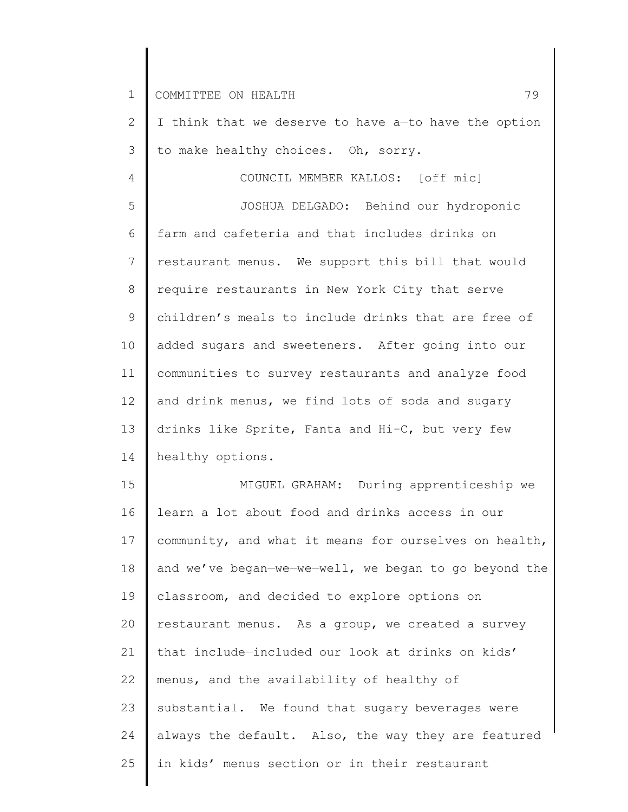2 3 4 5 6 7 8 9 10 11 12 13 14 I think that we deserve to have a—to have the option to make healthy choices. Oh, sorry. COUNCIL MEMBER KALLOS: [off mic] JOSHUA DELGADO: Behind our hydroponic farm and cafeteria and that includes drinks on restaurant menus. We support this bill that would require restaurants in New York City that serve children's meals to include drinks that are free of added sugars and sweeteners. After going into our communities to survey restaurants and analyze food and drink menus, we find lots of soda and sugary drinks like Sprite, Fanta and Hi-C, but very few healthy options.

15 16 17 18 19 20 21 22 23 24 25 MIGUEL GRAHAM: During apprenticeship we learn a lot about food and drinks access in our community, and what it means for ourselves on health, and we've began—we—we—well, we began to go beyond the classroom, and decided to explore options on restaurant menus. As a group, we created a survey that include—included our look at drinks on kids' menus, and the availability of healthy of substantial. We found that sugary beverages were always the default. Also, the way they are featured in kids' menus section or in their restaurant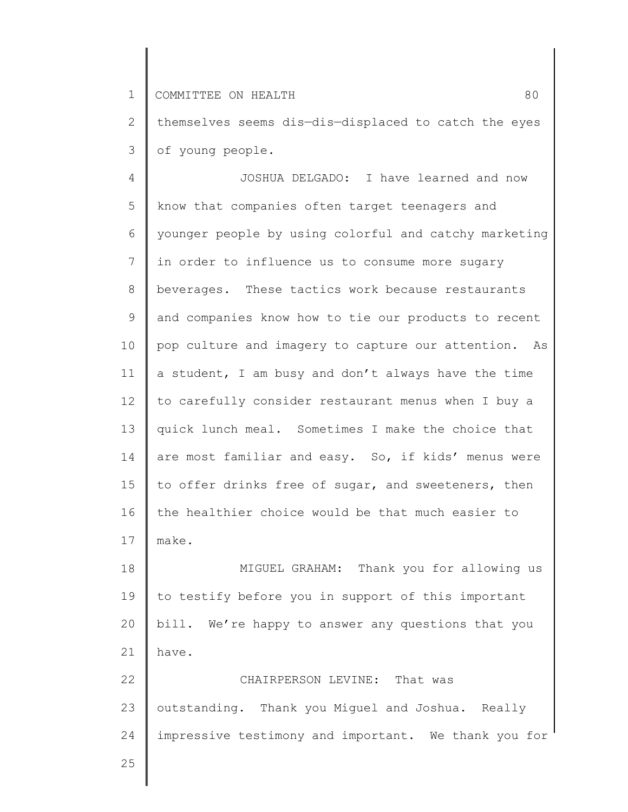2 3 themselves seems dis—dis—displaced to catch the eyes of young people.

4 5 6 7 8 9 10 11 12 13 14 15 16 17 JOSHUA DELGADO: I have learned and now know that companies often target teenagers and younger people by using colorful and catchy marketing in order to influence us to consume more sugary beverages. These tactics work because restaurants and companies know how to tie our products to recent pop culture and imagery to capture our attention. As a student, I am busy and don't always have the time to carefully consider restaurant menus when I buy a quick lunch meal. Sometimes I make the choice that are most familiar and easy. So, if kids' menus were to offer drinks free of sugar, and sweeteners, then the healthier choice would be that much easier to make.

18 19 20 21 22 MIGUEL GRAHAM: Thank you for allowing us to testify before you in support of this important bill. We're happy to answer any questions that you have. CHAIRPERSON LEVINE: That was

23 24 outstanding. Thank you Miguel and Joshua. Really impressive testimony and important. We thank you for

25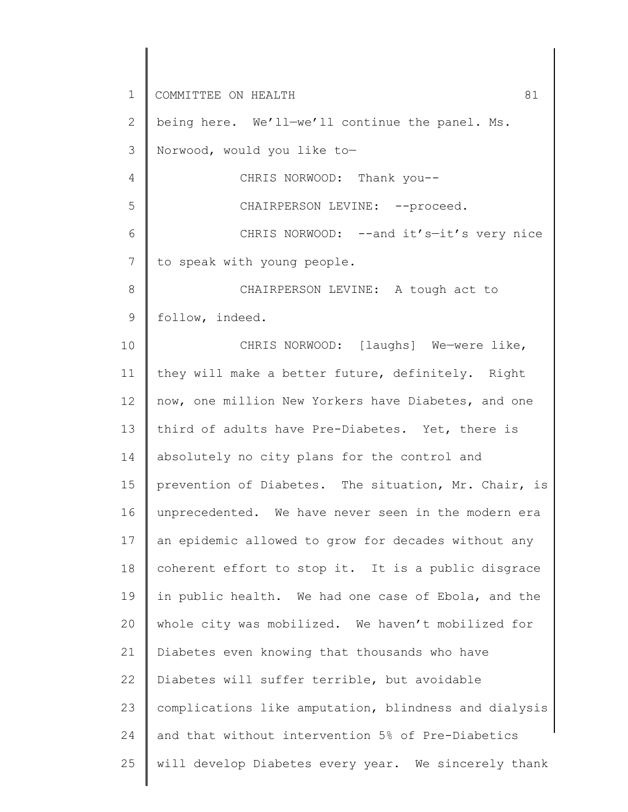1 2 3 4 5 6 7 8 9 10 11 12 13 14 15 16 17 18 19 20 21 22 23 24 25 COMMITTEE ON HEALTH 81 being here. We'll—we'll continue the panel. Ms. Norwood, would you like to— CHRIS NORWOOD: Thank you-- CHAIRPERSON LEVINE: -- proceed. CHRIS NORWOOD: -- and it's-it's very nice to speak with young people. CHAIRPERSON LEVINE: A tough act to follow, indeed. CHRIS NORWOOD: [laughs] We-were like, they will make a better future, definitely. Right now, one million New Yorkers have Diabetes, and one third of adults have Pre-Diabetes. Yet, there is absolutely no city plans for the control and prevention of Diabetes. The situation, Mr. Chair, is unprecedented. We have never seen in the modern era an epidemic allowed to grow for decades without any coherent effort to stop it. It is a public disgrace in public health. We had one case of Ebola, and the whole city was mobilized. We haven't mobilized for Diabetes even knowing that thousands who have Diabetes will suffer terrible, but avoidable complications like amputation, blindness and dialysis and that without intervention 5% of Pre-Diabetics will develop Diabetes every year. We sincerely thank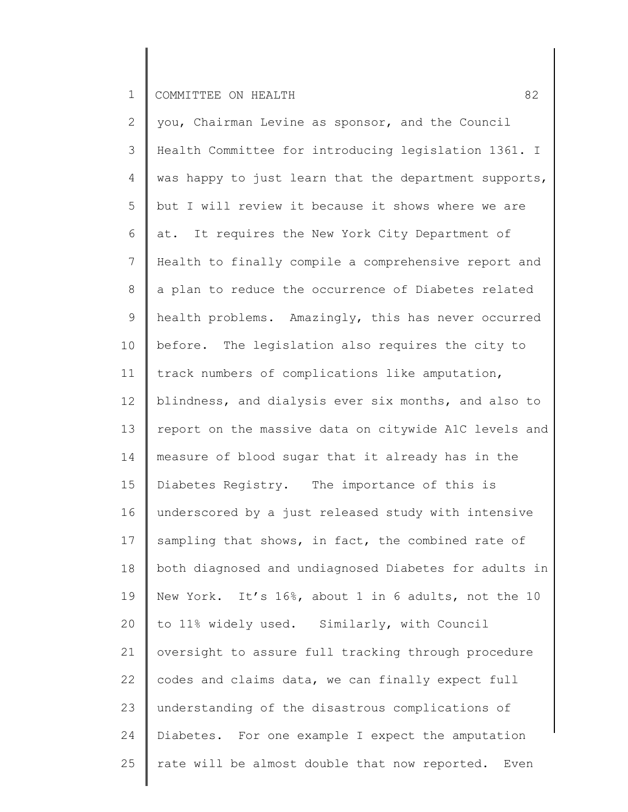2 3 4 5 6 7 8 9 10 11 12 13 14 15 16 17 18 19 20 21 22 23 24 25 you, Chairman Levine as sponsor, and the Council Health Committee for introducing legislation 1361. I was happy to just learn that the department supports, but I will review it because it shows where we are at. It requires the New York City Department of Health to finally compile a comprehensive report and a plan to reduce the occurrence of Diabetes related health problems. Amazingly, this has never occurred before. The legislation also requires the city to track numbers of complications like amputation, blindness, and dialysis ever six months, and also to report on the massive data on citywide A1C levels and measure of blood sugar that it already has in the Diabetes Registry. The importance of this is underscored by a just released study with intensive sampling that shows, in fact, the combined rate of both diagnosed and undiagnosed Diabetes for adults in New York. It's 16%, about 1 in 6 adults, not the 10 to 11% widely used. Similarly, with Council oversight to assure full tracking through procedure codes and claims data, we can finally expect full understanding of the disastrous complications of Diabetes. For one example I expect the amputation rate will be almost double that now reported. Even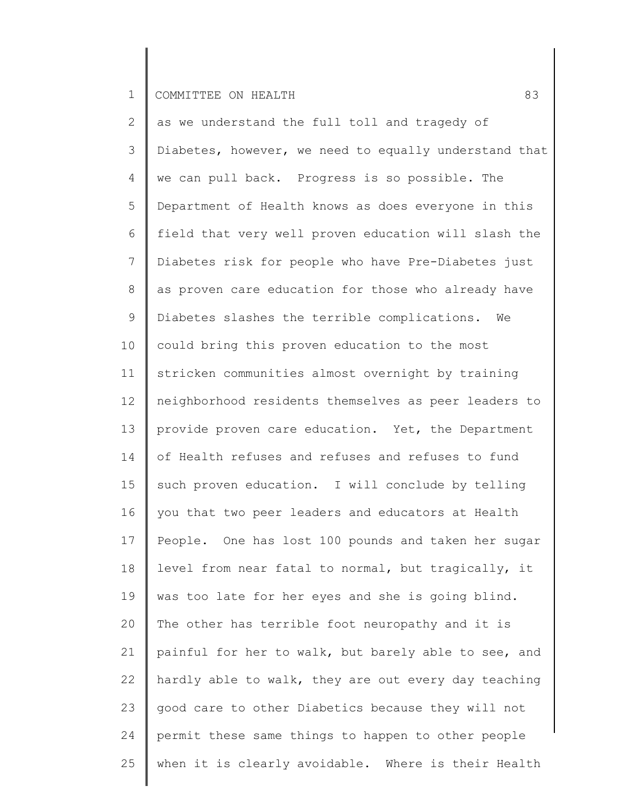2 3 4 5 6 7 8 9 10 11 12 13 14 15 16 17 18 19 20 21 22 23 24 25 as we understand the full toll and tragedy of Diabetes, however, we need to equally understand that we can pull back. Progress is so possible. The Department of Health knows as does everyone in this field that very well proven education will slash the Diabetes risk for people who have Pre-Diabetes just as proven care education for those who already have Diabetes slashes the terrible complications. We could bring this proven education to the most stricken communities almost overnight by training neighborhood residents themselves as peer leaders to provide proven care education. Yet, the Department of Health refuses and refuses and refuses to fund such proven education. I will conclude by telling you that two peer leaders and educators at Health People. One has lost 100 pounds and taken her sugar level from near fatal to normal, but tragically, it was too late for her eyes and she is going blind. The other has terrible foot neuropathy and it is painful for her to walk, but barely able to see, and hardly able to walk, they are out every day teaching good care to other Diabetics because they will not permit these same things to happen to other people when it is clearly avoidable. Where is their Health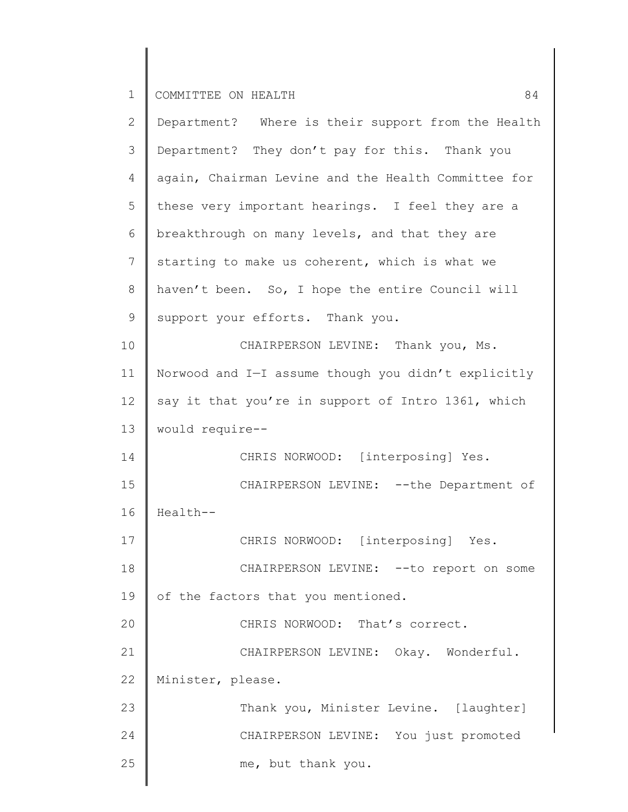| 2           | Department? Where is their support from the Health  |
|-------------|-----------------------------------------------------|
| 3           | Department? They don't pay for this. Thank you      |
| 4           | again, Chairman Levine and the Health Committee for |
| 5           | these very important hearings. I feel they are a    |
| 6           | breakthrough on many levels, and that they are      |
| 7           | starting to make us coherent, which is what we      |
| $8\,$       | haven't been. So, I hope the entire Council will    |
| $\mathsf 9$ | support your efforts. Thank you.                    |
| 10          | CHAIRPERSON LEVINE: Thank you, Ms.                  |
| 11          | Norwood and I-I assume though you didn't explicitly |
| 12          | say it that you're in support of Intro 1361, which  |
| 13          | would require--                                     |
| 14          | CHRIS NORWOOD: [interposing] Yes.                   |
| 15          | CHAIRPERSON LEVINE: -- the Department of            |
| 16          | Health--                                            |
| 17          | CHRIS NORWOOD: [interposing] Yes.                   |
| 18          | CHAIRPERSON LEVINE: -- to report on some            |
| 19          | of the factors that you mentioned.                  |
| 20          | CHRIS NORWOOD: That's correct.                      |
| 21          | CHAIRPERSON LEVINE: Okay. Wonderful.                |
| 22          | Minister, please.                                   |
| 23          | Thank you, Minister Levine. [laughter]              |
| 24          | CHAIRPERSON LEVINE: You just promoted               |
| 25          | me, but thank you.                                  |
|             |                                                     |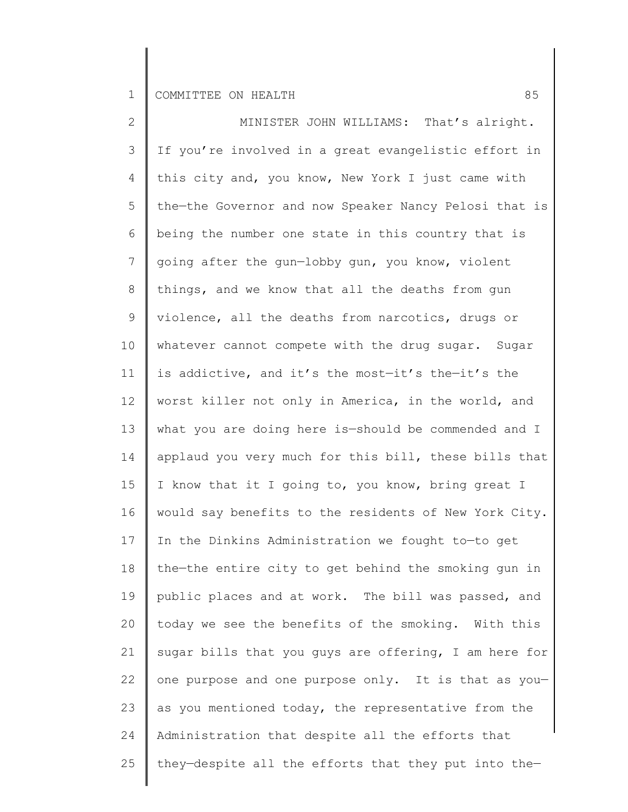2 3 4 5 6 7 8 9 10 11 12 13 14 15 16 17 18 19 20 21 22 23 24 25 MINISTER JOHN WILLIAMS: That's alright. If you're involved in a great evangelistic effort in this city and, you know, New York I just came with the—the Governor and now Speaker Nancy Pelosi that is being the number one state in this country that is going after the gun—lobby gun, you know, violent things, and we know that all the deaths from gun violence, all the deaths from narcotics, drugs or whatever cannot compete with the drug sugar. Sugar is addictive, and it's the most—it's the—it's the worst killer not only in America, in the world, and what you are doing here is—should be commended and I applaud you very much for this bill, these bills that I know that it I going to, you know, bring great I would say benefits to the residents of New York City. In the Dinkins Administration we fought to—to get the—the entire city to get behind the smoking gun in public places and at work. The bill was passed, and today we see the benefits of the smoking. With this sugar bills that you guys are offering, I am here for one purpose and one purpose only. It is that as you as you mentioned today, the representative from the Administration that despite all the efforts that they—despite all the efforts that they put into the—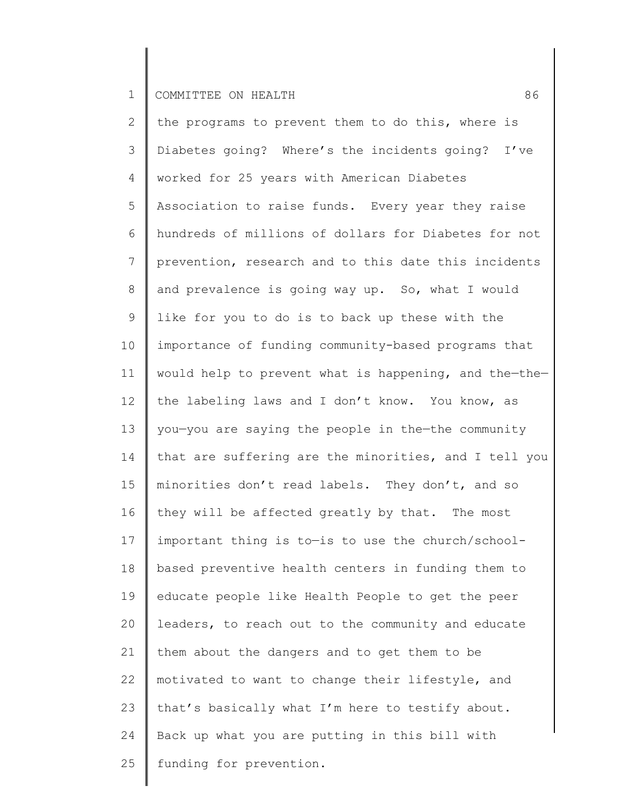2 3 4 5 6 7 8 9 10 11 12 13 14 15 16 17 18 19 20 21 22 23 24 25 the programs to prevent them to do this, where is Diabetes going? Where's the incidents going? I've worked for 25 years with American Diabetes Association to raise funds. Every year they raise hundreds of millions of dollars for Diabetes for not prevention, research and to this date this incidents and prevalence is going way up. So, what I would like for you to do is to back up these with the importance of funding community-based programs that would help to prevent what is happening, and the—the the labeling laws and I don't know. You know, as you—you are saying the people in the—the community that are suffering are the minorities, and I tell you minorities don't read labels. They don't, and so they will be affected greatly by that. The most important thing is to—is to use the church/schoolbased preventive health centers in funding them to educate people like Health People to get the peer leaders, to reach out to the community and educate them about the dangers and to get them to be motivated to want to change their lifestyle, and that's basically what I'm here to testify about. Back up what you are putting in this bill with funding for prevention.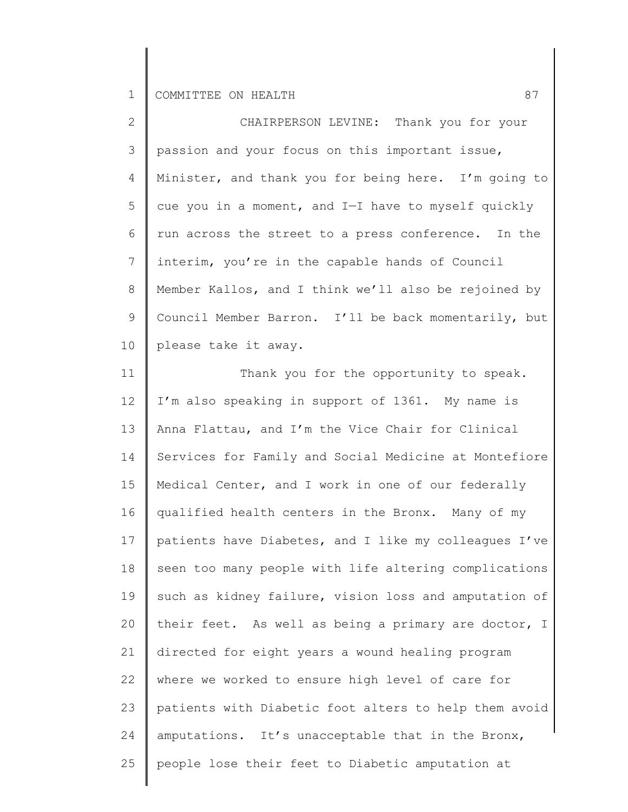2 3 4 5 6 7 8 9 10 CHAIRPERSON LEVINE: Thank you for your passion and your focus on this important issue, Minister, and thank you for being here. I'm going to cue you in a moment, and I—I have to myself quickly run across the street to a press conference. In the interim, you're in the capable hands of Council Member Kallos, and I think we'll also be rejoined by Council Member Barron. I'll be back momentarily, but please take it away.

11 12 13 14 15 16 17 18 19 20 21 22 23 24 25 Thank you for the opportunity to speak. I'm also speaking in support of 1361. My name is Anna Flattau, and I'm the Vice Chair for Clinical Services for Family and Social Medicine at Montefiore Medical Center, and I work in one of our federally qualified health centers in the Bronx. Many of my patients have Diabetes, and I like my colleagues I've seen too many people with life altering complications such as kidney failure, vision loss and amputation of their feet. As well as being a primary are doctor, I directed for eight years a wound healing program where we worked to ensure high level of care for patients with Diabetic foot alters to help them avoid amputations. It's unacceptable that in the Bronx, people lose their feet to Diabetic amputation at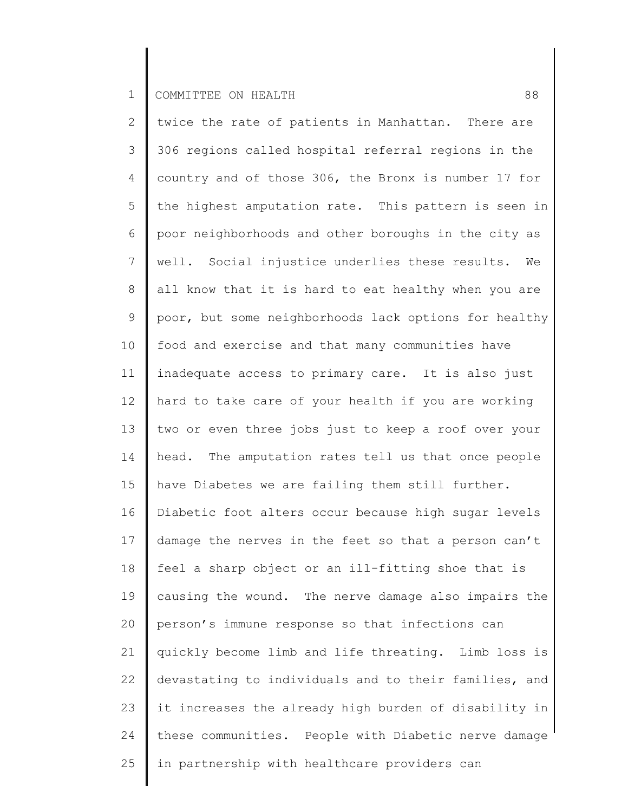2 3 4 5 6 7 8 9 10 11 12 13 14 15 16 17 18 19 20 21 22 23 24 25 twice the rate of patients in Manhattan. There are 306 regions called hospital referral regions in the country and of those 306, the Bronx is number 17 for the highest amputation rate. This pattern is seen in poor neighborhoods and other boroughs in the city as well. Social injustice underlies these results. We all know that it is hard to eat healthy when you are poor, but some neighborhoods lack options for healthy food and exercise and that many communities have inadequate access to primary care. It is also just hard to take care of your health if you are working two or even three jobs just to keep a roof over your head. The amputation rates tell us that once people have Diabetes we are failing them still further. Diabetic foot alters occur because high sugar levels damage the nerves in the feet so that a person can't feel a sharp object or an ill-fitting shoe that is causing the wound. The nerve damage also impairs the person's immune response so that infections can quickly become limb and life threating. Limb loss is devastating to individuals and to their families, and it increases the already high burden of disability in these communities. People with Diabetic nerve damage in partnership with healthcare providers can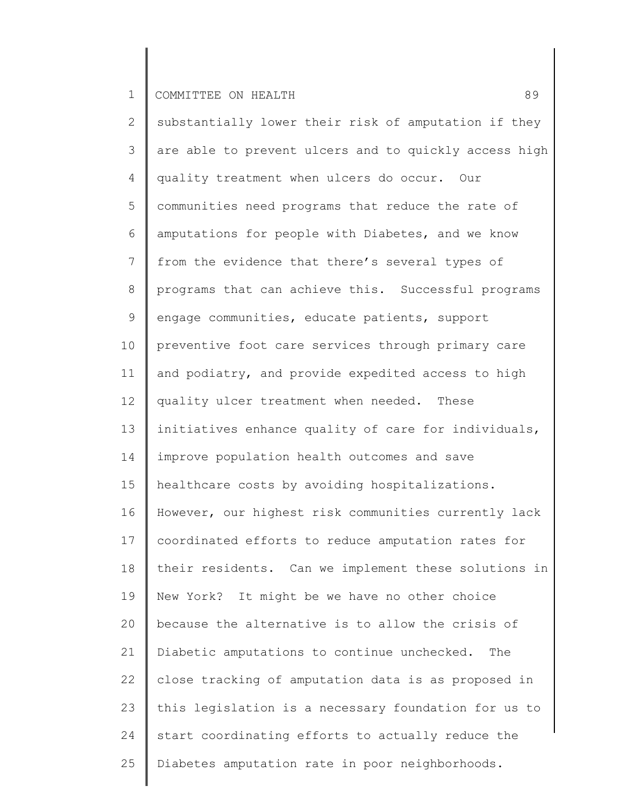2 3 4 5 6 7 8 9 10 11 12 13 14 15 16 17 18 19 20 21 22 23 24 25 substantially lower their risk of amputation if they are able to prevent ulcers and to quickly access high quality treatment when ulcers do occur. Our communities need programs that reduce the rate of amputations for people with Diabetes, and we know from the evidence that there's several types of programs that can achieve this. Successful programs engage communities, educate patients, support preventive foot care services through primary care and podiatry, and provide expedited access to high quality ulcer treatment when needed. These initiatives enhance quality of care for individuals, improve population health outcomes and save healthcare costs by avoiding hospitalizations. However, our highest risk communities currently lack coordinated efforts to reduce amputation rates for their residents. Can we implement these solutions in New York? It might be we have no other choice because the alternative is to allow the crisis of Diabetic amputations to continue unchecked. The close tracking of amputation data is as proposed in this legislation is a necessary foundation for us to start coordinating efforts to actually reduce the Diabetes amputation rate in poor neighborhoods.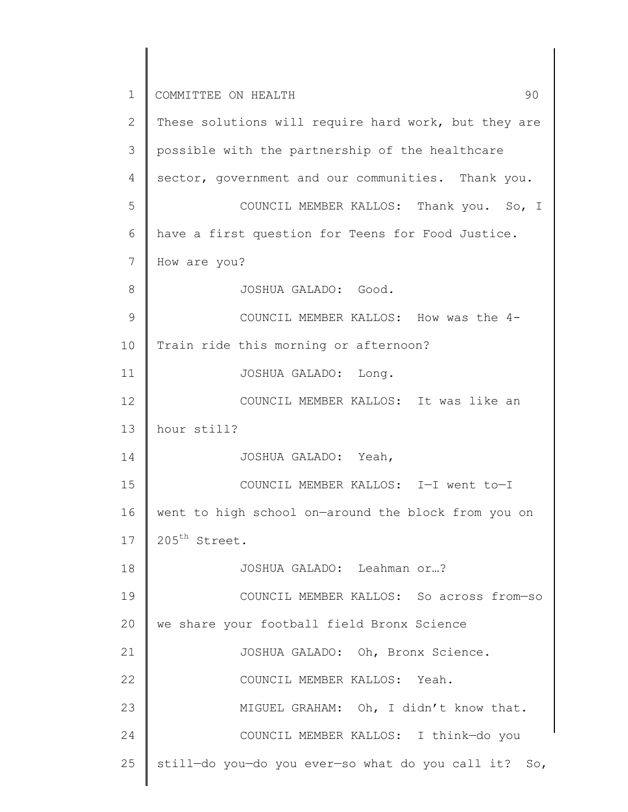1 2 3 4 5 6 7 8 9 10 11 12 13 14 15 16 17 18 19 20 21 22 23 24 25 COMMITTEE ON HEALTH 30 These solutions will require hard work, but they are possible with the partnership of the healthcare sector, government and our communities. Thank you. COUNCIL MEMBER KALLOS: Thank you. So, I have a first question for Teens for Food Justice. How are you? JOSHUA GALADO: Good. COUNCIL MEMBER KALLOS: How was the 4- Train ride this morning or afternoon? JOSHUA GALADO: Long. COUNCIL MEMBER KALLOS: It was like an hour still? JOSHUA GALADO: Yeah, COUNCIL MEMBER KALLOS: I—I went to—I went to high school on—around the block from you on 205<sup>th</sup> Street. JOSHUA GALADO: Leahman or…? COUNCIL MEMBER KALLOS: So across from—so we share your football field Bronx Science JOSHUA GALADO: Oh, Bronx Science. COUNCIL MEMBER KALLOS: Yeah. MIGUEL GRAHAM: Oh, I didn't know that. COUNCIL MEMBER KALLOS: I think—do you still—do you—do you ever—so what do you call it? So,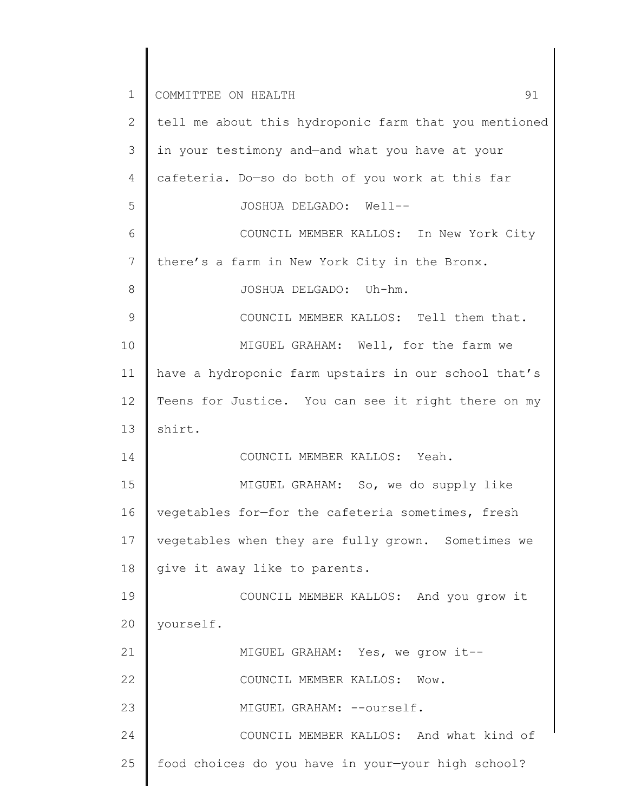| $\mathbf 1$ | 91<br>COMMITTEE ON HEALTH                             |
|-------------|-------------------------------------------------------|
| 2           | tell me about this hydroponic farm that you mentioned |
| 3           | in your testimony and-and what you have at your       |
| 4           | cafeteria. Do-so do both of you work at this far      |
| 5           | JOSHUA DELGADO: Well--                                |
| 6           | COUNCIL MEMBER KALLOS: In New York City               |
| 7           | there's a farm in New York City in the Bronx.         |
| 8           | JOSHUA DELGADO: Uh-hm.                                |
| 9           | COUNCIL MEMBER KALLOS: Tell them that.                |
| 10          | MIGUEL GRAHAM: Well, for the farm we                  |
| 11          | have a hydroponic farm upstairs in our school that's  |
| 12          | Teens for Justice. You can see it right there on my   |
| 13          | shirt.                                                |
| 14          | COUNCIL MEMBER KALLOS: Yeah.                          |
| 15          | MIGUEL GRAHAM: So, we do supply like                  |
| 16          | vegetables for-for the cafeteria sometimes, fresh     |
| 17          | vegetables when they are fully grown. Sometimes we    |
| 18          | give it away like to parents.                         |
| 19          | COUNCIL MEMBER KALLOS: And you grow it                |
| 20          | yourself.                                             |
| 21          | MIGUEL GRAHAM: Yes, we grow it --                     |
| 22          | COUNCIL MEMBER KALLOS: Wow.                           |
| 23          | MIGUEL GRAHAM: --ourself.                             |
| 24          | COUNCIL MEMBER KALLOS: And what kind of               |
| 25          | food choices do you have in your-your high school?    |
|             |                                                       |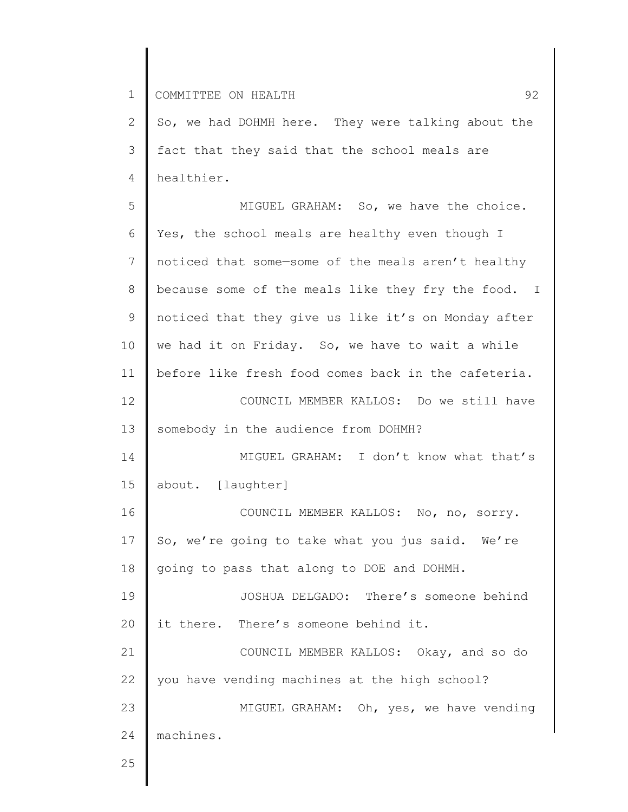2 3 4 So, we had DOHMH here. They were talking about the fact that they said that the school meals are healthier.

5 6 7 8 9 10 11 12 13 14 15 16 17 18 19 20 21 22 23 24 25 MIGUEL GRAHAM: So, we have the choice. Yes, the school meals are healthy even though I noticed that some—some of the meals aren't healthy because some of the meals like they fry the food. I noticed that they give us like it's on Monday after we had it on Friday. So, we have to wait a while before like fresh food comes back in the cafeteria. COUNCIL MEMBER KALLOS: Do we still have somebody in the audience from DOHMH? MIGUEL GRAHAM: I don't know what that's about. [laughter] COUNCIL MEMBER KALLOS: No, no, sorry. So, we're going to take what you jus said. We're going to pass that along to DOE and DOHMH. JOSHUA DELGADO: There's someone behind it there. There's someone behind it. COUNCIL MEMBER KALLOS: Okay, and so do you have vending machines at the high school? MIGUEL GRAHAM: Oh, yes, we have vending machines.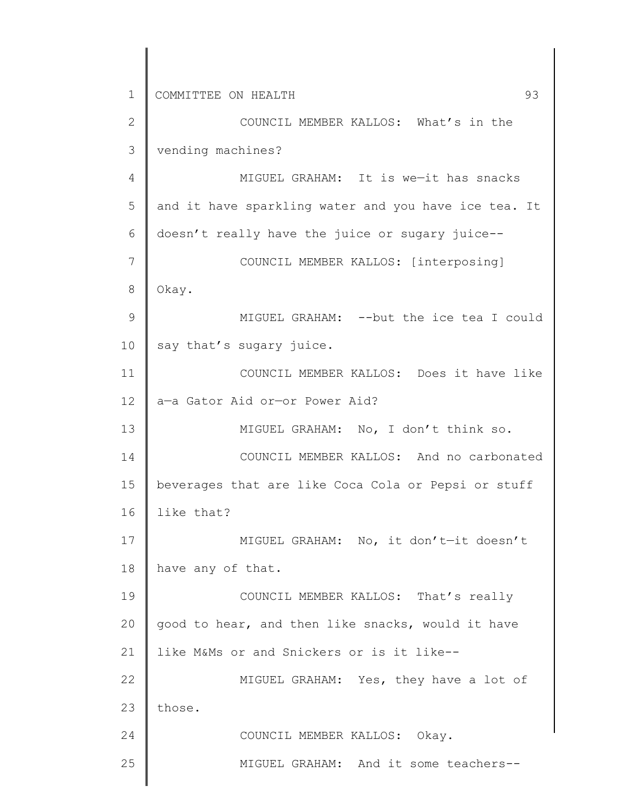1 2 3 4 5 6 7 8 9 10 11 12 13 14 15 16 17 18 19 20 21 22 23 24 25 COMMITTEE ON HEALTH 93 COUNCIL MEMBER KALLOS: What's in the vending machines? MIGUEL GRAHAM: It is we—it has snacks and it have sparkling water and you have ice tea. It doesn't really have the juice or sugary juice-- COUNCIL MEMBER KALLOS: [interposing] Okay. MIGUEL GRAHAM: --but the ice tea I could say that's sugary juice. COUNCIL MEMBER KALLOS: Does it have like a—a Gator Aid or—or Power Aid? MIGUEL GRAHAM: No, I don't think so. COUNCIL MEMBER KALLOS: And no carbonated beverages that are like Coca Cola or Pepsi or stuff like that? MIGUEL GRAHAM: No, it don't—it doesn't have any of that. COUNCIL MEMBER KALLOS: That's really good to hear, and then like snacks, would it have like M&Ms or and Snickers or is it like-- MIGUEL GRAHAM: Yes, they have a lot of those. COUNCIL MEMBER KALLOS: Okay. MIGUEL GRAHAM: And it some teachers--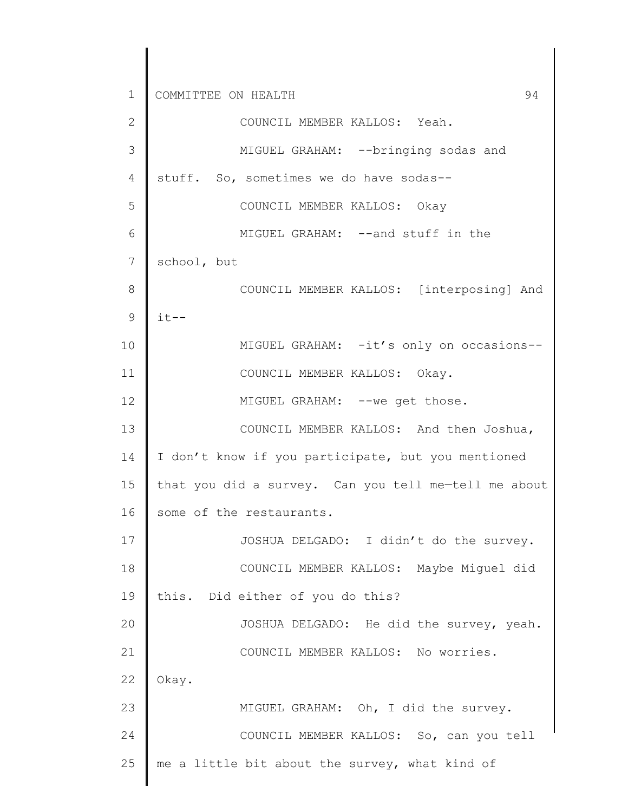1 2 3 4 5 6 7 8 9 10 11 12 13 14 15 16 17 18 19 20 21 22 23 24 25 COMMITTEE ON HEALTH 94 COUNCIL MEMBER KALLOS: Yeah. MIGUEL GRAHAM: --bringing sodas and stuff. So, sometimes we do have sodas-- COUNCIL MEMBER KALLOS: Okay MIGUEL GRAHAM: --and stuff in the school, but COUNCIL MEMBER KALLOS: [interposing] And  $it--$ MIGUEL GRAHAM: -it's only on occasions-- COUNCIL MEMBER KALLOS: Okay. MIGUEL GRAHAM: --we get those. COUNCIL MEMBER KALLOS: And then Joshua, I don't know if you participate, but you mentioned that you did a survey. Can you tell me—tell me about some of the restaurants. JOSHUA DELGADO: I didn't do the survey. COUNCIL MEMBER KALLOS: Maybe Miguel did this. Did either of you do this? JOSHUA DELGADO: He did the survey, yeah. COUNCIL MEMBER KALLOS: No worries. Okay. MIGUEL GRAHAM: Oh, I did the survey. COUNCIL MEMBER KALLOS: So, can you tell me a little bit about the survey, what kind of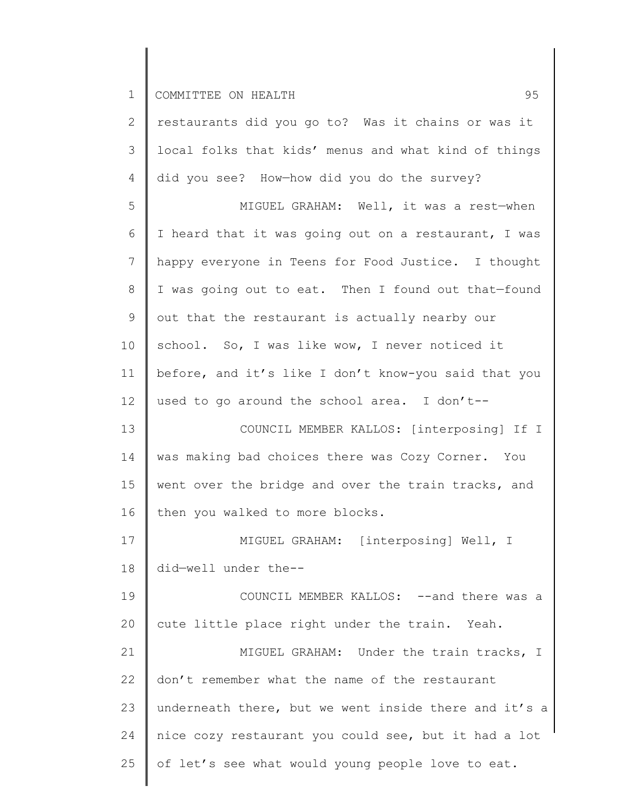| $\mathbf{2}$   | restaurants did you go to? Was it chains or was it    |
|----------------|-------------------------------------------------------|
| 3              | local folks that kids' menus and what kind of things  |
| $\overline{4}$ | did you see? How-how did you do the survey?           |
| 5              | MIGUEL GRAHAM: Well, it was a rest-when               |
| 6              | I heard that it was going out on a restaurant, I was  |
| $7\phantom{.}$ | happy everyone in Teens for Food Justice. I thought   |
| 8              | I was going out to eat. Then I found out that-found   |
| 9              | out that the restaurant is actually nearby our        |
| 10             | school. So, I was like wow, I never noticed it        |
| 11             | before, and it's like I don't know-you said that you  |
| 12             | used to go around the school area. I don't--          |
| 13             | COUNCIL MEMBER KALLOS: [interposing] If I             |
| 14             | was making bad choices there was Cozy Corner. You     |
| 15             | went over the bridge and over the train tracks, and   |
| 16             | then you walked to more blocks.                       |
| 17             | MIGUEL GRAHAM: [interposing] Well, I                  |
| 18             | did-well under the--                                  |
| 19             | COUNCIL MEMBER KALLOS: --and there was a              |
| 20             | cute little place right under the train. Yeah.        |
| 21             | MIGUEL GRAHAM: Under the train tracks, I              |
| 22             | don't remember what the name of the restaurant        |
| 23             | underneath there, but we went inside there and it's a |
| 24             | nice cozy restaurant you could see, but it had a lot  |
| 25             | of let's see what would young people love to eat.     |
|                |                                                       |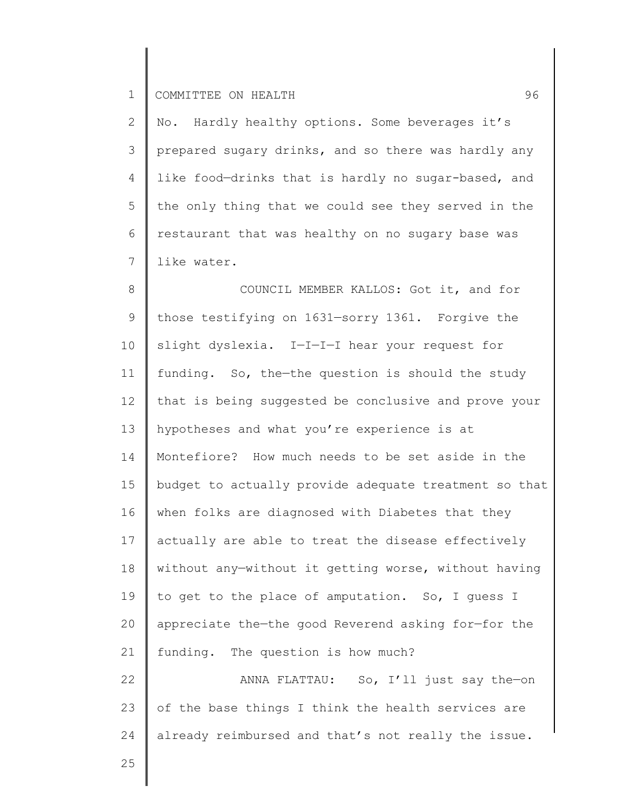2 3 4 5 6 7 No. Hardly healthy options. Some beverages it's prepared sugary drinks, and so there was hardly any like food—drinks that is hardly no sugar-based, and the only thing that we could see they served in the restaurant that was healthy on no sugary base was like water.

8 9 10 11 12 13 14 15 16 17 18 19 20 21 22 COUNCIL MEMBER KALLOS: Got it, and for those testifying on 1631—sorry 1361. Forgive the slight dyslexia. I—I—I—I hear your request for funding. So, the—the question is should the study that is being suggested be conclusive and prove your hypotheses and what you're experience is at Montefiore? How much needs to be set aside in the budget to actually provide adequate treatment so that when folks are diagnosed with Diabetes that they actually are able to treat the disease effectively without any—without it getting worse, without having to get to the place of amputation. So, I guess I appreciate the—the good Reverend asking for—for the funding. The question is how much? ANNA FLATTAU: So, I'll just say the—on

23 24 of the base things I think the health services are already reimbursed and that's not really the issue.

25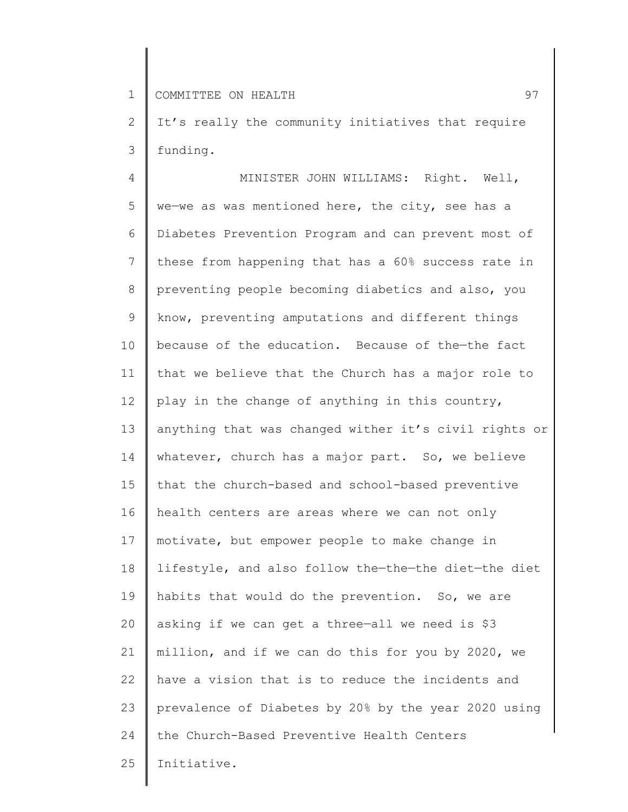2 3 It's really the community initiatives that require funding.

4 5 6 7 8 9 10 11 12 13 14 15 16 17 18 19 20 21 22 23 24 25 MINISTER JOHN WILLIAMS: Right. Well, we—we as was mentioned here, the city, see has a Diabetes Prevention Program and can prevent most of these from happening that has a 60% success rate in preventing people becoming diabetics and also, you know, preventing amputations and different things because of the education. Because of the—the fact that we believe that the Church has a major role to play in the change of anything in this country, anything that was changed wither it's civil rights or whatever, church has a major part. So, we believe that the church-based and school-based preventive health centers are areas where we can not only motivate, but empower people to make change in lifestyle, and also follow the—the—the diet—the diet habits that would do the prevention. So, we are asking if we can get a three—all we need is \$3 million, and if we can do this for you by 2020, we have a vision that is to reduce the incidents and prevalence of Diabetes by 20% by the year 2020 using the Church-Based Preventive Health Centers Initiative.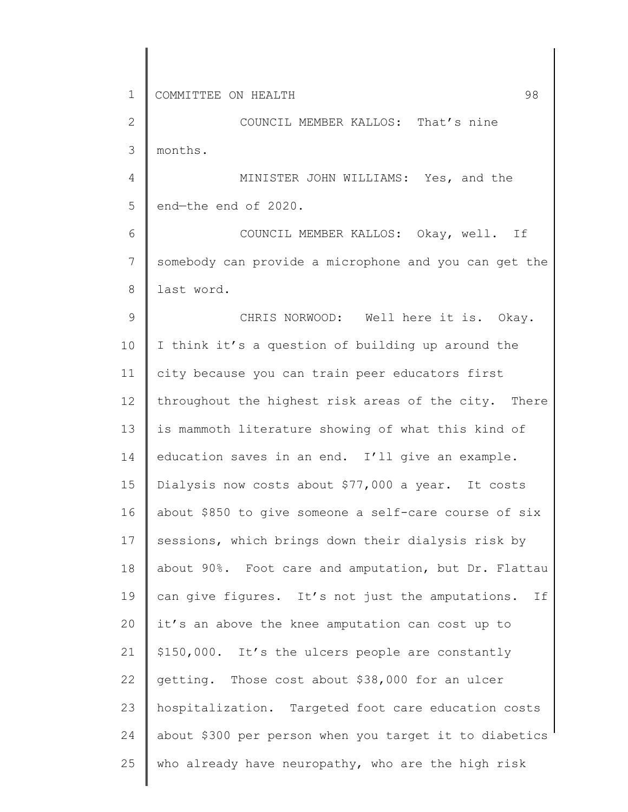2 3 COUNCIL MEMBER KALLOS: That's nine months.

4 5 MINISTER JOHN WILLIAMS: Yes, and the end—the end of 2020.

6 7 8 COUNCIL MEMBER KALLOS: Okay, well. If somebody can provide a microphone and you can get the last word.

9 10 11 12 13 14 15 16 17 18 19 20 21 22 23 24 25 CHRIS NORWOOD: Well here it is. Okay. I think it's a question of building up around the city because you can train peer educators first throughout the highest risk areas of the city. There is mammoth literature showing of what this kind of education saves in an end. I'll give an example. Dialysis now costs about \$77,000 a year. It costs about \$850 to give someone a self-care course of six sessions, which brings down their dialysis risk by about 90%. Foot care and amputation, but Dr. Flattau can give figures. It's not just the amputations. If it's an above the knee amputation can cost up to \$150,000. It's the ulcers people are constantly getting. Those cost about \$38,000 for an ulcer hospitalization. Targeted foot care education costs about \$300 per person when you target it to diabetics who already have neuropathy, who are the high risk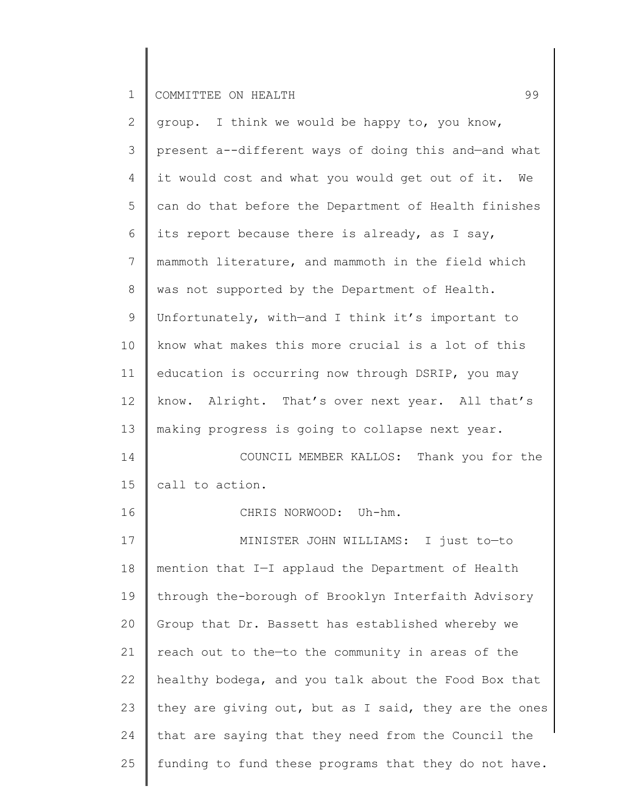| $\overline{2}$ | group. I think we would be happy to, you know,        |
|----------------|-------------------------------------------------------|
| 3              | present a--different ways of doing this and-and what  |
| 4              | it would cost and what you would get out of it. We    |
| 5              | can do that before the Department of Health finishes  |
| 6              | its report because there is already, as I say,        |
| $\overline{7}$ | mammoth literature, and mammoth in the field which    |
| $\,8\,$        | was not supported by the Department of Health.        |
| 9              | Unfortunately, with-and I think it's important to     |
| 10             | know what makes this more crucial is a lot of this    |
| 11             | education is occurring now through DSRIP, you may     |
| 12             | know. Alright. That's over next year. All that's      |
| 13             | making progress is going to collapse next year.       |
| 14             | COUNCIL MEMBER KALLOS: Thank you for the              |
| 15             | call to action.                                       |
|                |                                                       |
| 16             | CHRIS NORWOOD: Uh-hm.                                 |
| 17             | MINISTER JOHN WILLIAMS: I just to-to                  |
| 18             | mention that I-I applaud the Department of Health     |
| 19             | through the-borough of Brooklyn Interfaith Advisory   |
| 20             | Group that Dr. Bassett has established whereby we     |
| 21             | reach out to the-to the community in areas of the     |
| 22             | healthy bodega, and you talk about the Food Box that  |
| 23             | they are giving out, but as I said, they are the ones |
| 24             | that are saying that they need from the Council the   |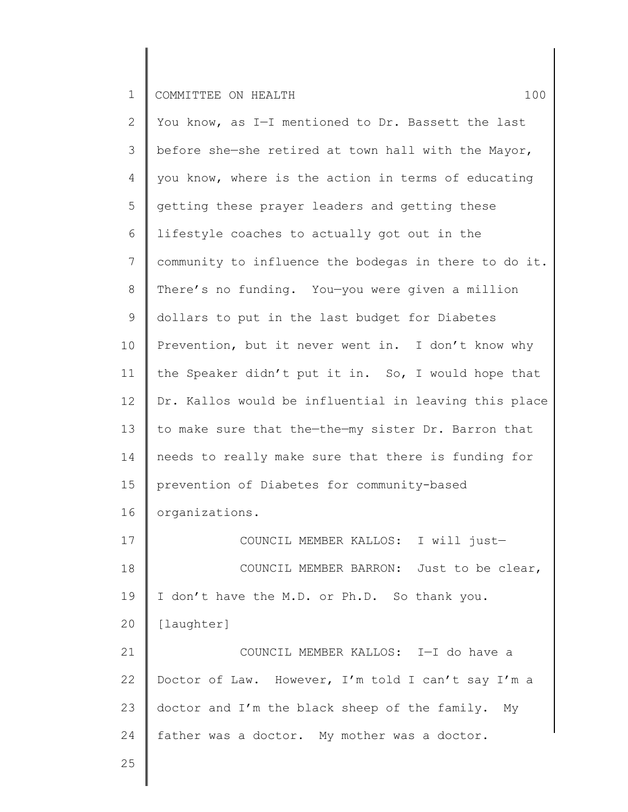2 3 4 5 6 7 8 9 10 11 12 13 14 15 16 17 18 19 20 21 22 23 24 You know, as I—I mentioned to Dr. Bassett the last before she—she retired at town hall with the Mayor, you know, where is the action in terms of educating getting these prayer leaders and getting these lifestyle coaches to actually got out in the community to influence the bodegas in there to do it. There's no funding. You—you were given a million dollars to put in the last budget for Diabetes Prevention, but it never went in. I don't know why the Speaker didn't put it in. So, I would hope that Dr. Kallos would be influential in leaving this place to make sure that the—the—my sister Dr. Barron that needs to really make sure that there is funding for prevention of Diabetes for community-based organizations. COUNCIL MEMBER KALLOS: I will just— COUNCIL MEMBER BARRON: Just to be clear, I don't have the M.D. or Ph.D. So thank you. [laughter] COUNCIL MEMBER KALLOS: I—I do have a Doctor of Law. However, I'm told I can't say I'm a doctor and I'm the black sheep of the family. My father was a doctor. My mother was a doctor.

25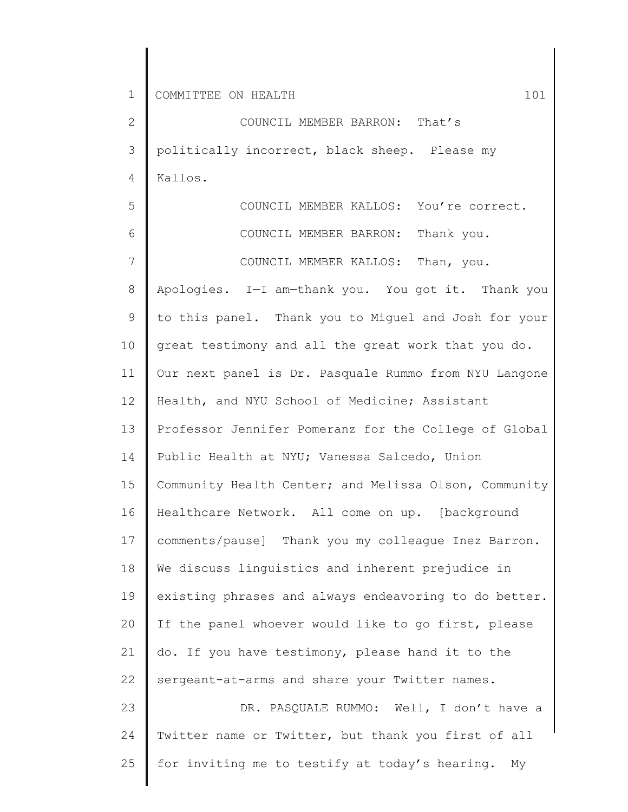2 3 4 COUNCIL MEMBER BARRON: That's politically incorrect, black sheep. Please my Kallos.

5 6 7 COUNCIL MEMBER KALLOS: You're correct. COUNCIL MEMBER BARRON: Thank you. COUNCIL MEMBER KALLOS: Than, you.

8 9 10 11 12 13 14 15 16 17 18 19 20 21 22 23 Apologies. I—I am—thank you. You got it. Thank you to this panel. Thank you to Miguel and Josh for your great testimony and all the great work that you do. Our next panel is Dr. Pasquale Rummo from NYU Langone Health, and NYU School of Medicine; Assistant Professor Jennifer Pomeranz for the College of Global Public Health at NYU; Vanessa Salcedo, Union Community Health Center; and Melissa Olson, Community Healthcare Network. All come on up. [background comments/pause] Thank you my colleague Inez Barron. We discuss linguistics and inherent prejudice in existing phrases and always endeavoring to do better. If the panel whoever would like to go first, please do. If you have testimony, please hand it to the sergeant-at-arms and share your Twitter names. DR. PASQUALE RUMMO: Well, I don't have a

24 25 Twitter name or Twitter, but thank you first of all for inviting me to testify at today's hearing. My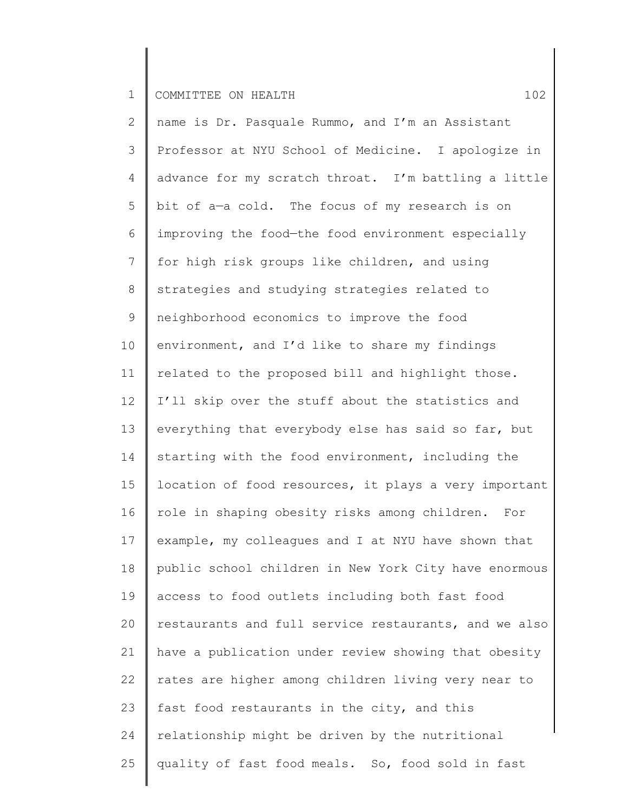2 3 4 5 6 7 8 9 10 11 12 13 14 15 16 17 18 19 20 21 22 23 24 25 name is Dr. Pasquale Rummo, and I'm an Assistant Professor at NYU School of Medicine. I apologize in advance for my scratch throat. I'm battling a little bit of a—a cold. The focus of my research is on improving the food—the food environment especially for high risk groups like children, and using strategies and studying strategies related to neighborhood economics to improve the food environment, and I'd like to share my findings related to the proposed bill and highlight those. I'll skip over the stuff about the statistics and everything that everybody else has said so far, but starting with the food environment, including the location of food resources, it plays a very important role in shaping obesity risks among children. For example, my colleagues and I at NYU have shown that public school children in New York City have enormous access to food outlets including both fast food restaurants and full service restaurants, and we also have a publication under review showing that obesity rates are higher among children living very near to fast food restaurants in the city, and this relationship might be driven by the nutritional quality of fast food meals. So, food sold in fast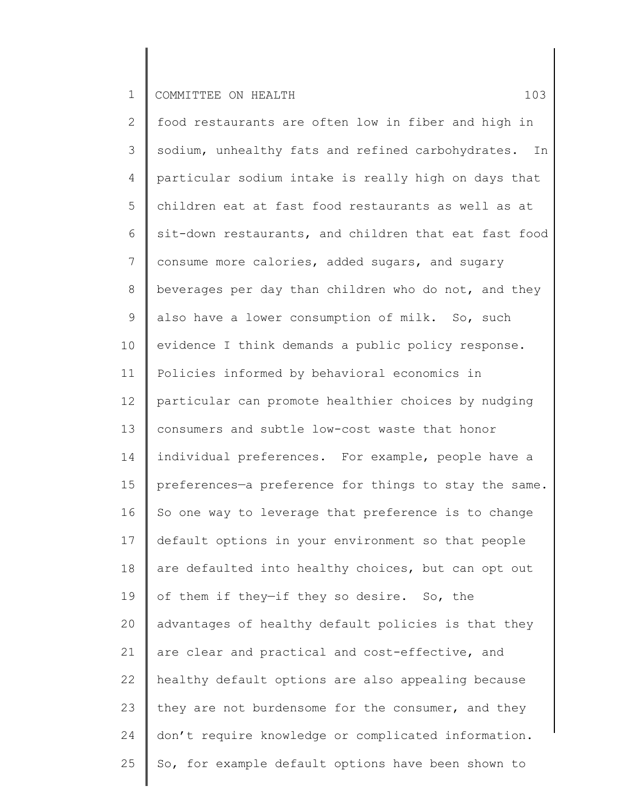2 3 4 5 6 7 8 9 10 11 12 13 14 15 16 17 18 19 20 21 22 23 24 25 food restaurants are often low in fiber and high in sodium, unhealthy fats and refined carbohydrates. In particular sodium intake is really high on days that children eat at fast food restaurants as well as at sit-down restaurants, and children that eat fast food consume more calories, added sugars, and sugary beverages per day than children who do not, and they also have a lower consumption of milk. So, such evidence I think demands a public policy response. Policies informed by behavioral economics in particular can promote healthier choices by nudging consumers and subtle low-cost waste that honor individual preferences. For example, people have a preferences—a preference for things to stay the same. So one way to leverage that preference is to change default options in your environment so that people are defaulted into healthy choices, but can opt out of them if they—if they so desire. So, the advantages of healthy default policies is that they are clear and practical and cost-effective, and healthy default options are also appealing because they are not burdensome for the consumer, and they don't require knowledge or complicated information. So, for example default options have been shown to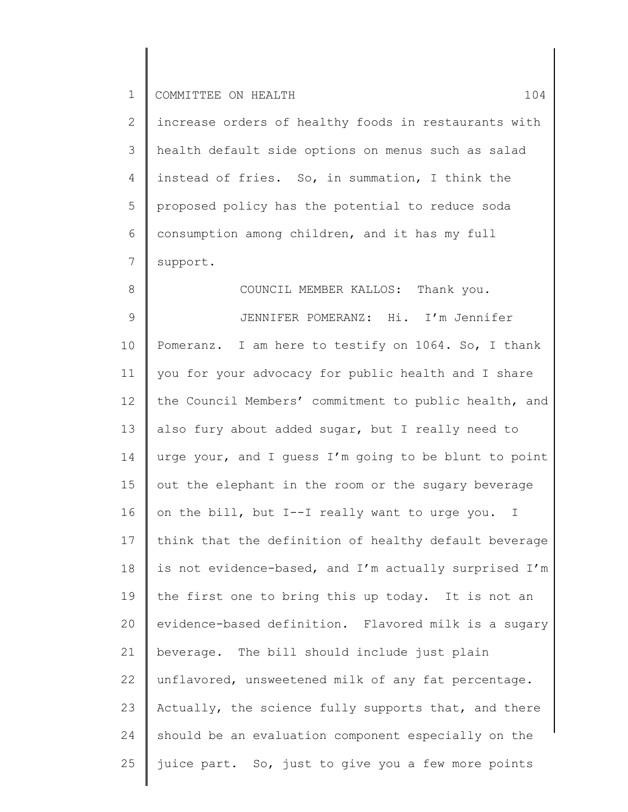8

2 3 4 5 6 7 increase orders of healthy foods in restaurants with health default side options on menus such as salad instead of fries. So, in summation, I think the proposed policy has the potential to reduce soda consumption among children, and it has my full support.

COUNCIL MEMBER KALLOS: Thank you.

9 10 11 12 13 14 15 16 17 18 19 20 21 22 23 24 25 JENNIFER POMERANZ: Hi. I'm Jennifer Pomeranz. I am here to testify on 1064. So, I thank you for your advocacy for public health and I share the Council Members' commitment to public health, and also fury about added sugar, but I really need to urge your, and I guess I'm going to be blunt to point out the elephant in the room or the sugary beverage on the bill, but I--I really want to urge you. I think that the definition of healthy default beverage is not evidence-based, and I'm actually surprised I'm the first one to bring this up today. It is not an evidence-based definition. Flavored milk is a sugary beverage. The bill should include just plain unflavored, unsweetened milk of any fat percentage. Actually, the science fully supports that, and there should be an evaluation component especially on the juice part. So, just to give you a few more points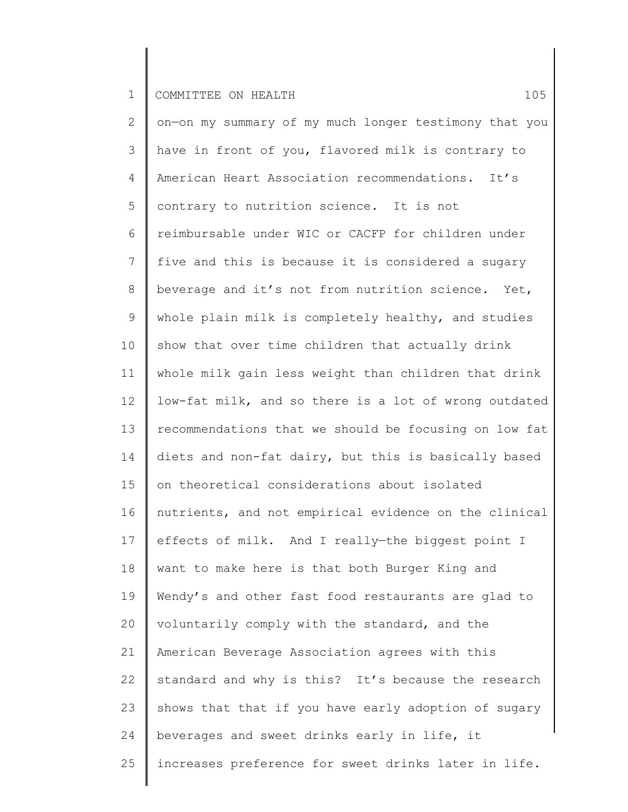2 3 4 5 6 7 8 9 10 11 12 13 14 15 16 17 18 19 20 21 22 23 24 25 on—on my summary of my much longer testimony that you have in front of you, flavored milk is contrary to American Heart Association recommendations. It's contrary to nutrition science. It is not reimbursable under WIC or CACFP for children under five and this is because it is considered a sugary beverage and it's not from nutrition science. Yet, whole plain milk is completely healthy, and studies show that over time children that actually drink whole milk gain less weight than children that drink low-fat milk, and so there is a lot of wrong outdated recommendations that we should be focusing on low fat diets and non-fat dairy, but this is basically based on theoretical considerations about isolated nutrients, and not empirical evidence on the clinical effects of milk. And I really—the biggest point I want to make here is that both Burger King and Wendy's and other fast food restaurants are glad to voluntarily comply with the standard, and the American Beverage Association agrees with this standard and why is this? It's because the research shows that that if you have early adoption of sugary beverages and sweet drinks early in life, it increases preference for sweet drinks later in life.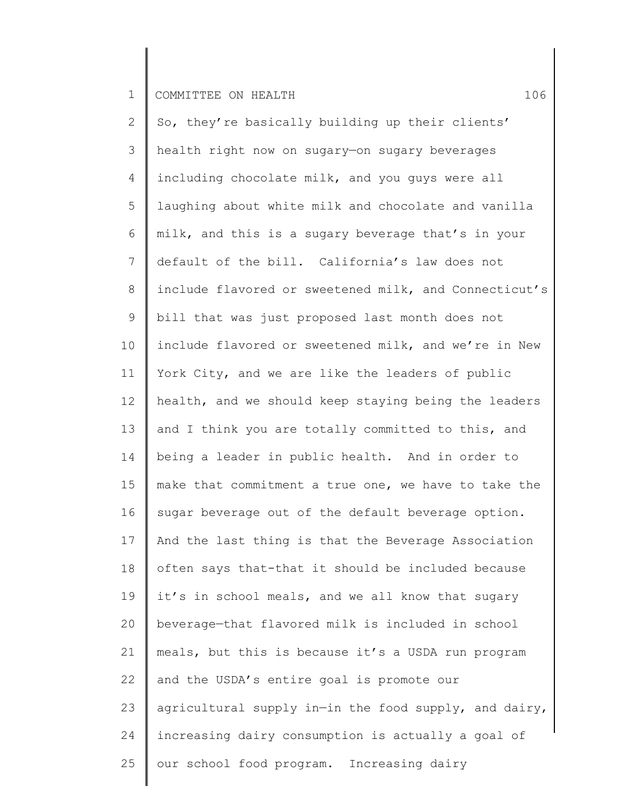2 3 4 5 6 7 8 9 10 11 12 13 14 15 16 17 18 19 20 21 22 23 24 25 So, they're basically building up their clients' health right now on sugary—on sugary beverages including chocolate milk, and you guys were all laughing about white milk and chocolate and vanilla milk, and this is a sugary beverage that's in your default of the bill. California's law does not include flavored or sweetened milk, and Connecticut's bill that was just proposed last month does not include flavored or sweetened milk, and we're in New York City, and we are like the leaders of public health, and we should keep staying being the leaders and I think you are totally committed to this, and being a leader in public health. And in order to make that commitment a true one, we have to take the sugar beverage out of the default beverage option. And the last thing is that the Beverage Association often says that-that it should be included because it's in school meals, and we all know that sugary beverage—that flavored milk is included in school meals, but this is because it's a USDA run program and the USDA's entire goal is promote our agricultural supply in—in the food supply, and dairy, increasing dairy consumption is actually a goal of our school food program. Increasing dairy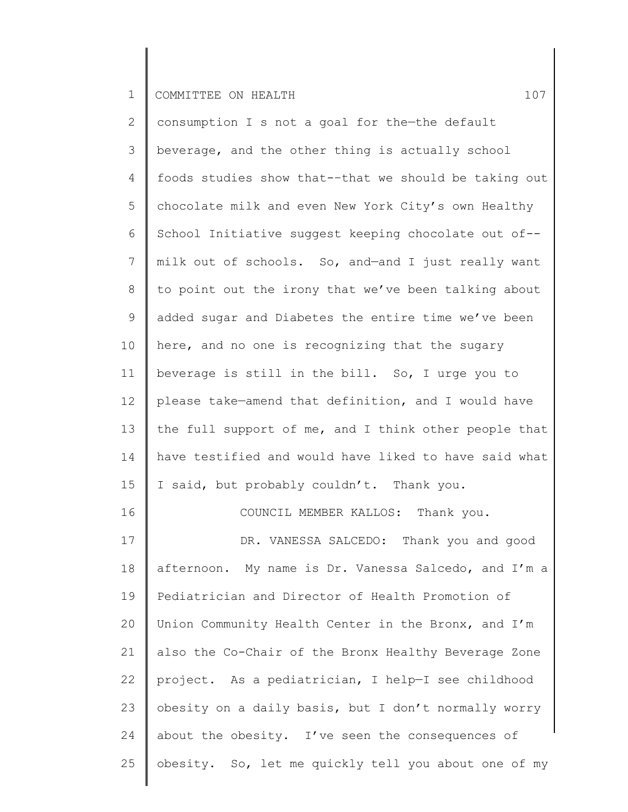2 3 4 5 6 7 8 9 10 11 12 13 14 15 16 17 18 19 20 21 22 23 24 25 consumption I s not a goal for the—the default beverage, and the other thing is actually school foods studies show that-–that we should be taking out chocolate milk and even New York City's own Healthy School Initiative suggest keeping chocolate out of- milk out of schools. So, and—and I just really want to point out the irony that we've been talking about added sugar and Diabetes the entire time we've been here, and no one is recognizing that the sugary beverage is still in the bill. So, I urge you to please take—amend that definition, and I would have the full support of me, and I think other people that have testified and would have liked to have said what I said, but probably couldn't. Thank you. COUNCIL MEMBER KALLOS: Thank you. DR. VANESSA SALCEDO: Thank you and good afternoon. My name is Dr. Vanessa Salcedo, and I'm a Pediatrician and Director of Health Promotion of Union Community Health Center in the Bronx, and I'm also the Co-Chair of the Bronx Healthy Beverage Zone project. As a pediatrician, I help—I see childhood obesity on a daily basis, but I don't normally worry about the obesity. I've seen the consequences of obesity. So, let me quickly tell you about one of my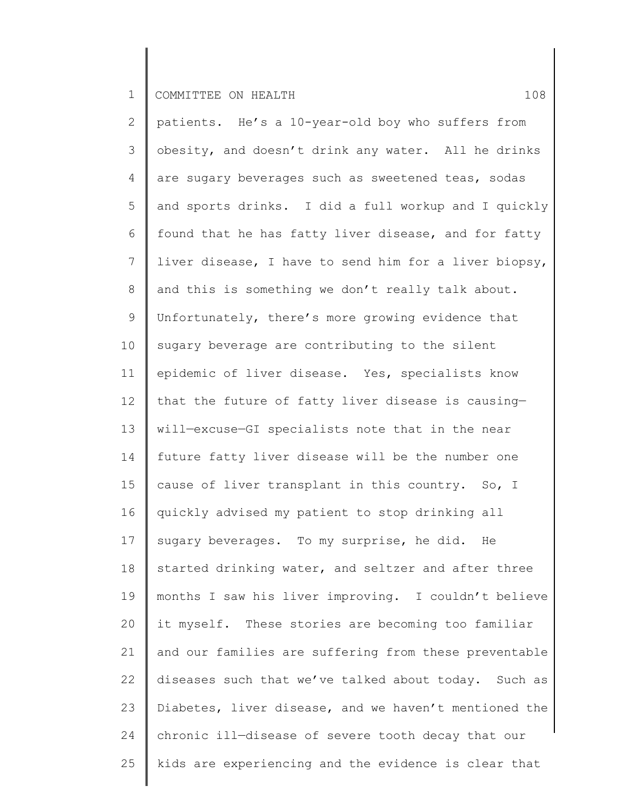2 3 4 5 6 7 8 9 10 11 12 13 14 15 16 17 18 19 20 21 22 23 24 25 patients. He's a 10-year-old boy who suffers from obesity, and doesn't drink any water. All he drinks are sugary beverages such as sweetened teas, sodas and sports drinks. I did a full workup and I quickly found that he has fatty liver disease, and for fatty liver disease, I have to send him for a liver biopsy, and this is something we don't really talk about. Unfortunately, there's more growing evidence that sugary beverage are contributing to the silent epidemic of liver disease. Yes, specialists know that the future of fatty liver disease is causing will—excuse—GI specialists note that in the near future fatty liver disease will be the number one cause of liver transplant in this country. So, I quickly advised my patient to stop drinking all sugary beverages. To my surprise, he did. He started drinking water, and seltzer and after three months I saw his liver improving. I couldn't believe it myself. These stories are becoming too familiar and our families are suffering from these preventable diseases such that we've talked about today. Such as Diabetes, liver disease, and we haven't mentioned the chronic ill—disease of severe tooth decay that our kids are experiencing and the evidence is clear that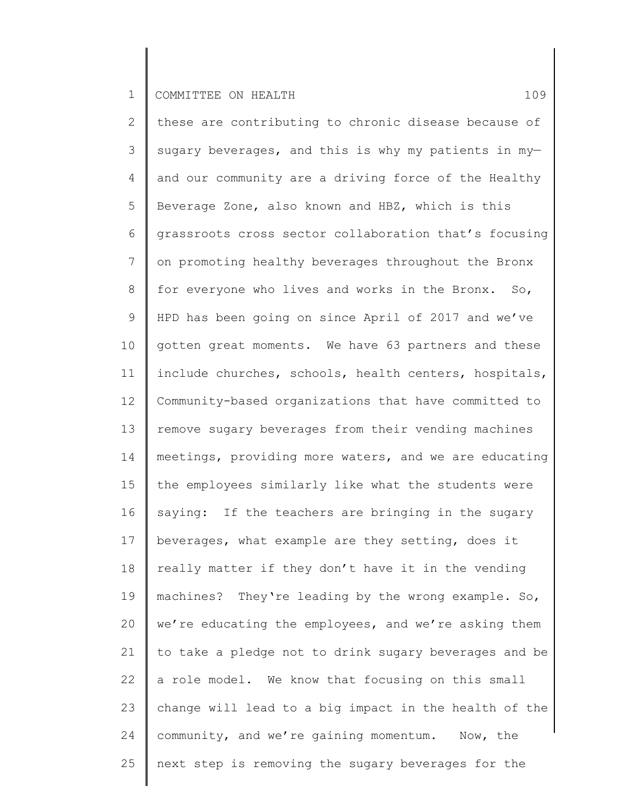2 3 4 5 6 7 8 9 10 11 12 13 14 15 16 17 18 19 20 21 22 23 24 25 these are contributing to chronic disease because of sugary beverages, and this is why my patients in myand our community are a driving force of the Healthy Beverage Zone, also known and HBZ, which is this grassroots cross sector collaboration that's focusing on promoting healthy beverages throughout the Bronx for everyone who lives and works in the Bronx. So, HPD has been going on since April of 2017 and we've gotten great moments. We have 63 partners and these include churches, schools, health centers, hospitals, Community-based organizations that have committed to remove sugary beverages from their vending machines meetings, providing more waters, and we are educating the employees similarly like what the students were saying: If the teachers are bringing in the sugary beverages, what example are they setting, does it really matter if they don't have it in the vending machines? They're leading by the wrong example. So, we're educating the employees, and we're asking them to take a pledge not to drink sugary beverages and be a role model. We know that focusing on this small change will lead to a big impact in the health of the community, and we're gaining momentum. Now, the next step is removing the sugary beverages for the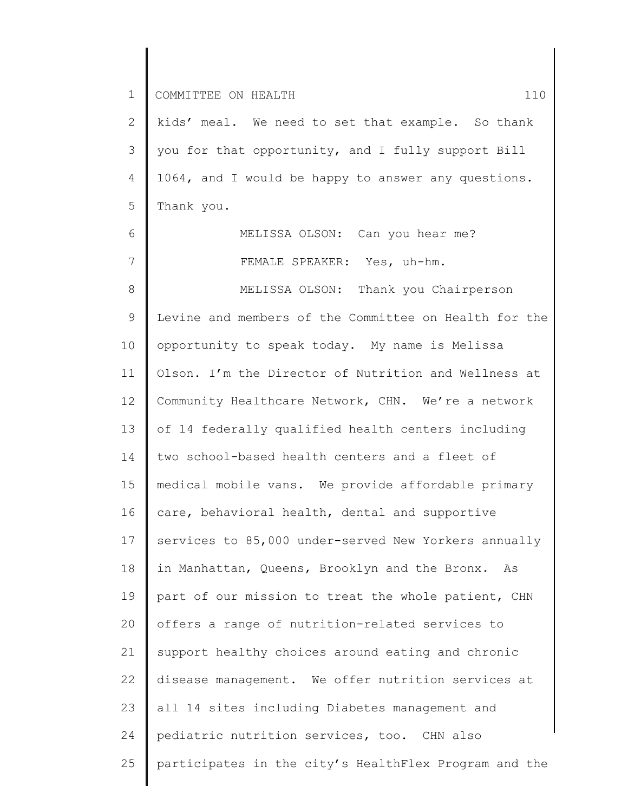6

7

2 3 4 5 kids' meal. We need to set that example. So thank you for that opportunity, and I fully support Bill 1064, and I would be happy to answer any questions. Thank you.

> MELISSA OLSON: Can you hear me? FEMALE SPEAKER: Yes, uh-hm.

8 9 10 11 12 13 14 15 16 17 18 19 20 21 22 23 24 25 MELISSA OLSON: Thank you Chairperson Levine and members of the Committee on Health for the opportunity to speak today. My name is Melissa Olson. I'm the Director of Nutrition and Wellness at Community Healthcare Network, CHN. We're a network of 14 federally qualified health centers including two school-based health centers and a fleet of medical mobile vans. We provide affordable primary care, behavioral health, dental and supportive services to 85,000 under-served New Yorkers annually in Manhattan, Queens, Brooklyn and the Bronx. As part of our mission to treat the whole patient, CHN offers a range of nutrition-related services to support healthy choices around eating and chronic disease management. We offer nutrition services at all 14 sites including Diabetes management and pediatric nutrition services, too. CHN also participates in the city's HealthFlex Program and the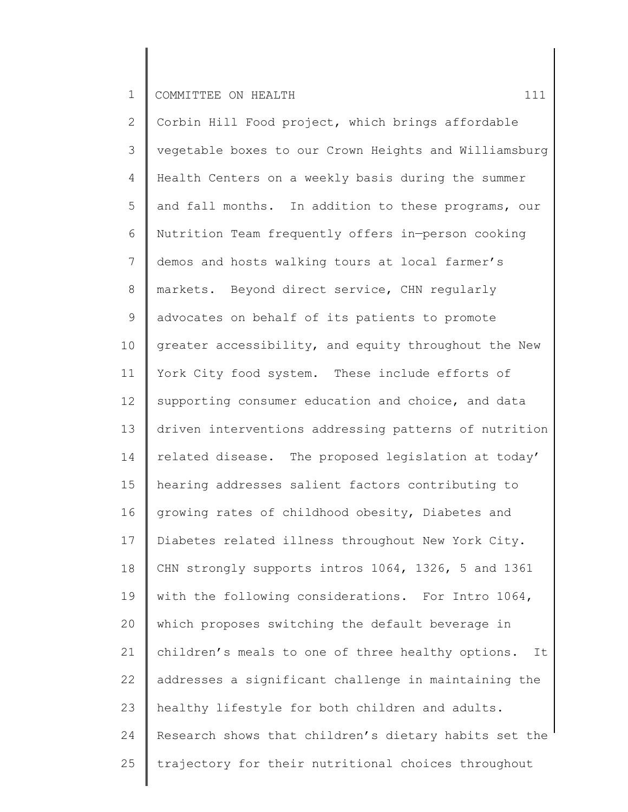2 3 4 5 6 7 8 9 10 11 12 13 14 15 16 17 18 19 20 21 22 23 24 25 Corbin Hill Food project, which brings affordable vegetable boxes to our Crown Heights and Williamsburg Health Centers on a weekly basis during the summer and fall months. In addition to these programs, our Nutrition Team frequently offers in—person cooking demos and hosts walking tours at local farmer's markets. Beyond direct service, CHN regularly advocates on behalf of its patients to promote greater accessibility, and equity throughout the New York City food system. These include efforts of supporting consumer education and choice, and data driven interventions addressing patterns of nutrition related disease. The proposed legislation at today' hearing addresses salient factors contributing to growing rates of childhood obesity, Diabetes and Diabetes related illness throughout New York City. CHN strongly supports intros 1064, 1326, 5 and 1361 with the following considerations. For Intro 1064, which proposes switching the default beverage in children's meals to one of three healthy options. It addresses a significant challenge in maintaining the healthy lifestyle for both children and adults. Research shows that children's dietary habits set the trajectory for their nutritional choices throughout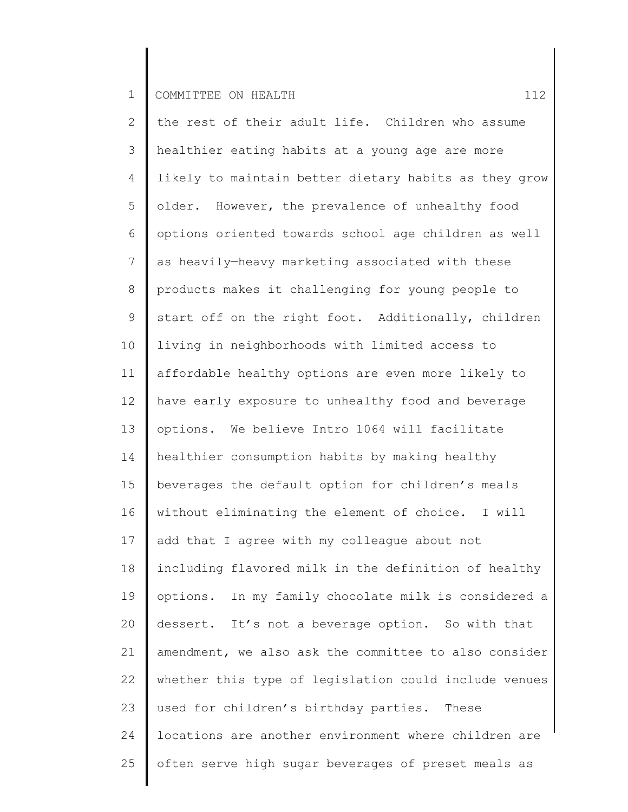2 3 4 5 6 7 8 9 10 11 12 13 14 15 16 17 18 19 20 21 22 23 24 25 the rest of their adult life. Children who assume healthier eating habits at a young age are more likely to maintain better dietary habits as they grow older. However, the prevalence of unhealthy food options oriented towards school age children as well as heavily—heavy marketing associated with these products makes it challenging for young people to start off on the right foot. Additionally, children living in neighborhoods with limited access to affordable healthy options are even more likely to have early exposure to unhealthy food and beverage options. We believe Intro 1064 will facilitate healthier consumption habits by making healthy beverages the default option for children's meals without eliminating the element of choice. I will add that I agree with my colleague about not including flavored milk in the definition of healthy options. In my family chocolate milk is considered a dessert. It's not a beverage option. So with that amendment, we also ask the committee to also consider whether this type of legislation could include venues used for children's birthday parties. These locations are another environment where children are often serve high sugar beverages of preset meals as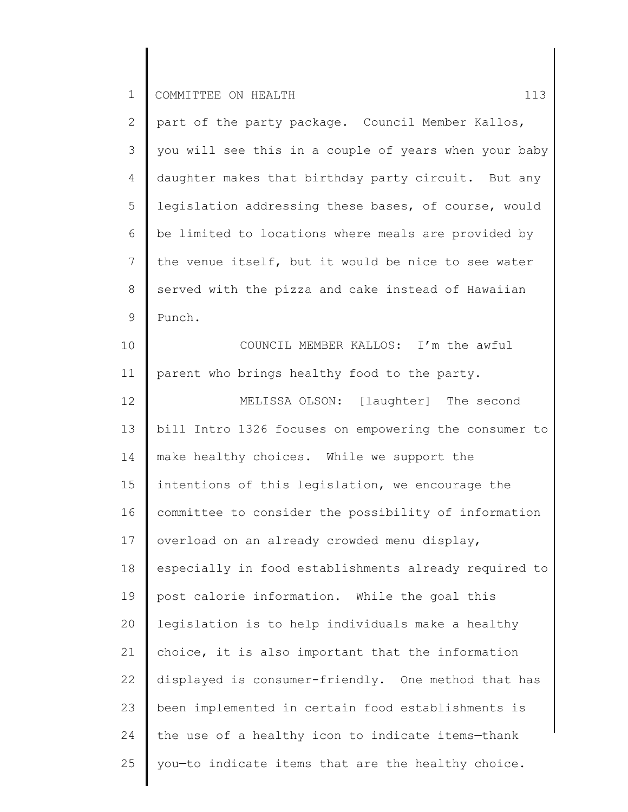| 2  | part of the party package. Council Member Kallos,     |
|----|-------------------------------------------------------|
| 3  | you will see this in a couple of years when your baby |
| 4  | daughter makes that birthday party circuit. But any   |
| 5  | legislation addressing these bases, of course, would  |
| 6  | be limited to locations where meals are provided by   |
| 7  | the venue itself, but it would be nice to see water   |
| 8  | served with the pizza and cake instead of Hawaiian    |
| 9  | Punch.                                                |
| 10 | COUNCIL MEMBER KALLOS: I'm the awful                  |
| 11 | parent who brings healthy food to the party.          |
| 12 | MELISSA OLSON: [laughter] The second                  |
| 13 | bill Intro 1326 focuses on empowering the consumer to |
| 14 | make healthy choices. While we support the            |
| 15 | intentions of this legislation, we encourage the      |
| 16 | committee to consider the possibility of information  |
| 17 | overload on an already crowded menu display,          |
| 18 | especially in food establishments already required to |
| 19 | post calorie information. While the goal this         |
| 20 | legislation is to help individuals make a healthy     |
| 21 | choice, it is also important that the information     |
| 22 | displayed is consumer-friendly. One method that has   |
| 23 | been implemented in certain food establishments is    |
| 24 | the use of a healthy icon to indicate items-thank     |
| 25 | you-to indicate items that are the healthy choice.    |
|    |                                                       |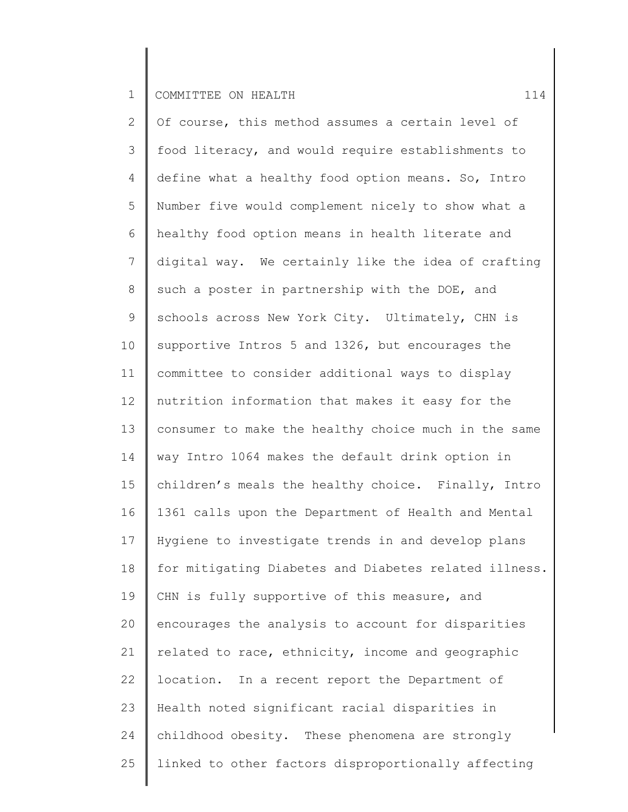2 3 4 5 6 7 8 9 10 11 12 13 14 15 16 17 18 19 20 21 22 23 24 25 Of course, this method assumes a certain level of food literacy, and would require establishments to define what a healthy food option means. So, Intro Number five would complement nicely to show what a healthy food option means in health literate and digital way. We certainly like the idea of crafting such a poster in partnership with the DOE, and schools across New York City. Ultimately, CHN is supportive Intros 5 and 1326, but encourages the committee to consider additional ways to display nutrition information that makes it easy for the consumer to make the healthy choice much in the same way Intro 1064 makes the default drink option in children's meals the healthy choice. Finally, Intro 1361 calls upon the Department of Health and Mental Hygiene to investigate trends in and develop plans for mitigating Diabetes and Diabetes related illness. CHN is fully supportive of this measure, and encourages the analysis to account for disparities related to race, ethnicity, income and geographic location. In a recent report the Department of Health noted significant racial disparities in childhood obesity. These phenomena are strongly linked to other factors disproportionally affecting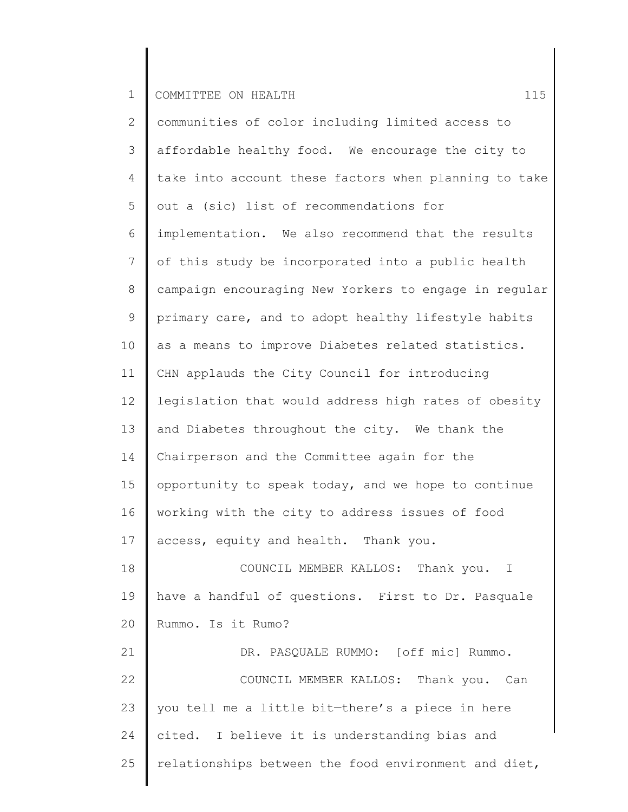2 3 4 5 6 7 8 9 10 11 12 13 14 15 16 17 18 19 20 21 22 23 24 25 communities of color including limited access to affordable healthy food. We encourage the city to take into account these factors when planning to take out a (sic) list of recommendations for implementation. We also recommend that the results of this study be incorporated into a public health campaign encouraging New Yorkers to engage in regular primary care, and to adopt healthy lifestyle habits as a means to improve Diabetes related statistics. CHN applauds the City Council for introducing legislation that would address high rates of obesity and Diabetes throughout the city. We thank the Chairperson and the Committee again for the opportunity to speak today, and we hope to continue working with the city to address issues of food access, equity and health. Thank you. COUNCIL MEMBER KALLOS: Thank you. I have a handful of questions. First to Dr. Pasquale Rummo. Is it Rumo? DR. PASQUALE RUMMO: [off mic] Rummo. COUNCIL MEMBER KALLOS: Thank you. Can you tell me a little bit—there's a piece in here cited. I believe it is understanding bias and relationships between the food environment and diet,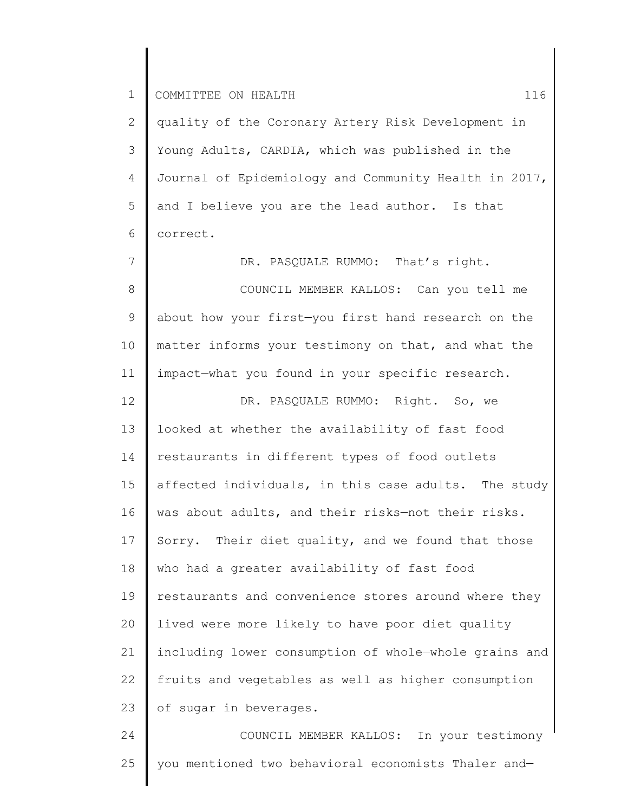2 3 4 5 6 quality of the Coronary Artery Risk Development in Young Adults, CARDIA, which was published in the Journal of Epidemiology and Community Health in 2017, and I believe you are the lead author. Is that correct.

7 8 9 10 11 12 13 14 15 16 17 18 19 20 21 22 23 DR. PASQUALE RUMMO: That's right. COUNCIL MEMBER KALLOS: Can you tell me about how your first—you first hand research on the matter informs your testimony on that, and what the impact—what you found in your specific research. DR. PASQUALE RUMMO: Right. So, we looked at whether the availability of fast food restaurants in different types of food outlets affected individuals, in this case adults. The study was about adults, and their risks—not their risks. Sorry. Their diet quality, and we found that those who had a greater availability of fast food restaurants and convenience stores around where they lived were more likely to have poor diet quality including lower consumption of whole—whole grains and fruits and vegetables as well as higher consumption of sugar in beverages.

24 25 COUNCIL MEMBER KALLOS: In your testimony you mentioned two behavioral economists Thaler and—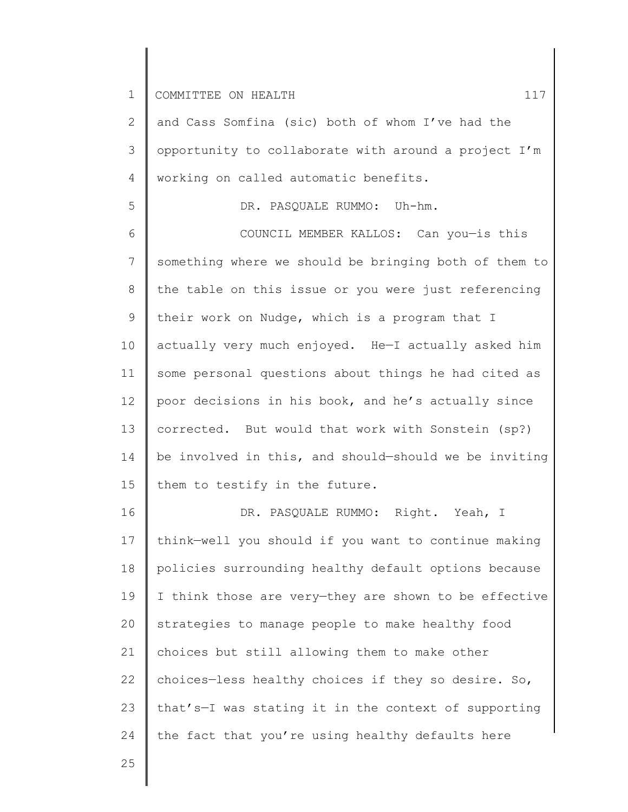5

2 3 4 and Cass Somfina (sic) both of whom I've had the opportunity to collaborate with around a project I'm working on called automatic benefits.

DR. PASQUALE RUMMO: Uh-hm.

6 7 8 9 10 11 12 13 14 15 COUNCIL MEMBER KALLOS: Can you—is this something where we should be bringing both of them to the table on this issue or you were just referencing their work on Nudge, which is a program that I actually very much enjoyed. He—I actually asked him some personal questions about things he had cited as poor decisions in his book, and he's actually since corrected. But would that work with Sonstein (sp?) be involved in this, and should—should we be inviting them to testify in the future.

16 17 18 19 20 21 22 23 24 DR. PASQUALE RUMMO: Right. Yeah, I think—well you should if you want to continue making policies surrounding healthy default options because I think those are very—they are shown to be effective strategies to manage people to make healthy food choices but still allowing them to make other choices—less healthy choices if they so desire. So, that's—I was stating it in the context of supporting the fact that you're using healthy defaults here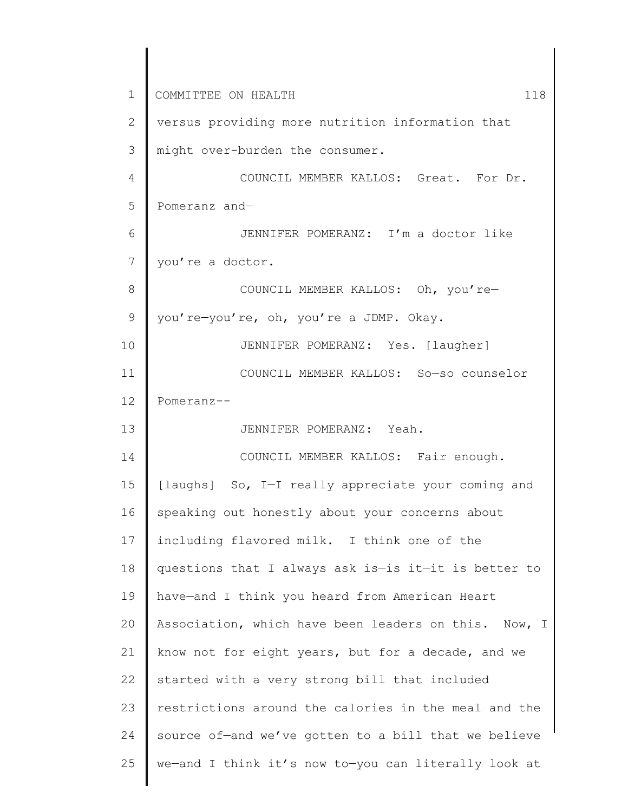1 2 3 4 5 6 7 8 9 10 11 12 13 14 15 16 17 18 19 20 21 22 23 24 25 COMMITTEE ON HEALTH 118 versus providing more nutrition information that might over-burden the consumer. COUNCIL MEMBER KALLOS: Great. For Dr. Pomeranz and— JENNIFER POMERANZ: I'm a doctor like you're a doctor. COUNCIL MEMBER KALLOS: Oh, you're you're—you're, oh, you're a JDMP. Okay. JENNIFER POMERANZ: Yes. [laugher] COUNCIL MEMBER KALLOS: So—so counselor Pomeranz-- JENNIFER POMERANZ: Yeah. COUNCIL MEMBER KALLOS: Fair enough. [laughs] So, I-I really appreciate your coming and speaking out honestly about your concerns about including flavored milk. I think one of the questions that I always ask is—is it—it is better to have—and I think you heard from American Heart Association, which have been leaders on this. Now, I know not for eight years, but for a decade, and we started with a very strong bill that included restrictions around the calories in the meal and the source of—and we've gotten to a bill that we believe we—and I think it's now to—you can literally look at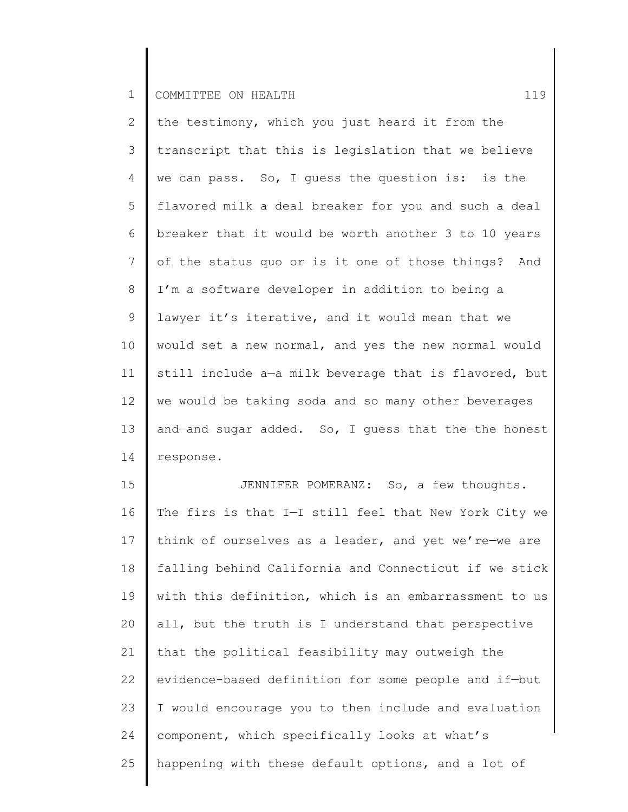2 3 4 5 6 7 8 9 10 11 12 13 14 the testimony, which you just heard it from the transcript that this is legislation that we believe we can pass. So, I guess the question is: is the flavored milk a deal breaker for you and such a deal breaker that it would be worth another 3 to 10 years of the status quo or is it one of those things? And I'm a software developer in addition to being a lawyer it's iterative, and it would mean that we would set a new normal, and yes the new normal would still include a—a milk beverage that is flavored, but we would be taking soda and so many other beverages and—and sugar added. So, I guess that the—the honest response.

15 16 17 18 19 20 21 22 23 24 25 JENNIFER POMERANZ: So, a few thoughts. The firs is that I—I still feel that New York City we think of ourselves as a leader, and yet we're—we are falling behind California and Connecticut if we stick with this definition, which is an embarrassment to us all, but the truth is I understand that perspective that the political feasibility may outweigh the evidence-based definition for some people and if—but I would encourage you to then include and evaluation component, which specifically looks at what's happening with these default options, and a lot of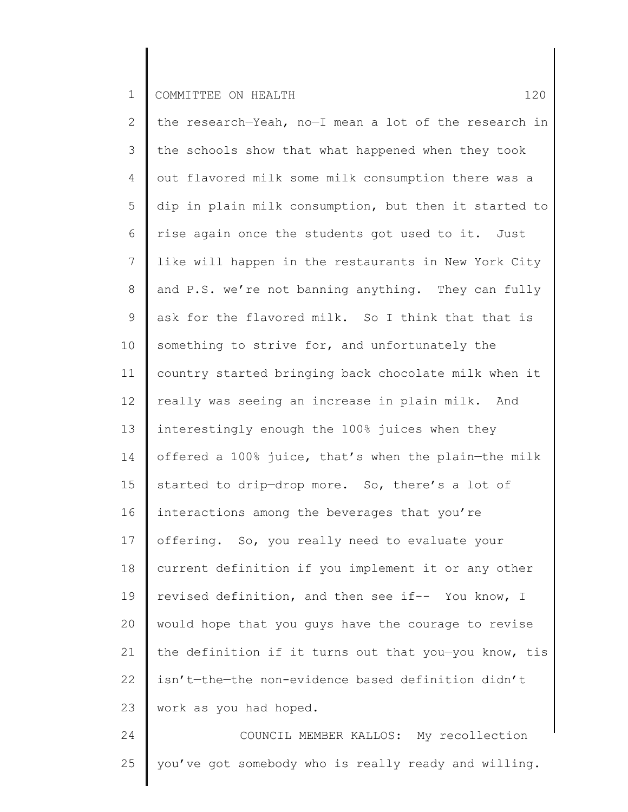2 3 4 5 6 7 8 9 10 11 12 13 14 15 16 17 18 19 20 21 22 23 the research—Yeah, no—I mean a lot of the research in the schools show that what happened when they took out flavored milk some milk consumption there was a dip in plain milk consumption, but then it started to rise again once the students got used to it. Just like will happen in the restaurants in New York City and P.S. we're not banning anything. They can fully ask for the flavored milk. So I think that that is something to strive for, and unfortunately the country started bringing back chocolate milk when it really was seeing an increase in plain milk. And interestingly enough the 100% juices when they offered a 100% juice, that's when the plain—the milk started to drip—drop more. So, there's a lot of interactions among the beverages that you're offering. So, you really need to evaluate your current definition if you implement it or any other revised definition, and then see if-- You know, I would hope that you guys have the courage to revise the definition if it turns out that you—you know, tis isn't—the—the non-evidence based definition didn't work as you had hoped.

24 25 COUNCIL MEMBER KALLOS: My recollection you've got somebody who is really ready and willing.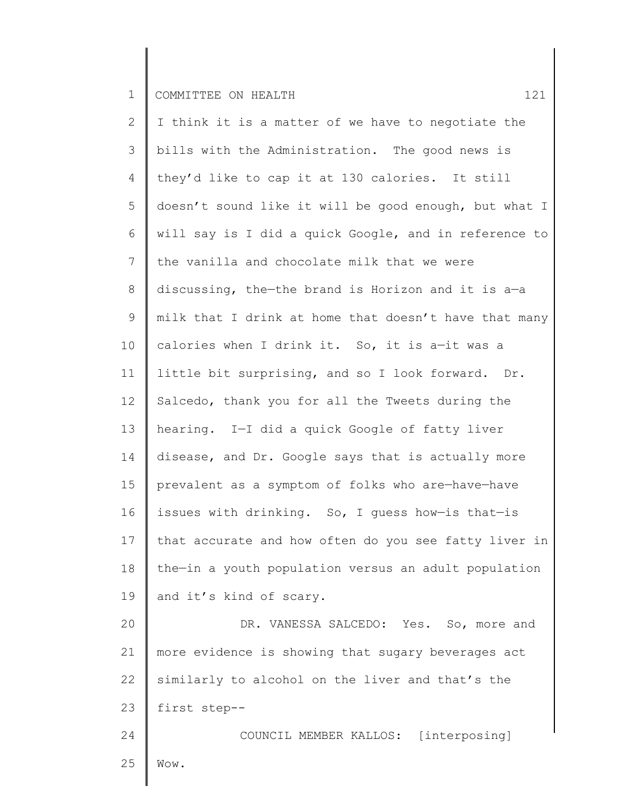2 3 4 5 6 7 8 9 10 11 12 13 14 15 16 17 18 19 20 21 22 23 24 I think it is a matter of we have to negotiate the bills with the Administration. The good news is they'd like to cap it at 130 calories. It still doesn't sound like it will be good enough, but what I will say is I did a quick Google, and in reference to the vanilla and chocolate milk that we were discussing, the—the brand is Horizon and it is a—a milk that I drink at home that doesn't have that many calories when I drink it. So, it is a—it was a little bit surprising, and so I look forward. Dr. Salcedo, thank you for all the Tweets during the hearing. I—I did a quick Google of fatty liver disease, and Dr. Google says that is actually more prevalent as a symptom of folks who are—have—have issues with drinking. So, I guess how—is that—is that accurate and how often do you see fatty liver in the—in a youth population versus an adult population and it's kind of scary. DR. VANESSA SALCEDO: Yes. So, more and more evidence is showing that sugary beverages act similarly to alcohol on the liver and that's the first step-- COUNCIL MEMBER KALLOS: [interposing]

25 Wow.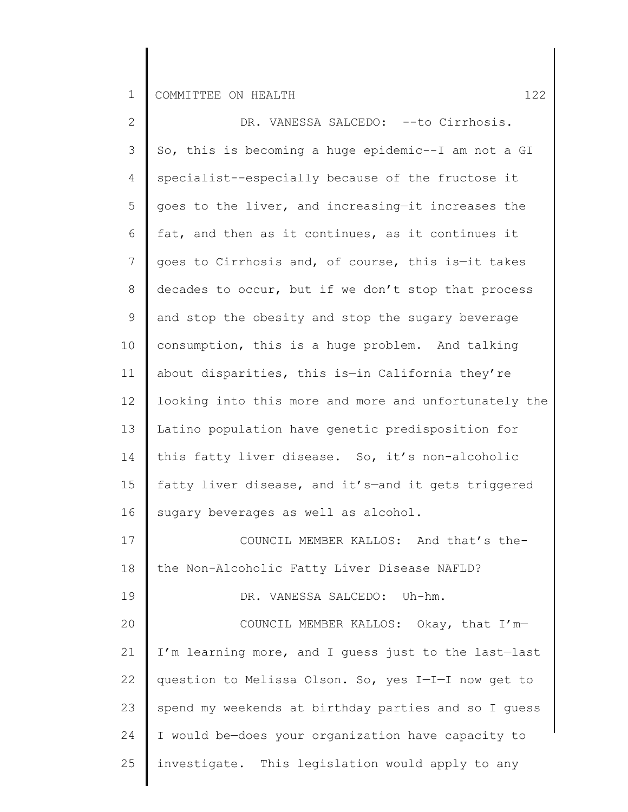| $\overline{2}$ | DR. VANESSA SALCEDO: -- to Cirrhosis.                 |
|----------------|-------------------------------------------------------|
| 3              | So, this is becoming a huge epidemic--I am not a GI   |
| 4              | specialist--especially because of the fructose it     |
| 5              | goes to the liver, and increasing-it increases the    |
| 6              | fat, and then as it continues, as it continues it     |
| 7              | goes to Cirrhosis and, of course, this is-it takes    |
| $8\,$          | decades to occur, but if we don't stop that process   |
| 9              | and stop the obesity and stop the sugary beverage     |
| 10             | consumption, this is a huge problem. And talking      |
| 11             | about disparities, this is-in California they're      |
| 12             | looking into this more and more and unfortunately the |
| 13             | Latino population have genetic predisposition for     |
| 14             | this fatty liver disease. So, it's non-alcoholic      |
| 15             | fatty liver disease, and it's-and it gets triggered   |
| 16             | sugary beverages as well as alcohol.                  |
| 17             | COUNCIL MEMBER KALLOS: And that's the-                |
| 18             | the Non-Alcoholic Fatty Liver Disease NAFLD?          |
| 19             | DR. VANESSA SALCEDO: Uh-hm.                           |
| 20             | COUNCIL MEMBER KALLOS: Okay, that I'm-                |
| 21             | I'm learning more, and I guess just to the last-last  |
| 22             | question to Melissa Olson. So, yes I-I-I now get to   |
| 23             | spend my weekends at birthday parties and so I guess  |
| 24             | I would be-does your organization have capacity to    |
| 25             | investigate. This legislation would apply to any      |
|                |                                                       |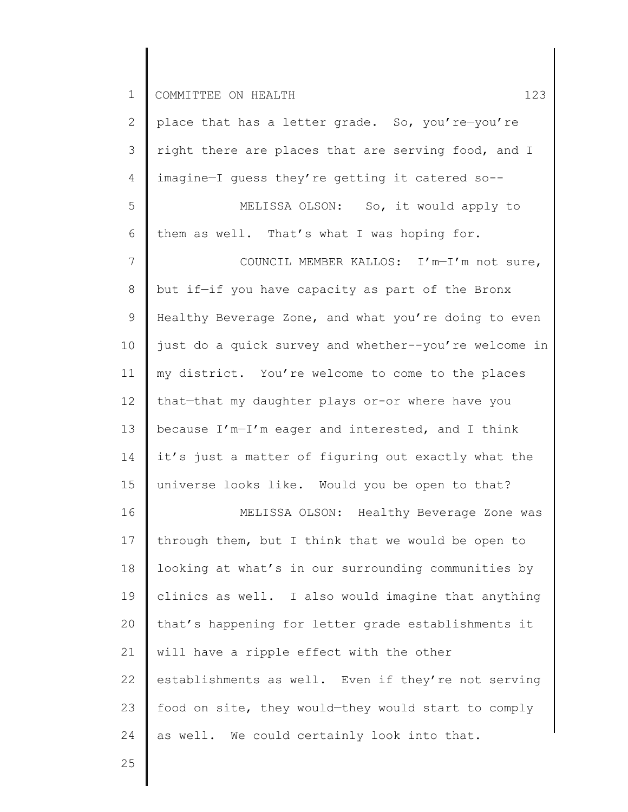6

2 3 4 5 place that has a letter grade. So, you're—you're right there are places that are serving food, and I imagine—I guess they're getting it catered so-- MELISSA OLSON: So, it would apply to them as well. That's what I was hoping for.

7 8 9 10 11 12 13 14 15 COUNCIL MEMBER KALLOS: I'm—I'm not sure, but if—if you have capacity as part of the Bronx Healthy Beverage Zone, and what you're doing to even just do a quick survey and whether--you're welcome in my district. You're welcome to come to the places that—that my daughter plays or-or where have you because I'm—I'm eager and interested, and I think it's just a matter of figuring out exactly what the universe looks like. Would you be open to that?

16 17 18 19 20 21 22 23 24 MELISSA OLSON: Healthy Beverage Zone was through them, but I think that we would be open to looking at what's in our surrounding communities by clinics as well. I also would imagine that anything that's happening for letter grade establishments it will have a ripple effect with the other establishments as well. Even if they're not serving food on site, they would—they would start to comply as well. We could certainly look into that.

25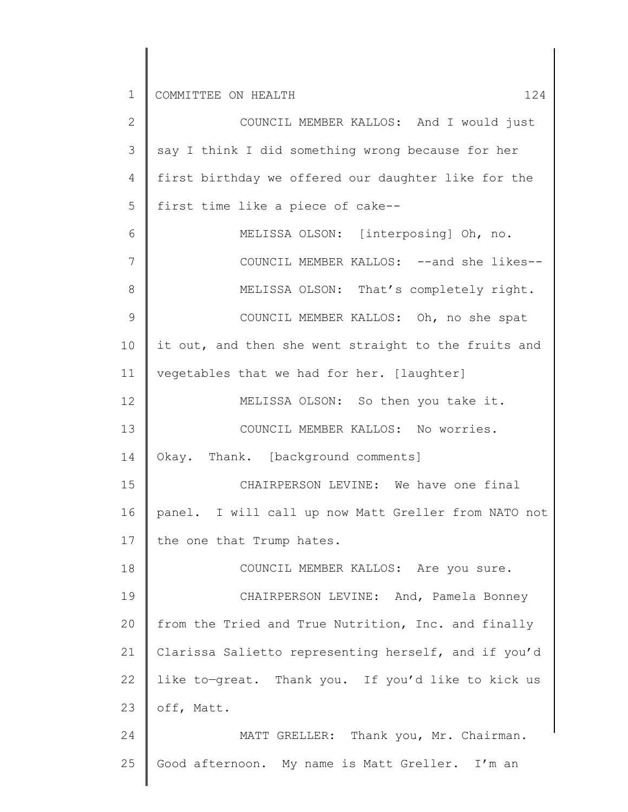2 3 4 5 6 7 8 9 10 11 12 13 14 15 16 17 18 19 20 21 22 23 24 25 COUNCIL MEMBER KALLOS: And I would just say I think I did something wrong because for her first birthday we offered our daughter like for the first time like a piece of cake-- MELISSA OLSON: [interposing] Oh, no. COUNCIL MEMBER KALLOS: --and she likes-- MELISSA OLSON: That's completely right. COUNCIL MEMBER KALLOS: Oh, no she spat it out, and then she went straight to the fruits and vegetables that we had for her. [laughter] MELISSA OLSON: So then you take it. COUNCIL MEMBER KALLOS: No worries. Okay. Thank. [background comments] CHAIRPERSON LEVINE: We have one final panel. I will call up now Matt Greller from NATO not the one that Trump hates. COUNCIL MEMBER KALLOS: Are you sure. CHAIRPERSON LEVINE: And, Pamela Bonney from the Tried and True Nutrition, Inc. and finally Clarissa Salietto representing herself, and if you'd like to—great. Thank you. If you'd like to kick us off, Matt. MATT GRELLER: Thank you, Mr. Chairman. Good afternoon. My name is Matt Greller. I'm an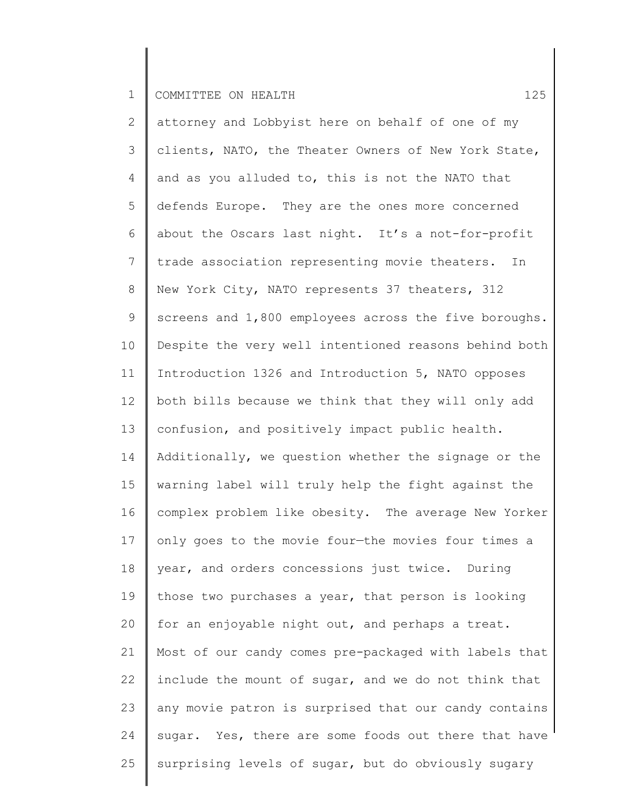2 3 4 5 6 7 8 9 10 11 12 13 14 15 16 17 18 19 20 21 22 23 24 25 attorney and Lobbyist here on behalf of one of my clients, NATO, the Theater Owners of New York State, and as you alluded to, this is not the NATO that defends Europe. They are the ones more concerned about the Oscars last night. It's a not-for-profit trade association representing movie theaters. In New York City, NATO represents 37 theaters, 312 screens and 1,800 employees across the five boroughs. Despite the very well intentioned reasons behind both Introduction 1326 and Introduction 5, NATO opposes both bills because we think that they will only add confusion, and positively impact public health. Additionally, we question whether the signage or the warning label will truly help the fight against the complex problem like obesity. The average New Yorker only goes to the movie four—the movies four times a year, and orders concessions just twice. During those two purchases a year, that person is looking for an enjoyable night out, and perhaps a treat. Most of our candy comes pre-packaged with labels that include the mount of sugar, and we do not think that any movie patron is surprised that our candy contains sugar. Yes, there are some foods out there that have surprising levels of sugar, but do obviously sugary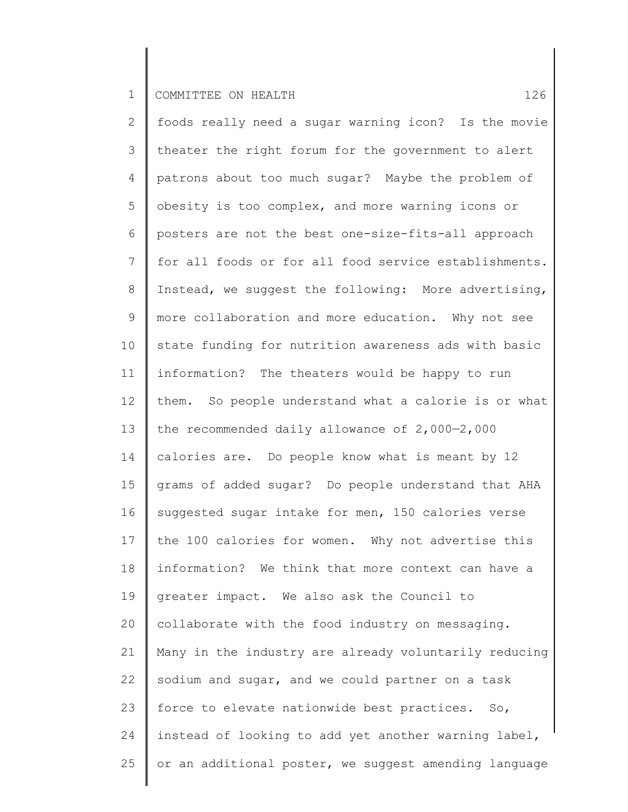2 3 4 5 6 7 8 9 10 11 12 13 14 15 16 17 18 19 20 21 22 23 24 25 foods really need a sugar warning icon? Is the movie theater the right forum for the government to alert patrons about too much sugar? Maybe the problem of obesity is too complex, and more warning icons or posters are not the best one-size-fits-all approach for all foods or for all food service establishments. Instead, we suggest the following: More advertising, more collaboration and more education. Why not see state funding for nutrition awareness ads with basic information? The theaters would be happy to run them. So people understand what a calorie is or what the recommended daily allowance of 2,000—2,000 calories are. Do people know what is meant by 12 grams of added sugar? Do people understand that AHA suggested sugar intake for men, 150 calories verse the 100 calories for women. Why not advertise this information? We think that more context can have a greater impact. We also ask the Council to collaborate with the food industry on messaging. Many in the industry are already voluntarily reducing sodium and sugar, and we could partner on a task force to elevate nationwide best practices. So, instead of looking to add yet another warning label, or an additional poster, we suggest amending language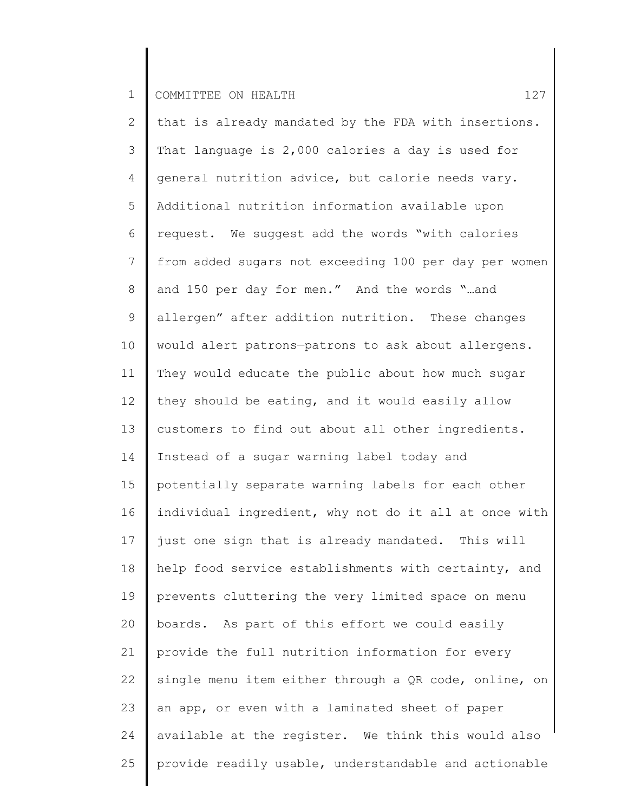2 3 4 5 6 7 8 9 10 11 12 13 14 15 16 17 18 19 20 21 22 23 24 25 that is already mandated by the FDA with insertions. That language is 2,000 calories a day is used for general nutrition advice, but calorie needs vary. Additional nutrition information available upon request. We suggest add the words "with calories from added sugars not exceeding 100 per day per women and 150 per day for men." And the words "…and allergen" after addition nutrition. These changes would alert patrons—patrons to ask about allergens. They would educate the public about how much sugar they should be eating, and it would easily allow customers to find out about all other ingredients. Instead of a sugar warning label today and potentially separate warning labels for each other individual ingredient, why not do it all at once with just one sign that is already mandated. This will help food service establishments with certainty, and prevents cluttering the very limited space on menu boards. As part of this effort we could easily provide the full nutrition information for every single menu item either through a QR code, online, on an app, or even with a laminated sheet of paper available at the register. We think this would also provide readily usable, understandable and actionable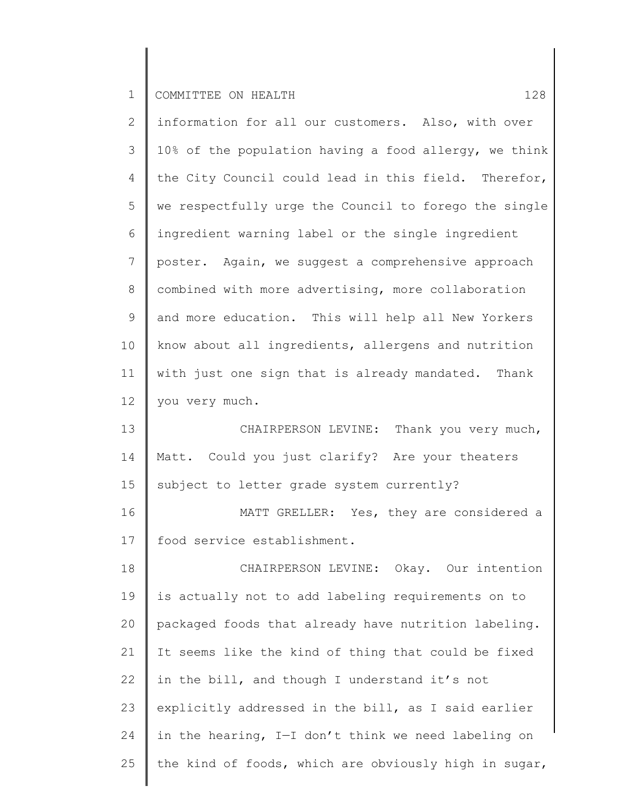25

2 3 4 5 6 7 8 9 10 11 12 13 14 15 16 17 18 19 20 21 22 23 24 information for all our customers. Also, with over 10% of the population having a food allergy, we think the City Council could lead in this field. Therefor, we respectfully urge the Council to forego the single ingredient warning label or the single ingredient poster. Again, we suggest a comprehensive approach combined with more advertising, more collaboration and more education. This will help all New Yorkers know about all ingredients, allergens and nutrition with just one sign that is already mandated. Thank you very much. CHAIRPERSON LEVINE: Thank you very much, Matt. Could you just clarify? Are your theaters subject to letter grade system currently? MATT GRELLER: Yes, they are considered a food service establishment. CHAIRPERSON LEVINE: Okay. Our intention is actually not to add labeling requirements on to packaged foods that already have nutrition labeling. It seems like the kind of thing that could be fixed in the bill, and though I understand it's not explicitly addressed in the bill, as I said earlier in the hearing, I—I don't think we need labeling on

the kind of foods, which are obviously high in sugar,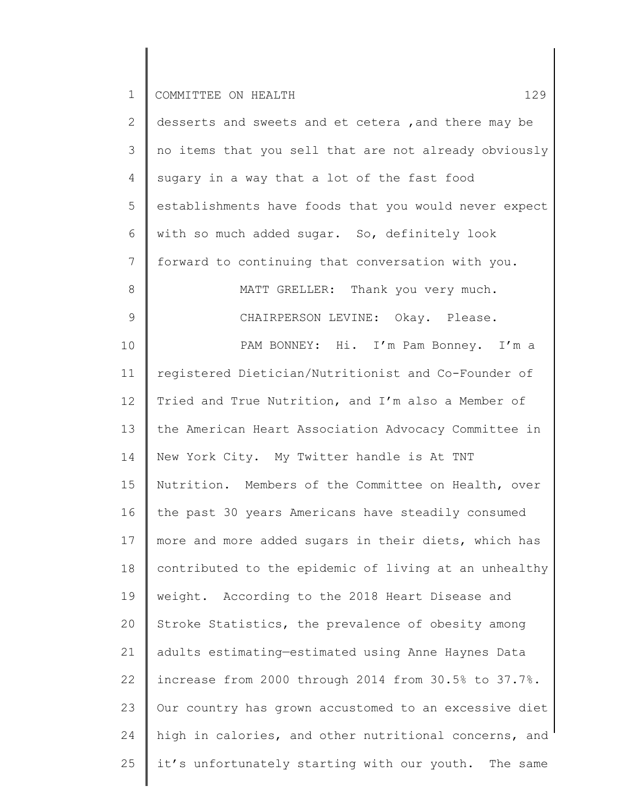| $\mathbf{2}^{\prime}$ | desserts and sweets and et cetera , and there may be  |
|-----------------------|-------------------------------------------------------|
| 3                     | no items that you sell that are not already obviously |
| 4                     | sugary in a way that a lot of the fast food           |
| 5                     | establishments have foods that you would never expect |
| 6                     | with so much added sugar. So, definitely look         |
| $7\phantom{.0}$       | forward to continuing that conversation with you.     |
| $8\,$                 | MATT GRELLER: Thank you very much.                    |
| $\mathsf 9$           | CHAIRPERSON LEVINE: Okay. Please.                     |
| 10                    | PAM BONNEY: Hi. I'm Pam Bonney. I'm a                 |
| 11                    | registered Dietician/Nutritionist and Co-Founder of   |
| 12                    | Tried and True Nutrition, and I'm also a Member of    |
| 13                    | the American Heart Association Advocacy Committee in  |
| 14                    | New York City. My Twitter handle is At TNT            |
| 15                    | Nutrition. Members of the Committee on Health, over   |
| 16                    | the past 30 years Americans have steadily consumed    |
| 17                    | more and more added sugars in their diets, which has  |
| 18                    | contributed to the epidemic of living at an unhealthy |
| 19                    | weight. According to the 2018 Heart Disease and       |
| 20                    | Stroke Statistics, the prevalence of obesity among    |
| 21                    | adults estimating-estimated using Anne Haynes Data    |
| 22                    | increase from 2000 through 2014 from 30.5% to 37.7%.  |
| 23                    | Our country has grown accustomed to an excessive diet |
| 24                    | high in calories, and other nutritional concerns, and |
| 25                    | it's unfortunately starting with our youth. The same  |
|                       |                                                       |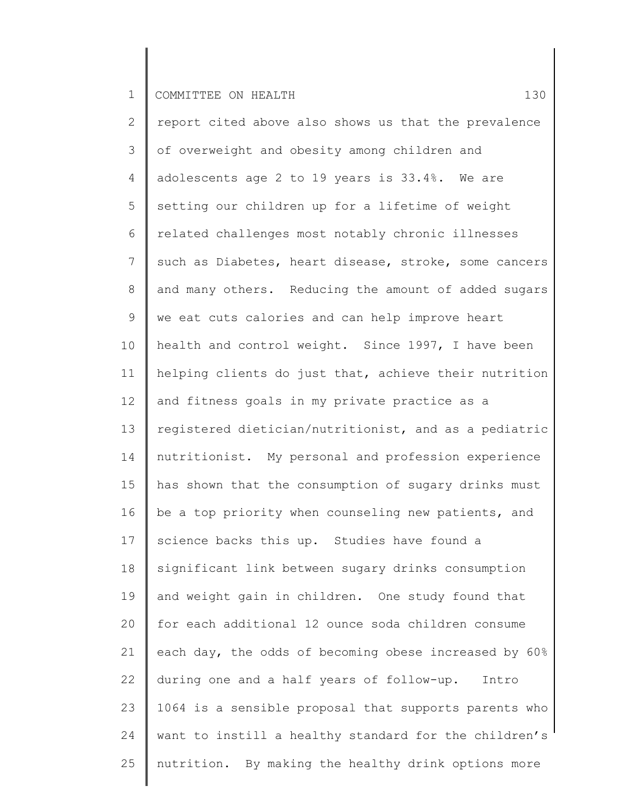2 3 4 5 6 7 8 9 10 11 12 13 14 15 16 17 18 19 20 21 22 23 24 25 report cited above also shows us that the prevalence of overweight and obesity among children and adolescents age 2 to 19 years is 33.4%. We are setting our children up for a lifetime of weight related challenges most notably chronic illnesses such as Diabetes, heart disease, stroke, some cancers and many others. Reducing the amount of added sugars we eat cuts calories and can help improve heart health and control weight. Since 1997, I have been helping clients do just that, achieve their nutrition and fitness goals in my private practice as a registered dietician/nutritionist, and as a pediatric nutritionist. My personal and profession experience has shown that the consumption of sugary drinks must be a top priority when counseling new patients, and science backs this up. Studies have found a significant link between sugary drinks consumption and weight gain in children. One study found that for each additional 12 ounce soda children consume each day, the odds of becoming obese increased by 60% during one and a half years of follow-up. Intro 1064 is a sensible proposal that supports parents who want to instill a healthy standard for the children's nutrition. By making the healthy drink options more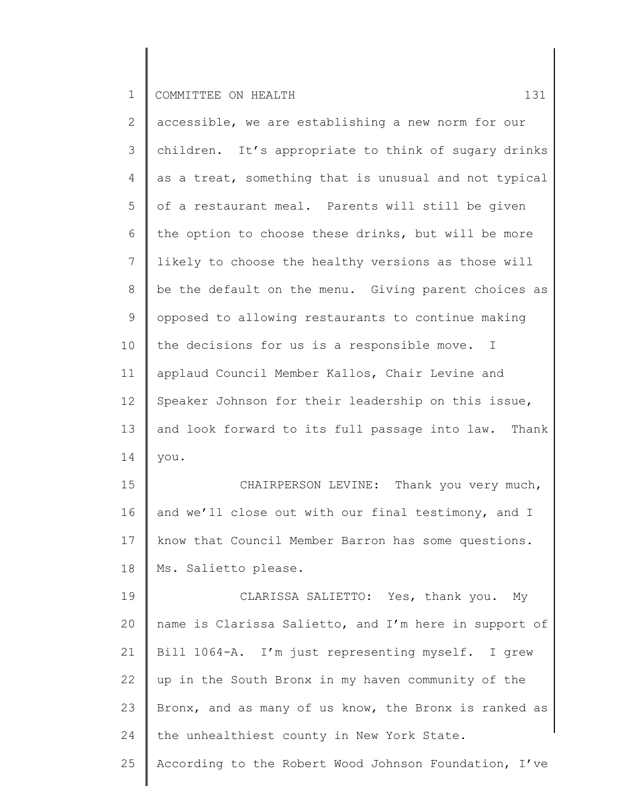| 2              | accessible, we are establishing a new norm for our          |
|----------------|-------------------------------------------------------------|
| $\mathcal{S}$  | children. It's appropriate to think of sugary drinks        |
| 4              | as a treat, something that is unusual and not typical       |
| 5              | of a restaurant meal. Parents will still be given           |
| 6              | the option to choose these drinks, but will be more         |
| $7\phantom{.}$ | likely to choose the healthy versions as those will         |
| 8              | be the default on the menu. Giving parent choices as        |
| 9              | opposed to allowing restaurants to continue making          |
| 10             | the decisions for us is a responsible move.<br>$\mathbb{I}$ |
| 11             | applaud Council Member Kallos, Chair Levine and             |
| 12             | Speaker Johnson for their leadership on this issue,         |
| 13             | and look forward to its full passage into law. Thank        |
| 14             | you.                                                        |
| 15             | CHAIRPERSON LEVINE: Thank you very much,                    |
| 16             | and we'll close out with our final testimony, and I         |
| 17             | know that Council Member Barron has some questions.         |
| 18             | Ms. Salietto please.                                        |
| 19             | CLARISSA SALIETTO: Yes, thank you. My                       |
| 20             | name is Clarissa Salietto, and I'm here in support of       |
| 21             | Bill 1064-A. I'm just representing myself. I grew           |
| 22             | up in the South Bronx in my haven community of the          |
| 23             | Bronx, and as many of us know, the Bronx is ranked as       |
| 24             |                                                             |
|                | the unhealthiest county in New York State.                  |
| 25             | According to the Robert Wood Johnson Foundation, I've       |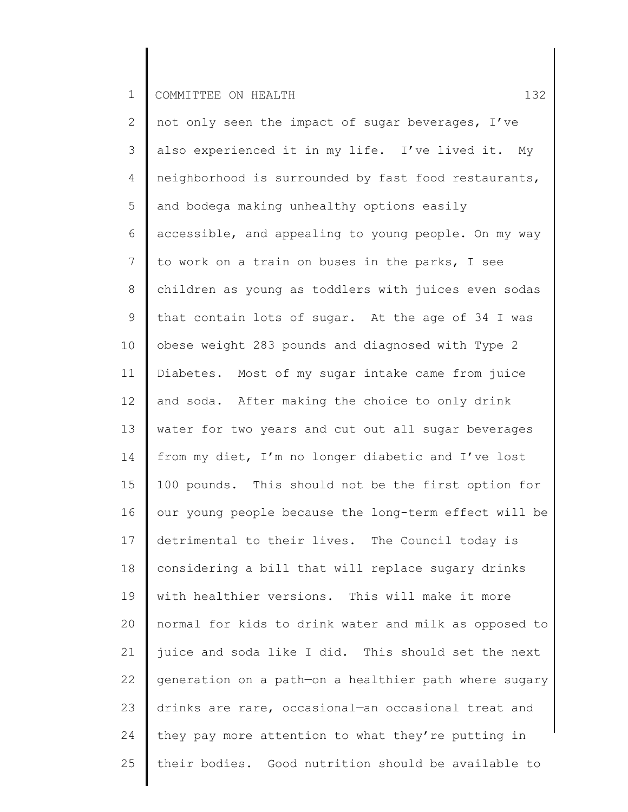2 3 4 5 6 7 8 9 10 11 12 13 14 15 16 17 18 19 20 21 22 23 24 25 not only seen the impact of sugar beverages, I've also experienced it in my life. I've lived it. My neighborhood is surrounded by fast food restaurants, and bodega making unhealthy options easily accessible, and appealing to young people. On my way to work on a train on buses in the parks, I see children as young as toddlers with juices even sodas that contain lots of sugar. At the age of 34 I was obese weight 283 pounds and diagnosed with Type 2 Diabetes. Most of my sugar intake came from juice and soda. After making the choice to only drink water for two years and cut out all sugar beverages from my diet, I'm no longer diabetic and I've lost 100 pounds. This should not be the first option for our young people because the long-term effect will be detrimental to their lives. The Council today is considering a bill that will replace sugary drinks with healthier versions. This will make it more normal for kids to drink water and milk as opposed to juice and soda like I did. This should set the next generation on a path—on a healthier path where sugary drinks are rare, occasional—an occasional treat and they pay more attention to what they're putting in their bodies. Good nutrition should be available to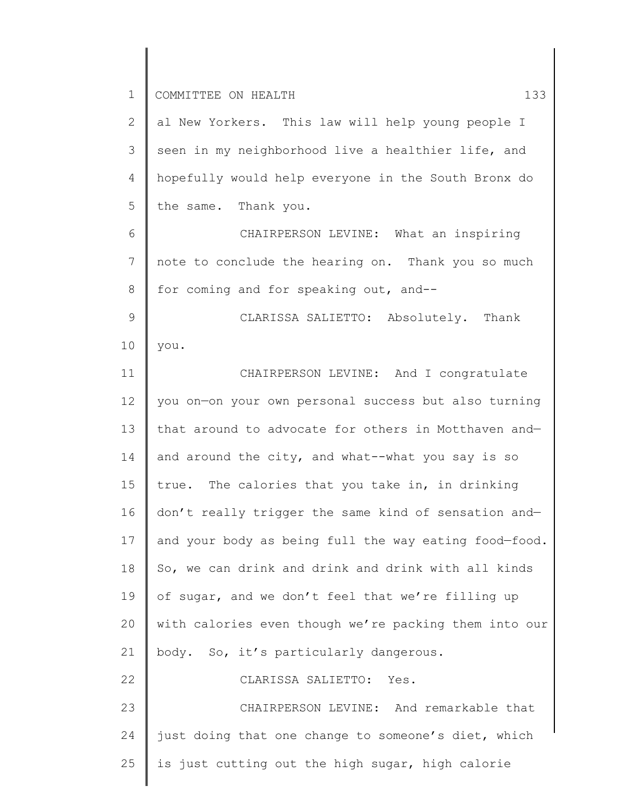24

25

| $\mathbf{2}$    | al New Yorkers. This law will help young people I     |
|-----------------|-------------------------------------------------------|
| $\mathcal{S}$   | seen in my neighborhood live a healthier life, and    |
| $\overline{4}$  | hopefully would help everyone in the South Bronx do   |
| 5               | the same. Thank you.                                  |
| 6               | CHAIRPERSON LEVINE: What an inspiring                 |
| $7\phantom{.0}$ | note to conclude the hearing on. Thank you so much    |
| 8               | for coming and for speaking out, and--                |
| 9               | CLARISSA SALIETTO: Absolutely. Thank                  |
| 10              | you.                                                  |
| 11              | CHAIRPERSON LEVINE: And I congratulate                |
| 12              | you on-on your own personal success but also turning  |
| 13              | that around to advocate for others in Motthaven and-  |
| 14              | and around the city, and what--what you say is so     |
| 15              | true. The calories that you take in, in drinking      |
| 16              | don't really trigger the same kind of sensation and-  |
| 17              | and your body as being full the way eating food-food. |
| 18              | So, we can drink and drink and drink with all kinds   |
| 19              | of sugar, and we don't feel that we're filling up     |
| 20              | with calories even though we're packing them into our |
| 21              | body. So, it's particularly dangerous.                |
| 22              | CLARISSA SALIETTO: Yes.                               |
| 23              | CHAIRPERSON LEVINE: And remarkable that               |
|                 |                                                       |

just doing that one change to someone's diet, which

is just cutting out the high sugar, high calorie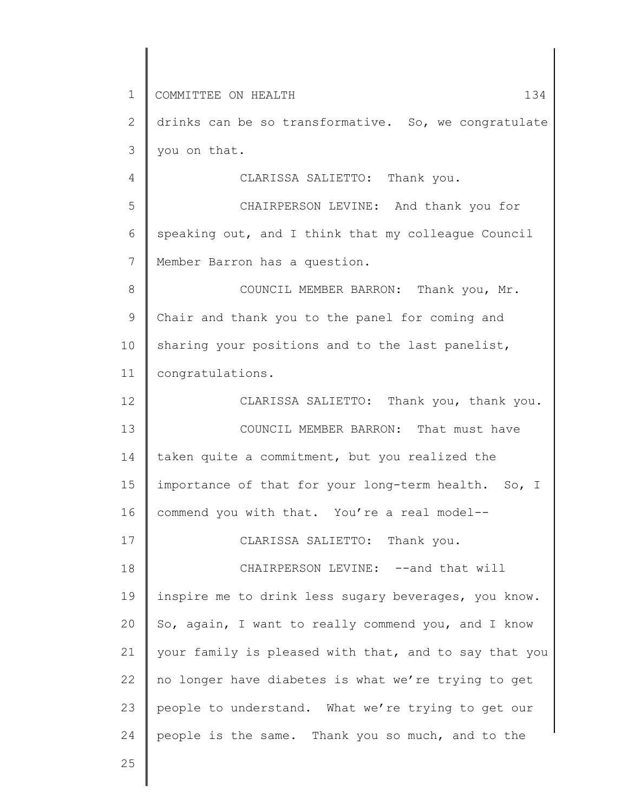1 2 3 4 5 6 7 8 9 10 11 12 13 14 15 16 17 18 19 20 21 22 23 24 COMMITTEE ON HEALTH 134 drinks can be so transformative. So, we congratulate you on that. CLARISSA SALIETTO: Thank you. CHAIRPERSON LEVINE: And thank you for speaking out, and I think that my colleague Council Member Barron has a question. COUNCIL MEMBER BARRON: Thank you, Mr. Chair and thank you to the panel for coming and sharing your positions and to the last panelist, congratulations. CLARISSA SALIETTO: Thank you, thank you. COUNCIL MEMBER BARRON: That must have taken quite a commitment, but you realized the importance of that for your long-term health. So, I commend you with that. You're a real model-- CLARISSA SALIETTO: Thank you. CHAIRPERSON LEVINE: --and that will inspire me to drink less sugary beverages, you know. So, again, I want to really commend you, and I know your family is pleased with that, and to say that you no longer have diabetes is what we're trying to get people to understand. What we're trying to get our people is the same. Thank you so much, and to the

25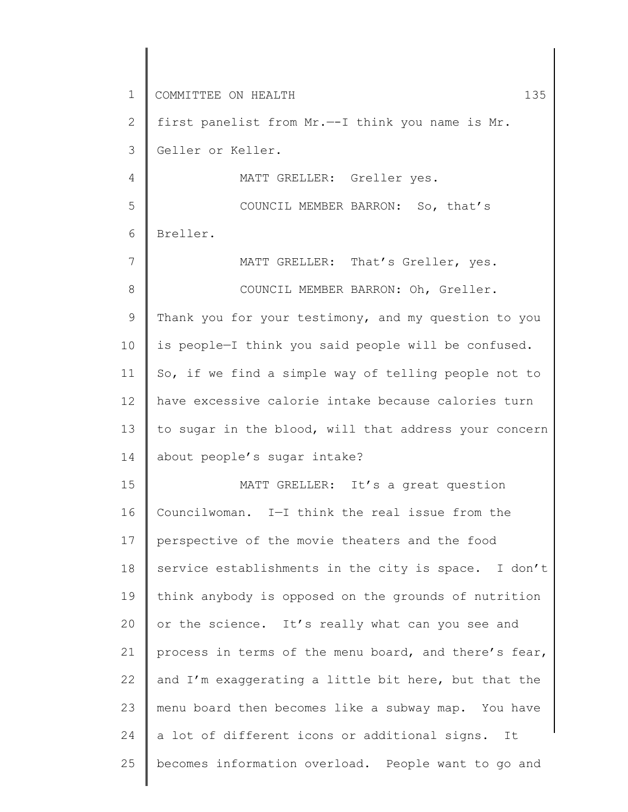1 2 3 4 5 6 7 8 9 10 11 12 13 14 15 16 17 18 19 20 21 22 23 24 25 COMMITTEE ON HEALTH 135 first panelist from Mr.—-I think you name is Mr. Geller or Keller. MATT GRELLER: Greller yes. COUNCIL MEMBER BARRON: So, that's Breller. MATT GRELLER: That's Greller, yes. COUNCIL MEMBER BARRON: Oh, Greller. Thank you for your testimony, and my question to you is people—I think you said people will be confused. So, if we find a simple way of telling people not to have excessive calorie intake because calories turn to sugar in the blood, will that address your concern about people's sugar intake? MATT GRELLER: It's a great question Councilwoman. I—I think the real issue from the perspective of the movie theaters and the food service establishments in the city is space. I don't think anybody is opposed on the grounds of nutrition or the science. It's really what can you see and process in terms of the menu board, and there's fear, and I'm exaggerating a little bit here, but that the menu board then becomes like a subway map. You have a lot of different icons or additional signs. It becomes information overload. People want to go and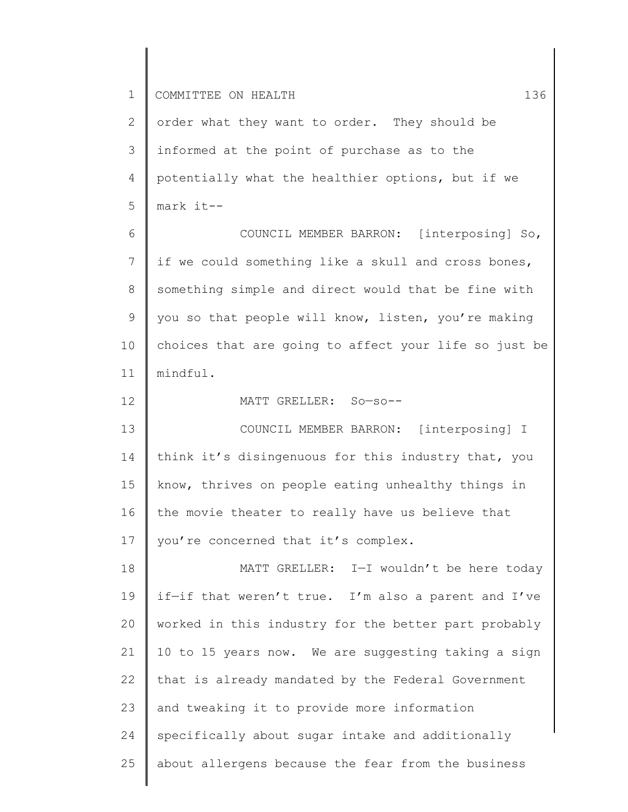2 3 4 5 6 7 8 order what they want to order. They should be informed at the point of purchase as to the potentially what the healthier options, but if we mark it-- COUNCIL MEMBER BARRON: [interposing] So, if we could something like a skull and cross bones, something simple and direct would that be fine with

9 10 11 you so that people will know, listen, you're making choices that are going to affect your life so just be mindful.

12 13 14 15 16 17 MATT GRELLER: So—so-- COUNCIL MEMBER BARRON: [interposing] I think it's disingenuous for this industry that, you know, thrives on people eating unhealthy things in the movie theater to really have us believe that you're concerned that it's complex.

18 19 20 21 22 23 24 25 MATT GRELLER: I—I wouldn't be here today if—if that weren't true. I'm also a parent and I've worked in this industry for the better part probably 10 to 15 years now. We are suggesting taking a sign that is already mandated by the Federal Government and tweaking it to provide more information specifically about sugar intake and additionally about allergens because the fear from the business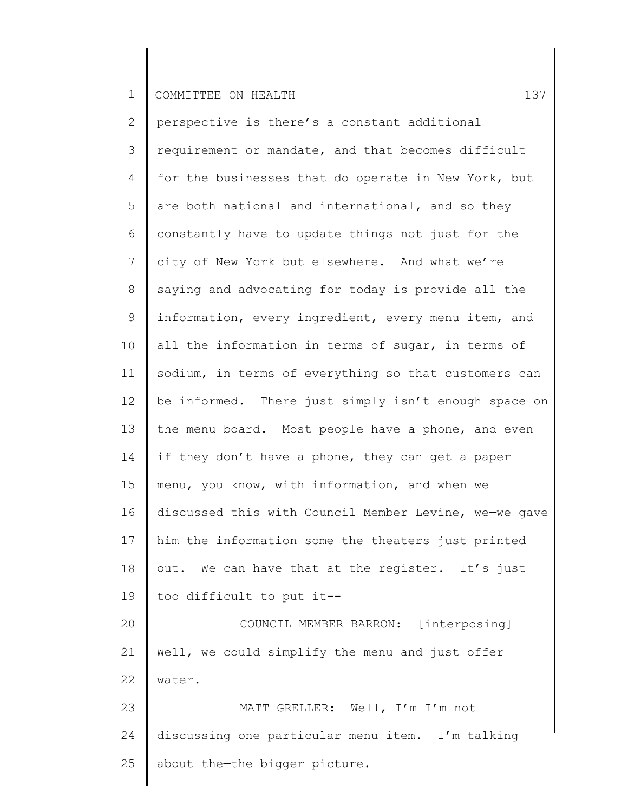2 3 4 5 6 7 8 9 10 11 12 13 14 15 16 17 18 19 20 21 22 23 24 25 perspective is there's a constant additional requirement or mandate, and that becomes difficult for the businesses that do operate in New York, but are both national and international, and so they constantly have to update things not just for the city of New York but elsewhere. And what we're saying and advocating for today is provide all the information, every ingredient, every menu item, and all the information in terms of sugar, in terms of sodium, in terms of everything so that customers can be informed. There just simply isn't enough space on the menu board. Most people have a phone, and even if they don't have a phone, they can get a paper menu, you know, with information, and when we discussed this with Council Member Levine, we—we gave him the information some the theaters just printed out. We can have that at the register. It's just too difficult to put it-- COUNCIL MEMBER BARRON: [interposing] Well, we could simplify the menu and just offer water. MATT GRELLER: Well, I'm—I'm not discussing one particular menu item. I'm talking about the—the bigger picture.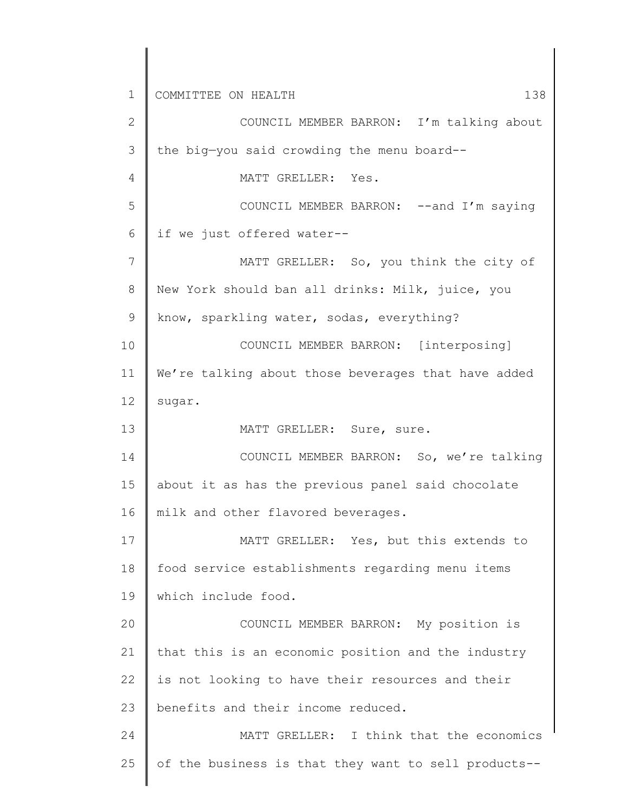1 2 3 4 5 6 7 8 9 10 11 12 13 14 15 16 17 18 19 20 21 22 23 24 25 COMMITTEE ON HEALTH 138 COUNCIL MEMBER BARRON: I'm talking about the big—you said crowding the menu board-- MATT GRELLER: Yes. COUNCIL MEMBER BARRON: -- and I'm saying if we just offered water-- MATT GRELLER: So, you think the city of New York should ban all drinks: Milk, juice, you know, sparkling water, sodas, everything? COUNCIL MEMBER BARRON: [interposing] We're talking about those beverages that have added sugar. MATT GRELLER: Sure, sure. COUNCIL MEMBER BARRON: So, we're talking about it as has the previous panel said chocolate milk and other flavored beverages. MATT GRELLER: Yes, but this extends to food service establishments regarding menu items which include food. COUNCIL MEMBER BARRON: My position is that this is an economic position and the industry is not looking to have their resources and their benefits and their income reduced. MATT GRELLER: I think that the economics of the business is that they want to sell products--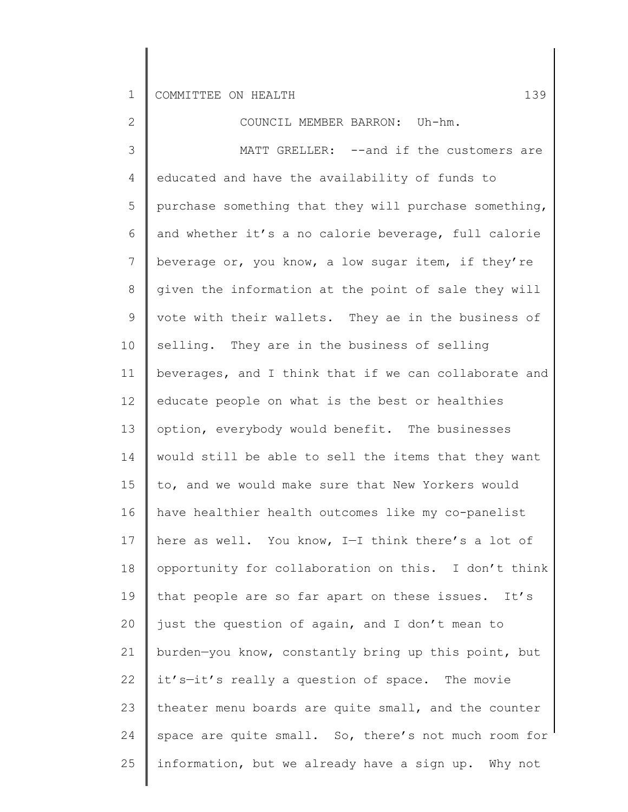2 3 4 5 6 7 8 9 10 11 12 13 14 15 16 17 18 19 20 21 22 23 24 25 COUNCIL MEMBER BARRON: Uh-hm. MATT GRELLER: --and if the customers are educated and have the availability of funds to purchase something that they will purchase something, and whether it's a no calorie beverage, full calorie beverage or, you know, a low sugar item, if they're given the information at the point of sale they will vote with their wallets. They ae in the business of selling. They are in the business of selling beverages, and I think that if we can collaborate and educate people on what is the best or healthies option, everybody would benefit. The businesses would still be able to sell the items that they want to, and we would make sure that New Yorkers would have healthier health outcomes like my co-panelist here as well. You know, I—I think there's a lot of opportunity for collaboration on this. I don't think that people are so far apart on these issues. It's just the question of again, and I don't mean to burden—you know, constantly bring up this point, but it's—it's really a question of space. The movie theater menu boards are quite small, and the counter space are quite small. So, there's not much room for information, but we already have a sign up. Why not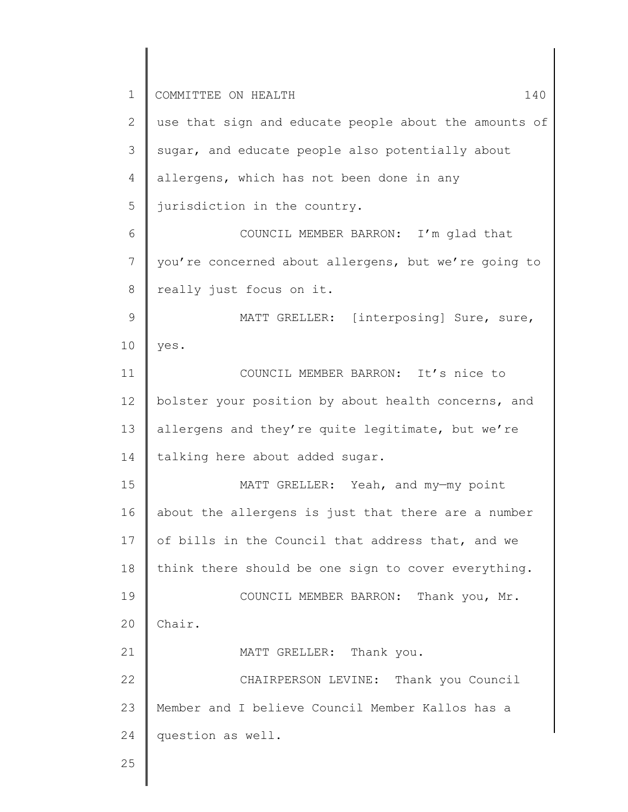1 2 3 4 5 6 7 8 9 10 11 12 13 14 15 16 17 18 19 20 21 22 23 24 25 COMMITTEE ON HEALTH 140 use that sign and educate people about the amounts of sugar, and educate people also potentially about allergens, which has not been done in any jurisdiction in the country. COUNCIL MEMBER BARRON: I'm glad that you're concerned about allergens, but we're going to really just focus on it. MATT GRELLER: [interposing] Sure, sure, yes. COUNCIL MEMBER BARRON: It's nice to bolster your position by about health concerns, and allergens and they're quite legitimate, but we're talking here about added sugar. MATT GRELLER: Yeah, and my-my point about the allergens is just that there are a number of bills in the Council that address that, and we think there should be one sign to cover everything. COUNCIL MEMBER BARRON: Thank you, Mr. Chair. MATT GRELLER: Thank you. CHAIRPERSON LEVINE: Thank you Council Member and I believe Council Member Kallos has a question as well.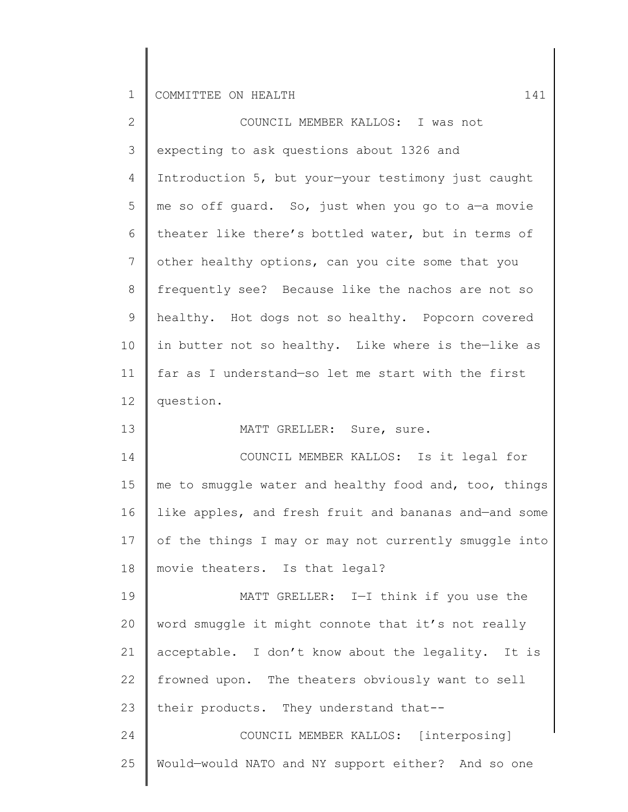| $\mathbf{2}$ | COUNCIL MEMBER KALLOS: I was not                      |
|--------------|-------------------------------------------------------|
| 3            | expecting to ask questions about 1326 and             |
| 4            | Introduction 5, but your-your testimony just caught   |
| 5            | me so off guard. So, just when you go to a-a movie    |
| 6            | theater like there's bottled water, but in terms of   |
| 7            | other healthy options, can you cite some that you     |
| 8            | frequently see? Because like the nachos are not so    |
| 9            | healthy. Hot dogs not so healthy. Popcorn covered     |
| 10           | in butter not so healthy. Like where is the-like as   |
| 11           | far as I understand-so let me start with the first    |
| 12           | question.                                             |
| 13           | MATT GRELLER: Sure, sure.                             |
| 14           | COUNCIL MEMBER KALLOS: Is it legal for                |
| 15           | me to smuggle water and healthy food and, too, things |
| 16           | like apples, and fresh fruit and bananas and-and some |
| 17           | of the things I may or may not currently smuggle into |
| 18           | movie theaters. Is that legal?                        |
| 19           | MATT GRELLER: I-I think if you use the                |
| 20           | word smuggle it might connote that it's not really    |
| 21           | acceptable. I don't know about the legality. It is    |
| 22           | frowned upon. The theaters obviously want to sell     |
| 23           | their products. They understand that--                |
| 24           | COUNCIL MEMBER KALLOS: [interposing]                  |
| 25           | Would-would NATO and NY support either? And so one    |
|              |                                                       |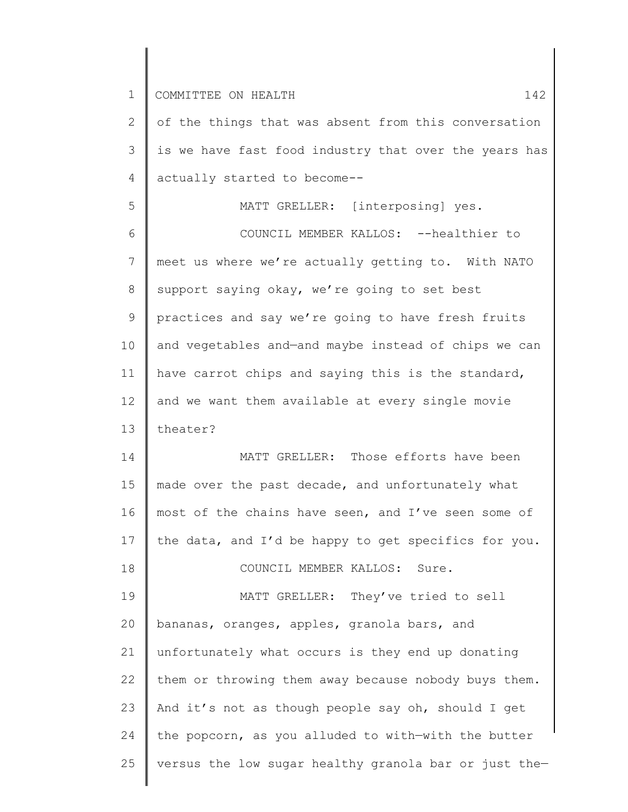18

2 3 4 of the things that was absent from this conversation is we have fast food industry that over the years has actually started to become--

5 6 7 8 9 10 11 12 13 MATT GRELLER: [interposing] yes. COUNCIL MEMBER KALLOS: --healthier to meet us where we're actually getting to. With NATO support saying okay, we're going to set best practices and say we're going to have fresh fruits and vegetables and—and maybe instead of chips we can have carrot chips and saying this is the standard, and we want them available at every single movie theater?

14 15 16 17 MATT GRELLER: Those efforts have been made over the past decade, and unfortunately what most of the chains have seen, and I've seen some of the data, and I'd be happy to get specifics for you.

COUNCIL MEMBER KALLOS: Sure.

19 20 21 22 23 24 25 MATT GRELLER: They've tried to sell bananas, oranges, apples, granola bars, and unfortunately what occurs is they end up donating them or throwing them away because nobody buys them. And it's not as though people say oh, should I get the popcorn, as you alluded to with—with the butter versus the low sugar healthy granola bar or just the—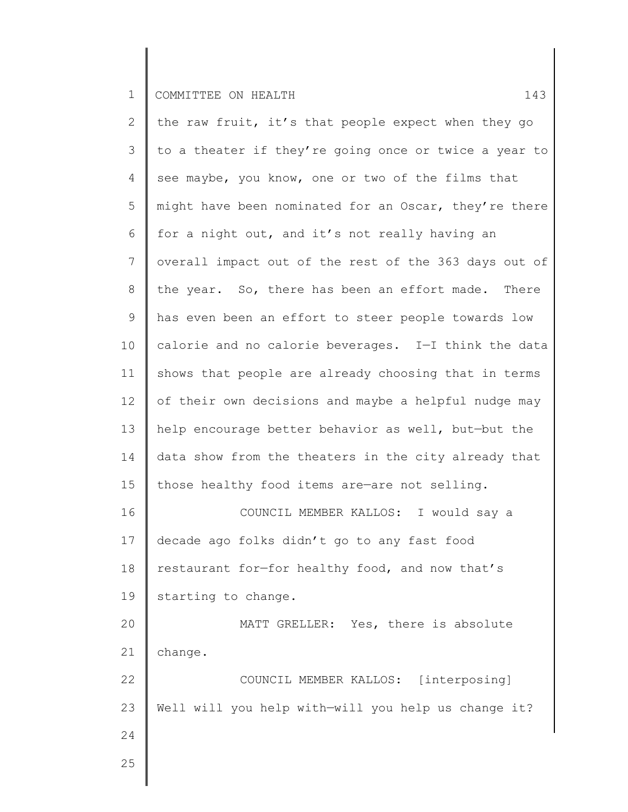2 3 4 5 6 7 8 9 10 11 12 13 14 15 16 17 18 19 20 21 22 23 24 25 the raw fruit, it's that people expect when they go to a theater if they're going once or twice a year to see maybe, you know, one or two of the films that might have been nominated for an Oscar, they're there for a night out, and it's not really having an overall impact out of the rest of the 363 days out of the year. So, there has been an effort made. There has even been an effort to steer people towards low calorie and no calorie beverages. I—I think the data shows that people are already choosing that in terms of their own decisions and maybe a helpful nudge may help encourage better behavior as well, but—but the data show from the theaters in the city already that those healthy food items are—are not selling. COUNCIL MEMBER KALLOS: I would say a decade ago folks didn't go to any fast food restaurant for—for healthy food, and now that's starting to change. MATT GRELLER: Yes, there is absolute change. COUNCIL MEMBER KALLOS: [interposing] Well will you help with—will you help us change it?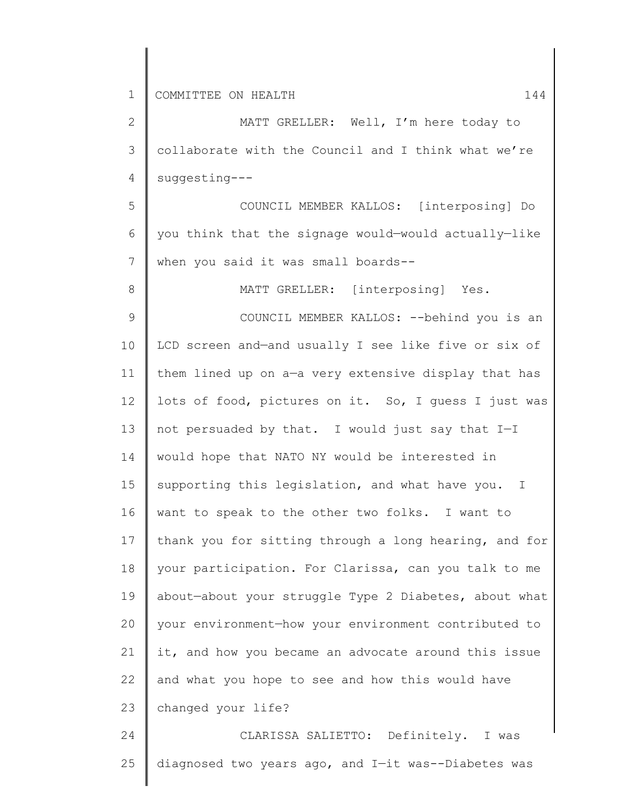8

2 3 4 MATT GRELLER: Well, I'm here today to collaborate with the Council and I think what we're suggesting---

5 6 7 COUNCIL MEMBER KALLOS: [interposing] Do you think that the signage would—would actually—like when you said it was small boards--

MATT GRELLER: [interposing] Yes.

9 10 11 12 13 14 15 16 17 18 19 20 21 22 23 COUNCIL MEMBER KALLOS: --behind you is an LCD screen and—and usually I see like five or six of them lined up on a—a very extensive display that has lots of food, pictures on it. So, I guess I just was not persuaded by that. I would just say that I—I would hope that NATO NY would be interested in supporting this legislation, and what have you. I want to speak to the other two folks. I want to thank you for sitting through a long hearing, and for your participation. For Clarissa, can you talk to me about—about your struggle Type 2 Diabetes, about what your environment—how your environment contributed to it, and how you became an advocate around this issue and what you hope to see and how this would have changed your life?

24 25 CLARISSA SALIETTO: Definitely. I was diagnosed two years ago, and I—it was--Diabetes was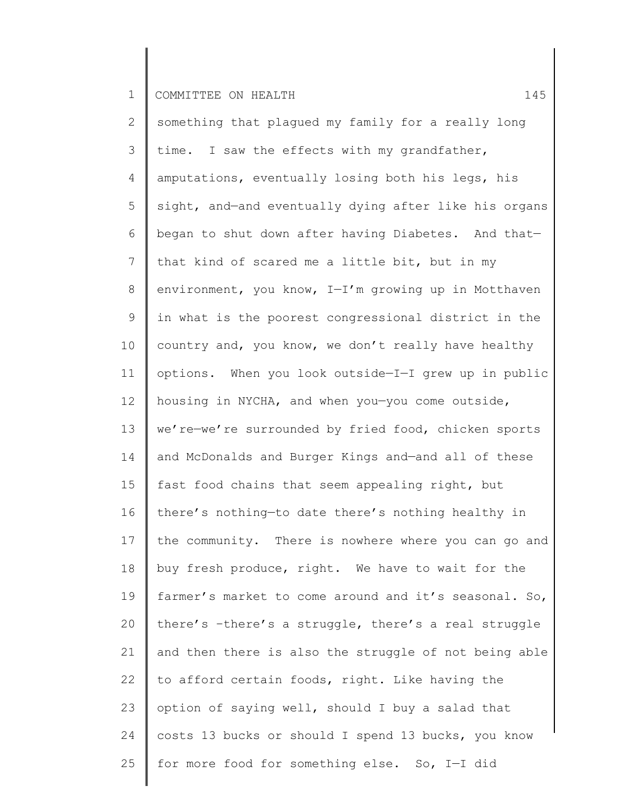1 COMMITTEE ON HEALTH 145

2 3 4 5 6 7 8 9 10 11 12 13 14 15 16 17 18 19 20 21 22 23 24 25 something that plagued my family for a really long time. I saw the effects with my grandfather, amputations, eventually losing both his legs, his sight, and—and eventually dying after like his organs began to shut down after having Diabetes. And that that kind of scared me a little bit, but in my environment, you know, I—I'm growing up in Motthaven in what is the poorest congressional district in the country and, you know, we don't really have healthy options. When you look outside—I—I grew up in public housing in NYCHA, and when you—you come outside, we're—we're surrounded by fried food, chicken sports and McDonalds and Burger Kings and—and all of these fast food chains that seem appealing right, but there's nothing—to date there's nothing healthy in the community. There is nowhere where you can go and buy fresh produce, right. We have to wait for the farmer's market to come around and it's seasonal. So, there's –there's a struggle, there's a real struggle and then there is also the struggle of not being able to afford certain foods, right. Like having the option of saying well, should I buy a salad that costs 13 bucks or should I spend 13 bucks, you know for more food for something else. So, I—I did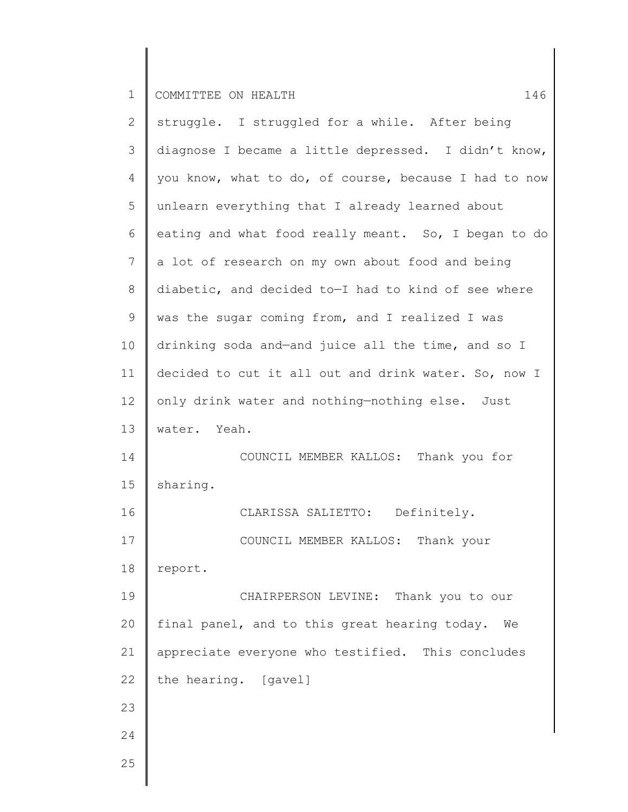1 COMMITTEE ON HEALTH 146

2 3 4 5 6 7 8 9 10 11 12 13 14 15 16 17 18 19 20 21 22 23 24 25 struggle. I struggled for a while. After being diagnose I became a little depressed. I didn't know, you know, what to do, of course, because I had to now unlearn everything that I already learned about eating and what food really meant. So, I began to do a lot of research on my own about food and being diabetic, and decided to—I had to kind of see where was the sugar coming from, and I realized I was drinking soda and—and juice all the time, and so I decided to cut it all out and drink water. So, now I only drink water and nothing—nothing else. Just water. Yeah. COUNCIL MEMBER KALLOS: Thank you for sharing. CLARISSA SALIETTO: Definitely. COUNCIL MEMBER KALLOS: Thank your report. CHAIRPERSON LEVINE: Thank you to our final panel, and to this great hearing today. We appreciate everyone who testified. This concludes the hearing. [gavel]